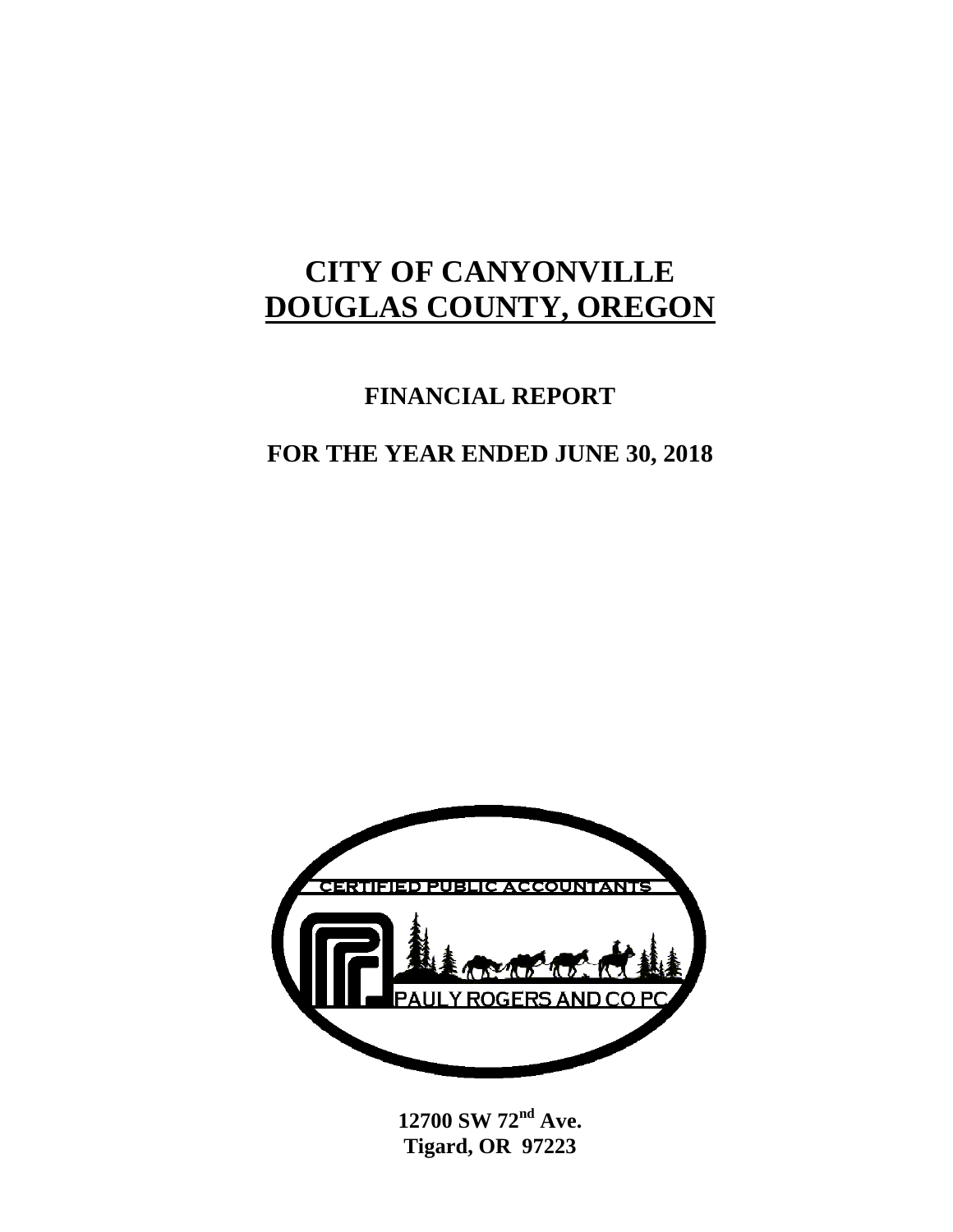**FINANCIAL REPORT** 

# **FOR THE YEAR ENDED JUNE 30, 2018**



**12700 SW 72nd Ave. Tigard, OR 97223**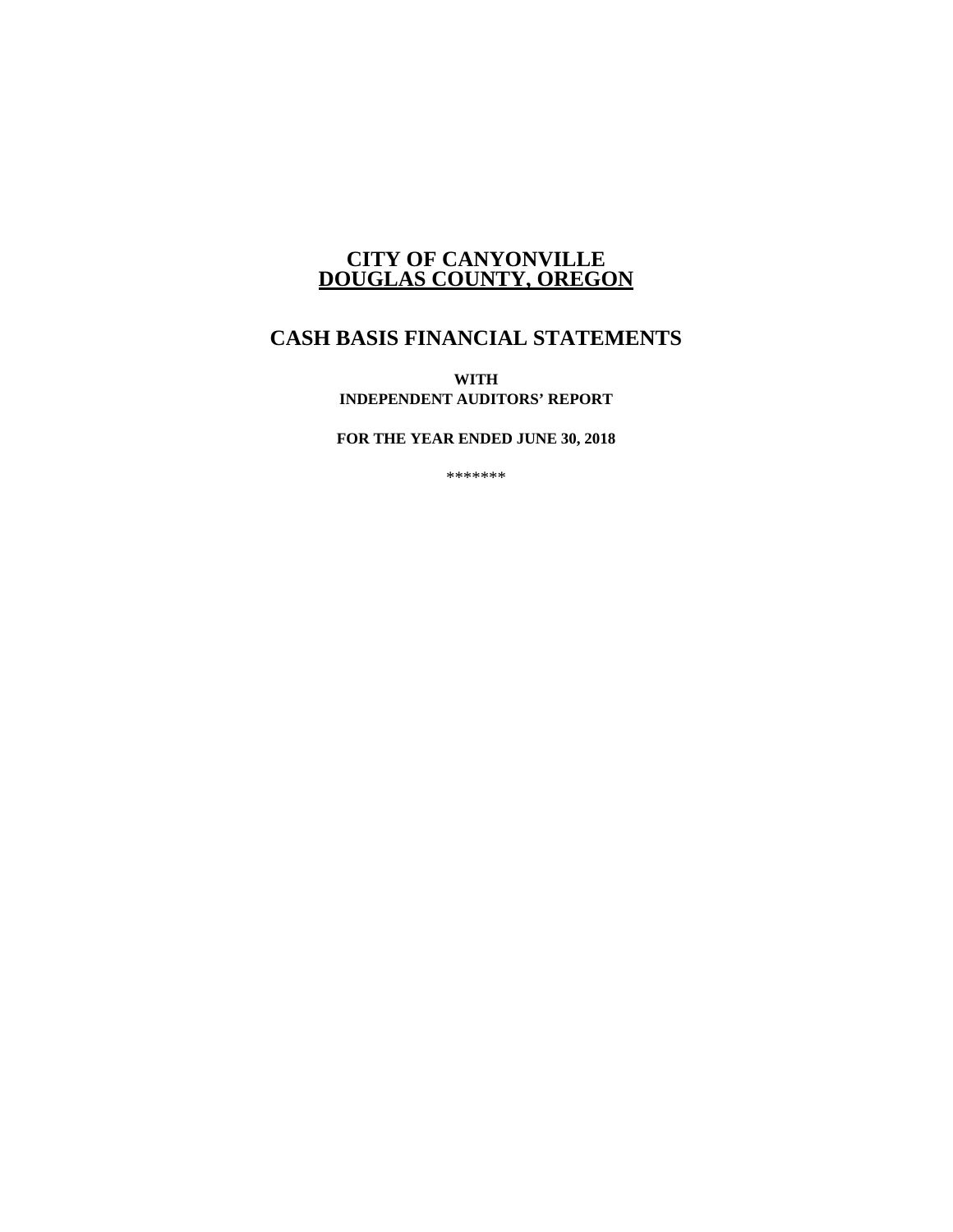## **CASH BASIS FINANCIAL STATEMENTS**

**WITH INDEPENDENT AUDITORS' REPORT** 

**FOR THE YEAR ENDED JUNE 30, 2018** 

\*\*\*\*\*\*\*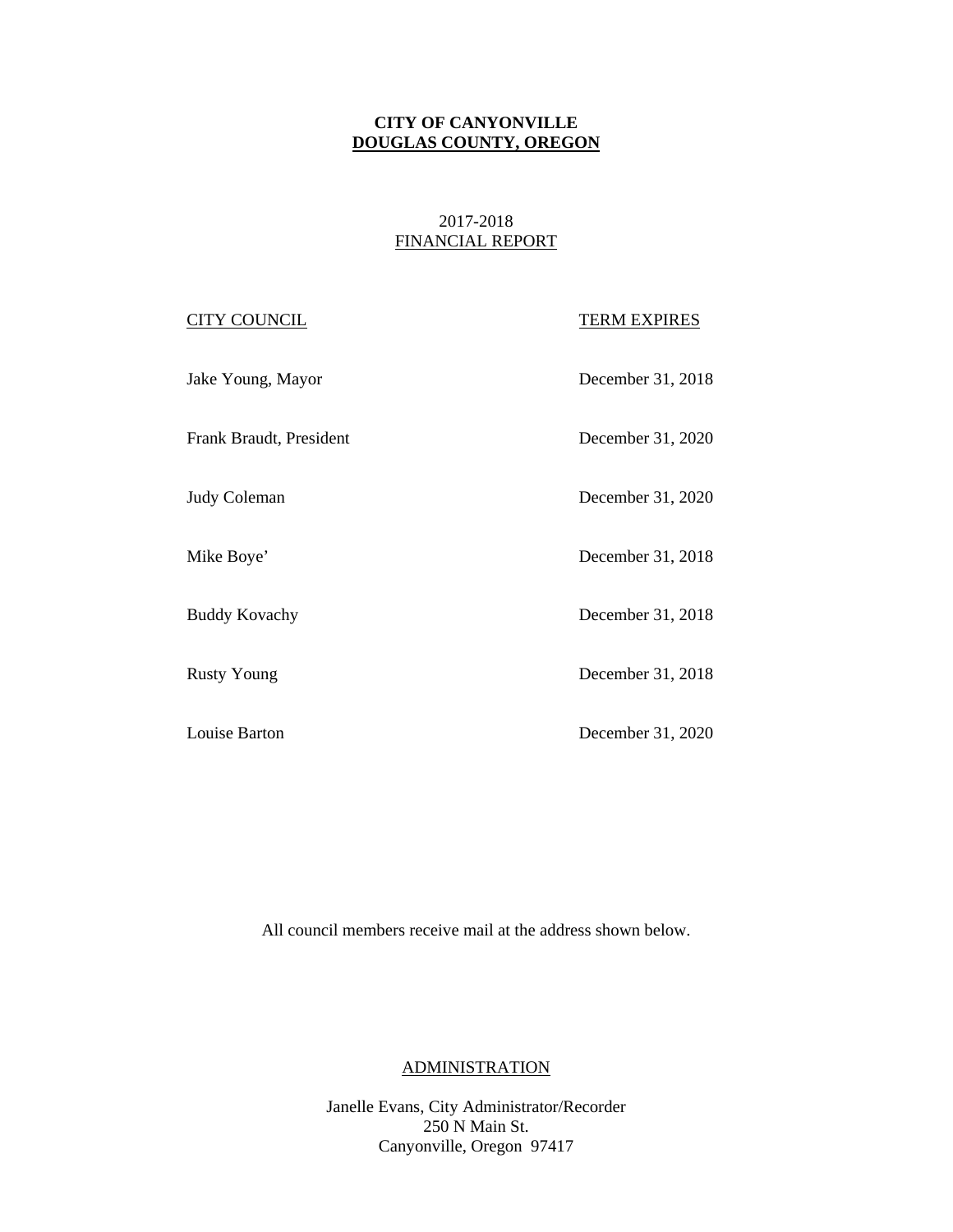### 2017-2018 FINANCIAL REPORT

### CITY COUNCIL TERM EXPIRES

| Jake Young, Mayor       | December 31, 2018 |
|-------------------------|-------------------|
| Frank Braudt, President | December 31, 2020 |
| Judy Coleman            | December 31, 2020 |
| Mike Boye'              | December 31, 2018 |
| <b>Buddy Kovachy</b>    | December 31, 2018 |
| <b>Rusty Young</b>      | December 31, 2018 |
|                         |                   |

Louise Barton December 31, 2020

All council members receive mail at the address shown below.

#### ADMINISTRATION

 Janelle Evans, City Administrator/Recorder 250 N Main St. Canyonville, Oregon 97417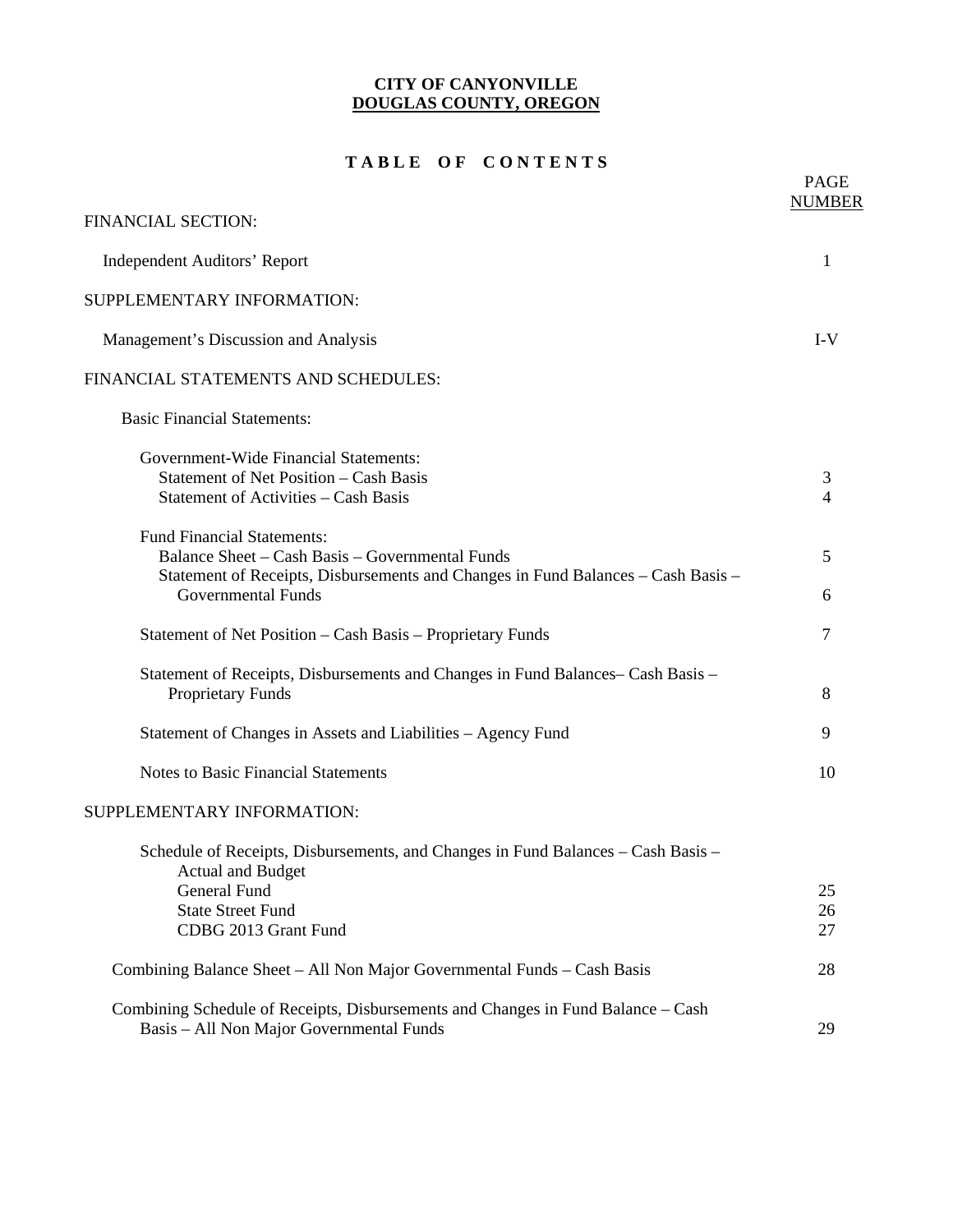### **T A B L E O F C O N T E N T S**

|                                                                                                             | <b>PAGE</b><br><b>NUMBER</b> |
|-------------------------------------------------------------------------------------------------------------|------------------------------|
| FINANCIAL SECTION:                                                                                          |                              |
| <b>Independent Auditors' Report</b>                                                                         | 1                            |
| SUPPLEMENTARY INFORMATION:                                                                                  |                              |
| Management's Discussion and Analysis                                                                        | $I-V$                        |
| FINANCIAL STATEMENTS AND SCHEDULES:                                                                         |                              |
| <b>Basic Financial Statements:</b>                                                                          |                              |
| Government-Wide Financial Statements:                                                                       |                              |
| Statement of Net Position - Cash Basis                                                                      | 3                            |
| Statement of Activities – Cash Basis                                                                        | 4                            |
| <b>Fund Financial Statements:</b>                                                                           |                              |
| Balance Sheet – Cash Basis – Governmental Funds                                                             | 5                            |
| Statement of Receipts, Disbursements and Changes in Fund Balances - Cash Basis -                            |                              |
| Governmental Funds                                                                                          | 6                            |
| Statement of Net Position - Cash Basis - Proprietary Funds                                                  | 7                            |
| Statement of Receipts, Disbursements and Changes in Fund Balances– Cash Basis –<br><b>Proprietary Funds</b> | 8                            |
| Statement of Changes in Assets and Liabilities - Agency Fund                                                | 9                            |
| <b>Notes to Basic Financial Statements</b>                                                                  | 10                           |
| SUPPLEMENTARY INFORMATION:                                                                                  |                              |
| Schedule of Receipts, Disbursements, and Changes in Fund Balances – Cash Basis –                            |                              |
| <b>Actual and Budget</b>                                                                                    |                              |
| <b>General Fund</b><br><b>State Street Fund</b>                                                             | 25                           |
| CDBG 2013 Grant Fund                                                                                        | 26                           |
|                                                                                                             | 27                           |
| Combining Balance Sheet - All Non Major Governmental Funds - Cash Basis                                     | 28                           |
| Combining Schedule of Receipts, Disbursements and Changes in Fund Balance – Cash                            |                              |
| Basis - All Non Major Governmental Funds                                                                    | 29                           |
|                                                                                                             |                              |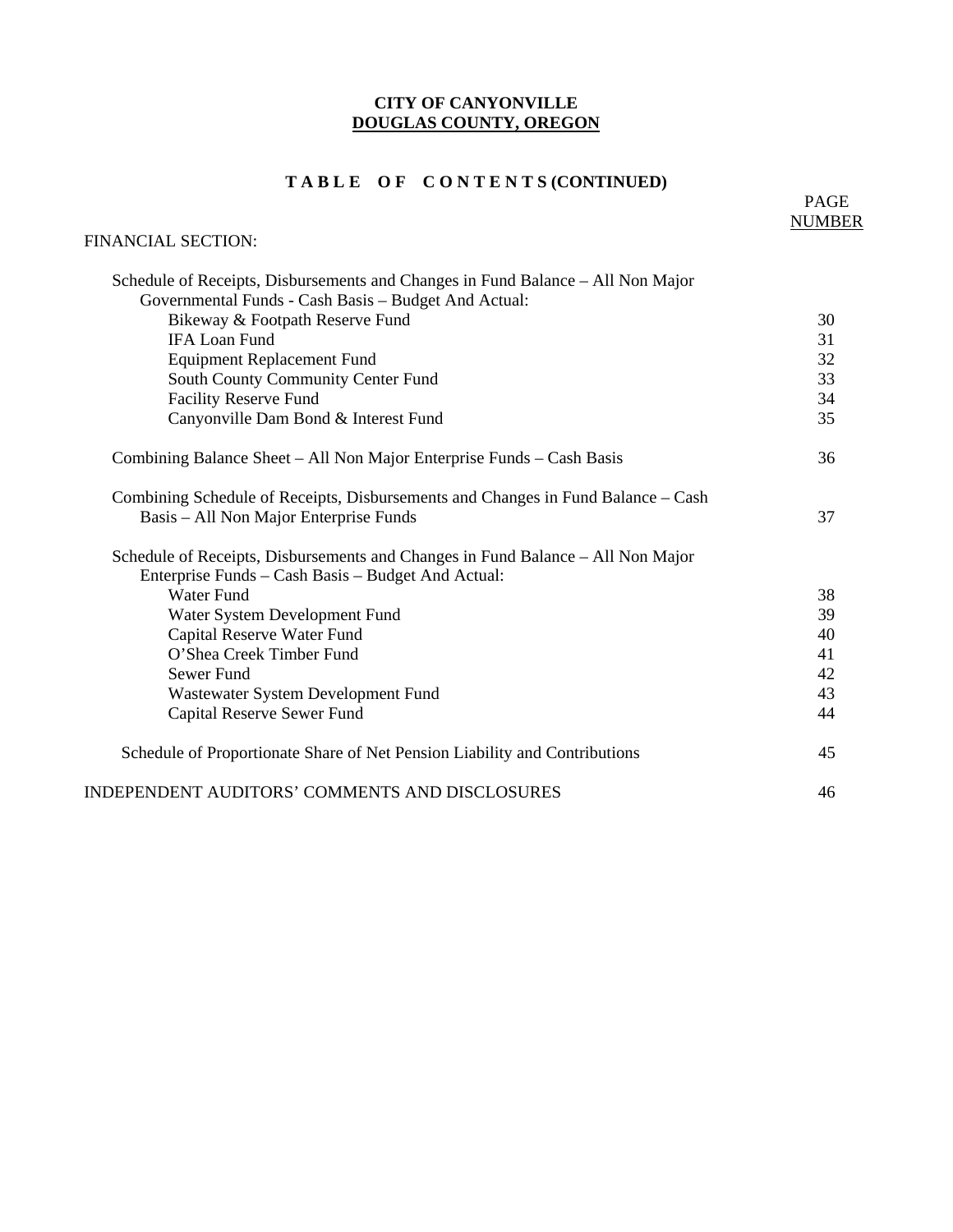#### **T A B L E O F C O N T E N T S (CONTINUED)**

### PAGE NUMBER FINANCIAL SECTION: Schedule of Receipts, Disbursements and Changes in Fund Balance – All Non Major Governmental Funds - Cash Basis – Budget And Actual: Bikeway & Footpath Reserve Fund 30 IFA Loan Fund 31 Equipment Replacement Fund 32 South County Community Center Fund 33 Facility Reserve Fund 34 Canyonville Dam Bond & Interest Fund 35 Combining Balance Sheet – All Non Major Enterprise Funds – Cash Basis 36 Combining Schedule of Receipts, Disbursements and Changes in Fund Balance – Cash Basis – All Non Major Enterprise Funds 37 Schedule of Receipts, Disbursements and Changes in Fund Balance – All Non Major Enterprise Funds – Cash Basis – Budget And Actual: Water Fund 38 Water System Development Fund 39 Capital Reserve Water Fund 40 O'Shea Creek Timber Fund 41 Sewer Fund 42 Wastewater System Development Fund 43 Capital Reserve Sewer Fund 44 Schedule of Proportionate Share of Net Pension Liability and Contributions 45 INDEPENDENT AUDITORS' COMMENTS AND DISCLOSURES 46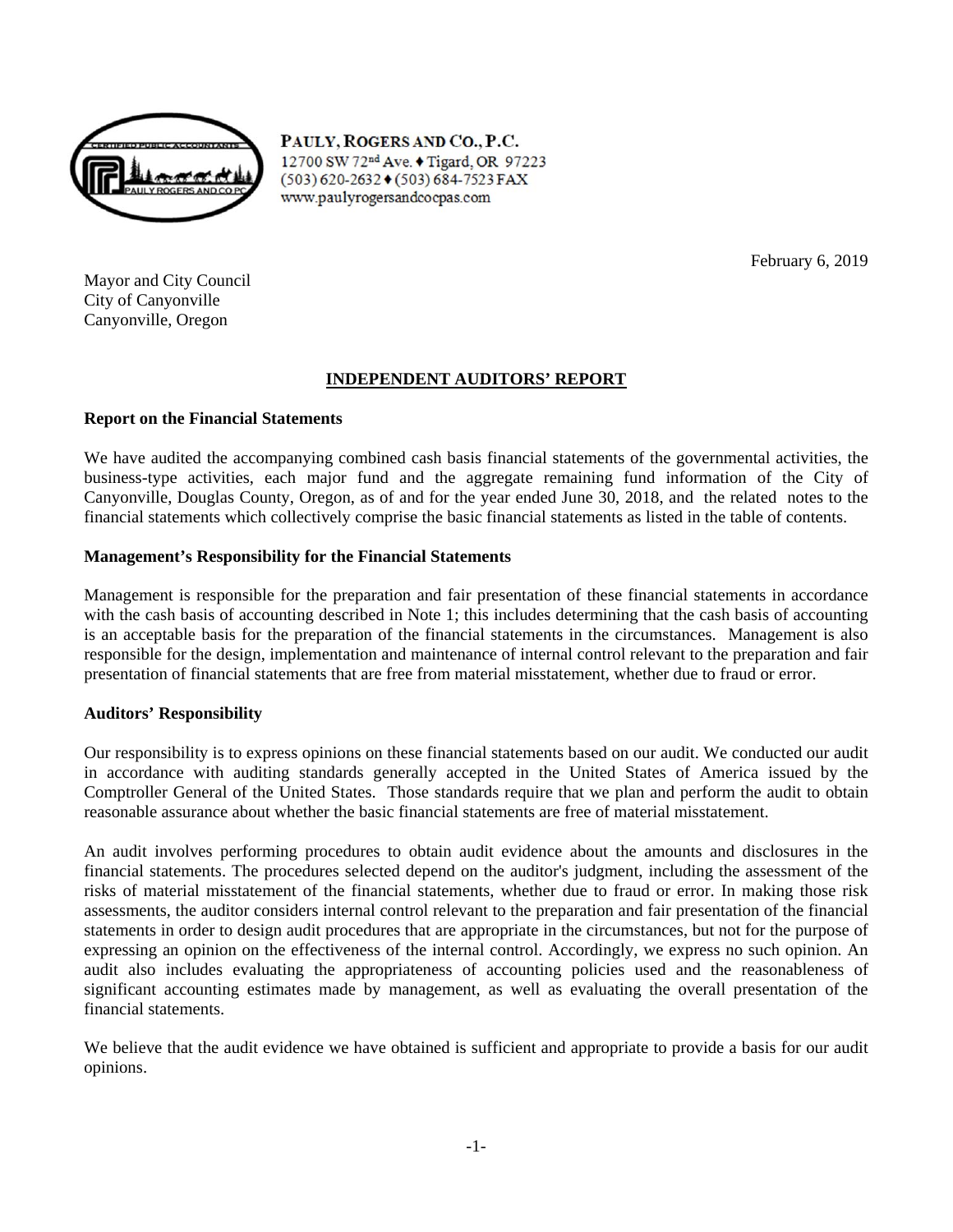

PAULY, ROGERS AND CO., P.C. 12700 SW 72<sup>nd</sup> Ave. • Tigard, OR 97223 (503) 620-2632 ♦ (503) 684-7523 FAX www.paulyrogersandcocpas.com

February 6, 2019

Mayor and City Council City of Canyonville Canyonville, Oregon

### **INDEPENDENT AUDITORS' REPORT**

### **Report on the Financial Statements**

We have audited the accompanying combined cash basis financial statements of the governmental activities, the business-type activities, each major fund and the aggregate remaining fund information of the City of Canyonville, Douglas County, Oregon, as of and for the year ended June 30, 2018, and the related notes to the financial statements which collectively comprise the basic financial statements as listed in the table of contents.

### **Management's Responsibility for the Financial Statements**

Management is responsible for the preparation and fair presentation of these financial statements in accordance with the cash basis of accounting described in Note 1; this includes determining that the cash basis of accounting is an acceptable basis for the preparation of the financial statements in the circumstances. Management is also responsible for the design, implementation and maintenance of internal control relevant to the preparation and fair presentation of financial statements that are free from material misstatement, whether due to fraud or error.

### **Auditors' Responsibility**

Our responsibility is to express opinions on these financial statements based on our audit. We conducted our audit in accordance with auditing standards generally accepted in the United States of America issued by the Comptroller General of the United States. Those standards require that we plan and perform the audit to obtain reasonable assurance about whether the basic financial statements are free of material misstatement.

An audit involves performing procedures to obtain audit evidence about the amounts and disclosures in the financial statements. The procedures selected depend on the auditor's judgment, including the assessment of the risks of material misstatement of the financial statements, whether due to fraud or error. In making those risk assessments, the auditor considers internal control relevant to the preparation and fair presentation of the financial statements in order to design audit procedures that are appropriate in the circumstances, but not for the purpose of expressing an opinion on the effectiveness of the internal control. Accordingly, we express no such opinion. An audit also includes evaluating the appropriateness of accounting policies used and the reasonableness of significant accounting estimates made by management, as well as evaluating the overall presentation of the financial statements.

We believe that the audit evidence we have obtained is sufficient and appropriate to provide a basis for our audit opinions.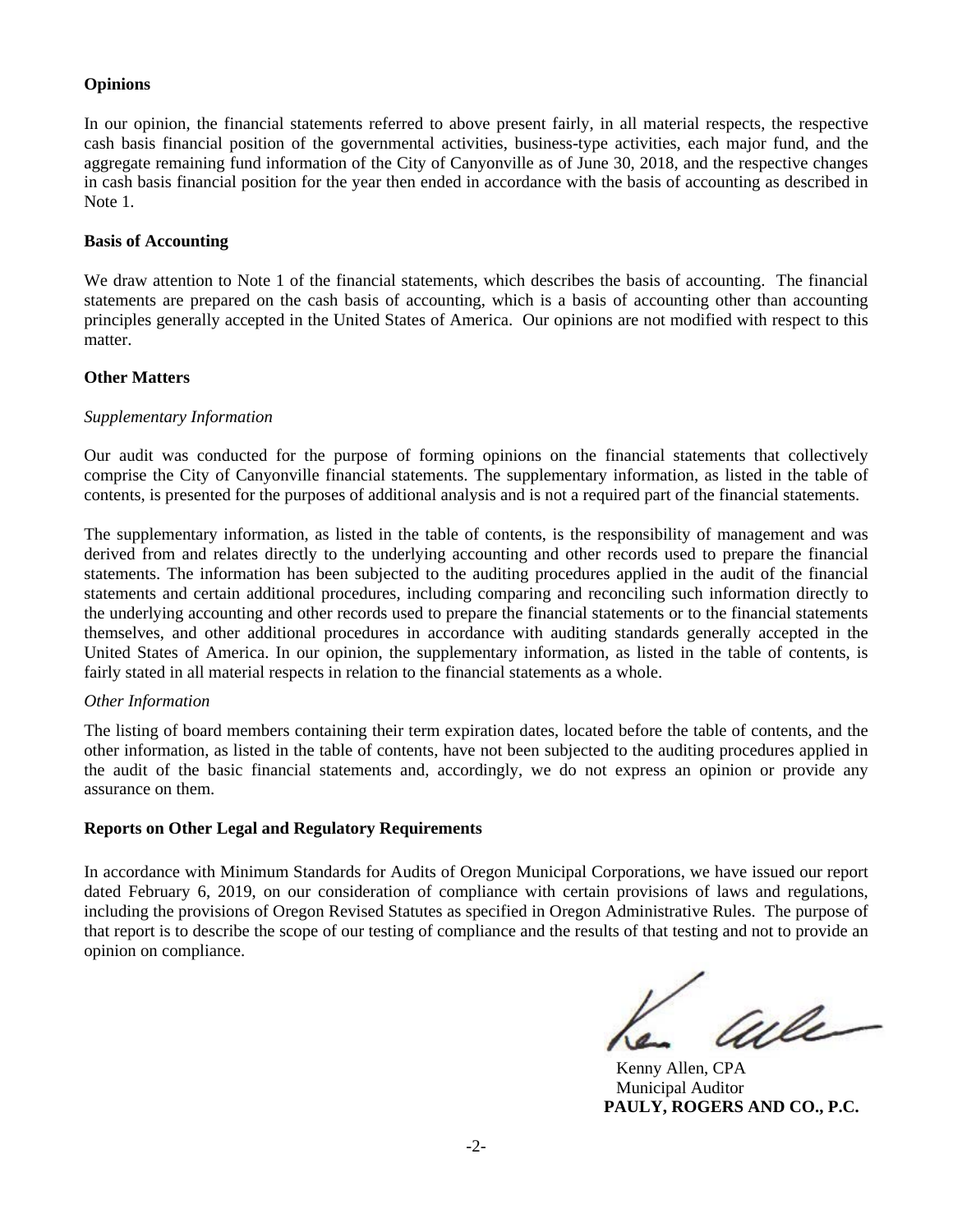#### **Opinions**

In our opinion, the financial statements referred to above present fairly, in all material respects, the respective cash basis financial position of the governmental activities, business-type activities, each major fund, and the aggregate remaining fund information of the City of Canyonville as of June 30, 2018, and the respective changes in cash basis financial position for the year then ended in accordance with the basis of accounting as described in Note 1.

#### **Basis of Accounting**

We draw attention to Note 1 of the financial statements, which describes the basis of accounting. The financial statements are prepared on the cash basis of accounting, which is a basis of accounting other than accounting principles generally accepted in the United States of America. Our opinions are not modified with respect to this matter.

#### **Other Matters**

#### *Supplementary Information*

Our audit was conducted for the purpose of forming opinions on the financial statements that collectively comprise the City of Canyonville financial statements. The supplementary information, as listed in the table of contents, is presented for the purposes of additional analysis and is not a required part of the financial statements.

The supplementary information, as listed in the table of contents, is the responsibility of management and was derived from and relates directly to the underlying accounting and other records used to prepare the financial statements. The information has been subjected to the auditing procedures applied in the audit of the financial statements and certain additional procedures, including comparing and reconciling such information directly to the underlying accounting and other records used to prepare the financial statements or to the financial statements themselves, and other additional procedures in accordance with auditing standards generally accepted in the United States of America. In our opinion, the supplementary information, as listed in the table of contents, is fairly stated in all material respects in relation to the financial statements as a whole.

#### *Other Information*

The listing of board members containing their term expiration dates, located before the table of contents, and the other information, as listed in the table of contents, have not been subjected to the auditing procedures applied in the audit of the basic financial statements and, accordingly, we do not express an opinion or provide any assurance on them.

### **Reports on Other Legal and Regulatory Requirements**

In accordance with Minimum Standards for Audits of Oregon Municipal Corporations, we have issued our report dated February 6, 2019, on our consideration of compliance with certain provisions of laws and regulations, including the provisions of Oregon Revised Statutes as specified in Oregon Administrative Rules. The purpose of that report is to describe the scope of our testing of compliance and the results of that testing and not to provide an opinion on compliance.

Wle

Kenny Allen, CPA Municipal Auditor **PAULY, ROGERS AND CO., P.C.**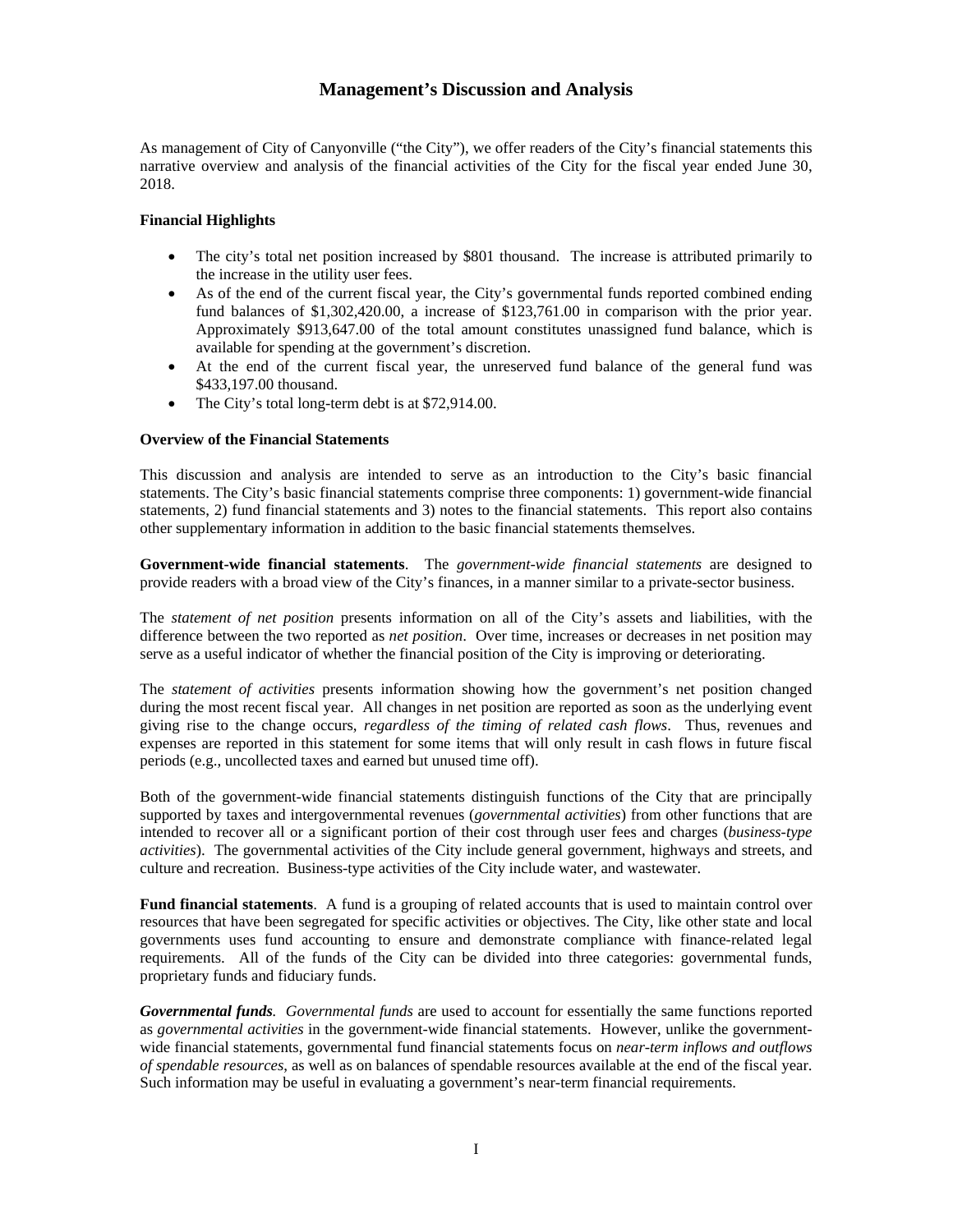### **Management's Discussion and Analysis**

As management of City of Canyonville ("the City"), we offer readers of the City's financial statements this narrative overview and analysis of the financial activities of the City for the fiscal year ended June 30, 2018.

#### **Financial Highlights**

- The city's total net position increased by \$801 thousand. The increase is attributed primarily to the increase in the utility user fees.
- As of the end of the current fiscal year, the City's governmental funds reported combined ending fund balances of \$1,302,420.00, a increase of \$123,761.00 in comparison with the prior year. Approximately \$913,647.00 of the total amount constitutes unassigned fund balance, which is available for spending at the government's discretion.
- At the end of the current fiscal year, the unreserved fund balance of the general fund was \$433,197.00 thousand.
- The City's total long-term debt is at \$72,914.00.

#### **Overview of the Financial Statements**

This discussion and analysis are intended to serve as an introduction to the City's basic financial statements. The City's basic financial statements comprise three components: 1) government-wide financial statements, 2) fund financial statements and 3) notes to the financial statements. This report also contains other supplementary information in addition to the basic financial statements themselves.

**Government-wide financial statements**. The *government-wide financial statements* are designed to provide readers with a broad view of the City's finances, in a manner similar to a private-sector business.

The *statement of net position* presents information on all of the City's assets and liabilities, with the difference between the two reported as *net position*. Over time, increases or decreases in net position may serve as a useful indicator of whether the financial position of the City is improving or deteriorating.

The *statement of activities* presents information showing how the government's net position changed during the most recent fiscal year. All changes in net position are reported as soon as the underlying event giving rise to the change occurs, *regardless of the timing of related cash flows*. Thus, revenues and expenses are reported in this statement for some items that will only result in cash flows in future fiscal periods (e.g., uncollected taxes and earned but unused time off).

Both of the government-wide financial statements distinguish functions of the City that are principally supported by taxes and intergovernmental revenues (*governmental activities*) from other functions that are intended to recover all or a significant portion of their cost through user fees and charges (*business-type activities*). The governmental activities of the City include general government, highways and streets, and culture and recreation. Business-type activities of the City include water, and wastewater.

**Fund financial statements**. A fund is a grouping of related accounts that is used to maintain control over resources that have been segregated for specific activities or objectives. The City, like other state and local governments uses fund accounting to ensure and demonstrate compliance with finance-related legal requirements. All of the funds of the City can be divided into three categories: governmental funds, proprietary funds and fiduciary funds.

*Governmental funds. Governmental funds* are used to account for essentially the same functions reported as *governmental activities* in the government-wide financial statements. However, unlike the governmentwide financial statements, governmental fund financial statements focus on *near-term inflows and outflows of spendable resources*, as well as on balances of spendable resources available at the end of the fiscal year. Such information may be useful in evaluating a government's near-term financial requirements.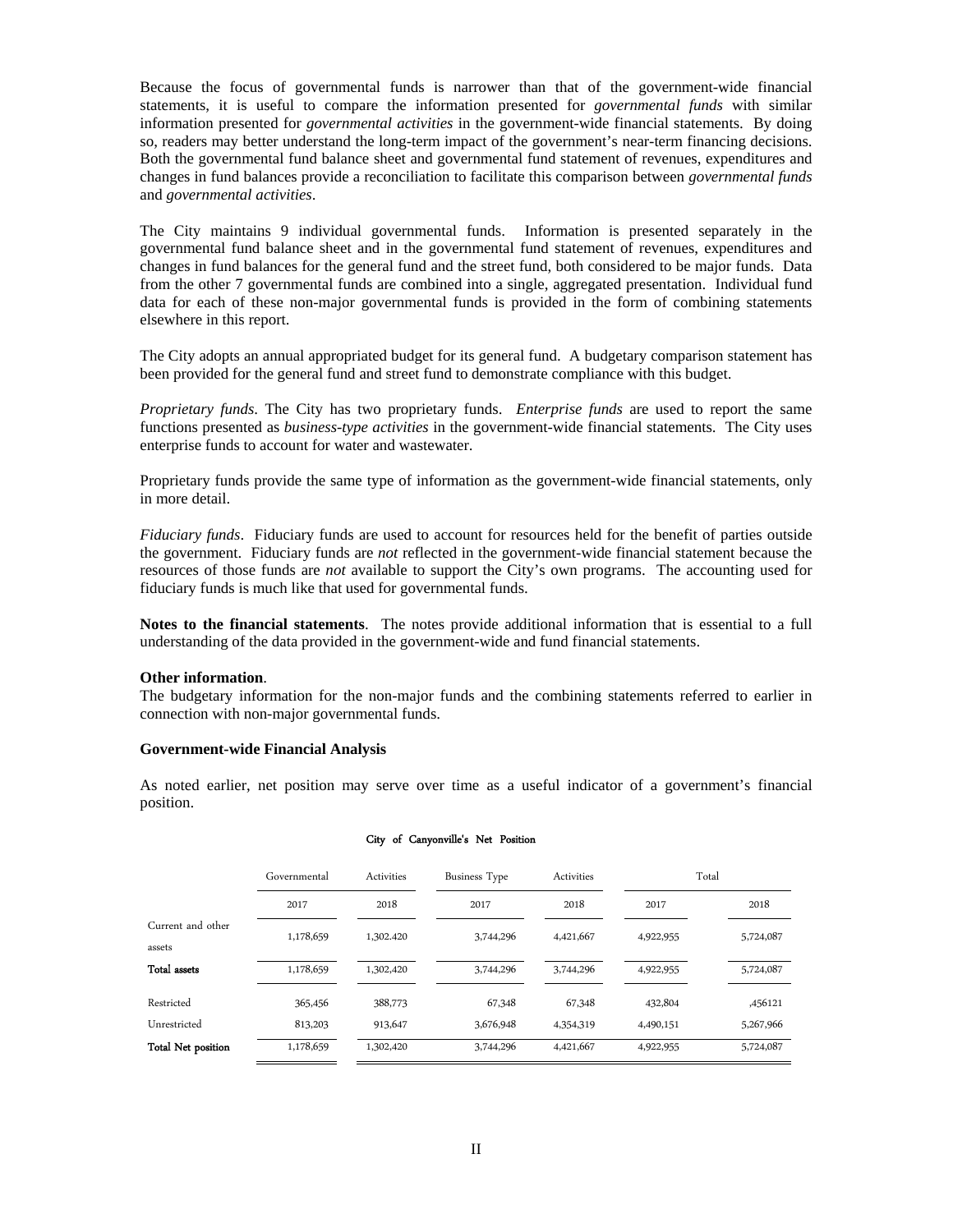Because the focus of governmental funds is narrower than that of the government-wide financial statements, it is useful to compare the information presented for *governmental funds* with similar information presented for *governmental activities* in the government-wide financial statements. By doing so, readers may better understand the long-term impact of the government's near-term financing decisions. Both the governmental fund balance sheet and governmental fund statement of revenues, expenditures and changes in fund balances provide a reconciliation to facilitate this comparison between *governmental funds* and *governmental activities*.

The City maintains 9 individual governmental funds. Information is presented separately in the governmental fund balance sheet and in the governmental fund statement of revenues, expenditures and changes in fund balances for the general fund and the street fund, both considered to be major funds. Data from the other 7 governmental funds are combined into a single, aggregated presentation. Individual fund data for each of these non-major governmental funds is provided in the form of combining statements elsewhere in this report.

The City adopts an annual appropriated budget for its general fund. A budgetary comparison statement has been provided for the general fund and street fund to demonstrate compliance with this budget.

*Proprietary funds*. The City has two proprietary funds. *Enterprise funds* are used to report the same functions presented as *business-type activities* in the government-wide financial statements. The City uses enterprise funds to account for water and wastewater.

Proprietary funds provide the same type of information as the government-wide financial statements, only in more detail.

*Fiduciary funds*. Fiduciary funds are used to account for resources held for the benefit of parties outside the government. Fiduciary funds are *not* reflected in the government-wide financial statement because the resources of those funds are *not* available to support the City's own programs. The accounting used for fiduciary funds is much like that used for governmental funds.

**Notes to the financial statements**. The notes provide additional information that is essential to a full understanding of the data provided in the government-wide and fund financial statements.

#### **Other information**.

The budgetary information for the non-major funds and the combining statements referred to earlier in connection with non-major governmental funds.

#### **Government-wide Financial Analysis**

As noted earlier, net position may serve over time as a useful indicator of a government's financial position.

|                             | Governmental | Activities | <b>Business Type</b> | Activities | Total     |           |
|-----------------------------|--------------|------------|----------------------|------------|-----------|-----------|
|                             | 2017         | 2018       | 2017                 | 2018       | 2017      | 2018      |
| Current and other<br>assets | 1,178,659    | 1,302.420  | 3,744,296            | 4,421,667  | 4,922,955 | 5,724,087 |
| Total assets                | 1,178,659    | 1,302,420  | 3,744,296            | 3,744,296  | 4,922,955 | 5,724,087 |
| Restricted                  | 365,456      | 388,773    | 67,348               | 67,348     | 432,804   | ,456121   |
| Unrestricted                | 813,203      | 913,647    | 3,676,948            | 4,354,319  | 4,490,151 | 5,267,966 |
| Total Net position          | 1,178,659    | 1,302,420  | 3,744,296            | 4,421,667  | 4,922,955 | 5,724,087 |

#### City of Canyonville's Net Position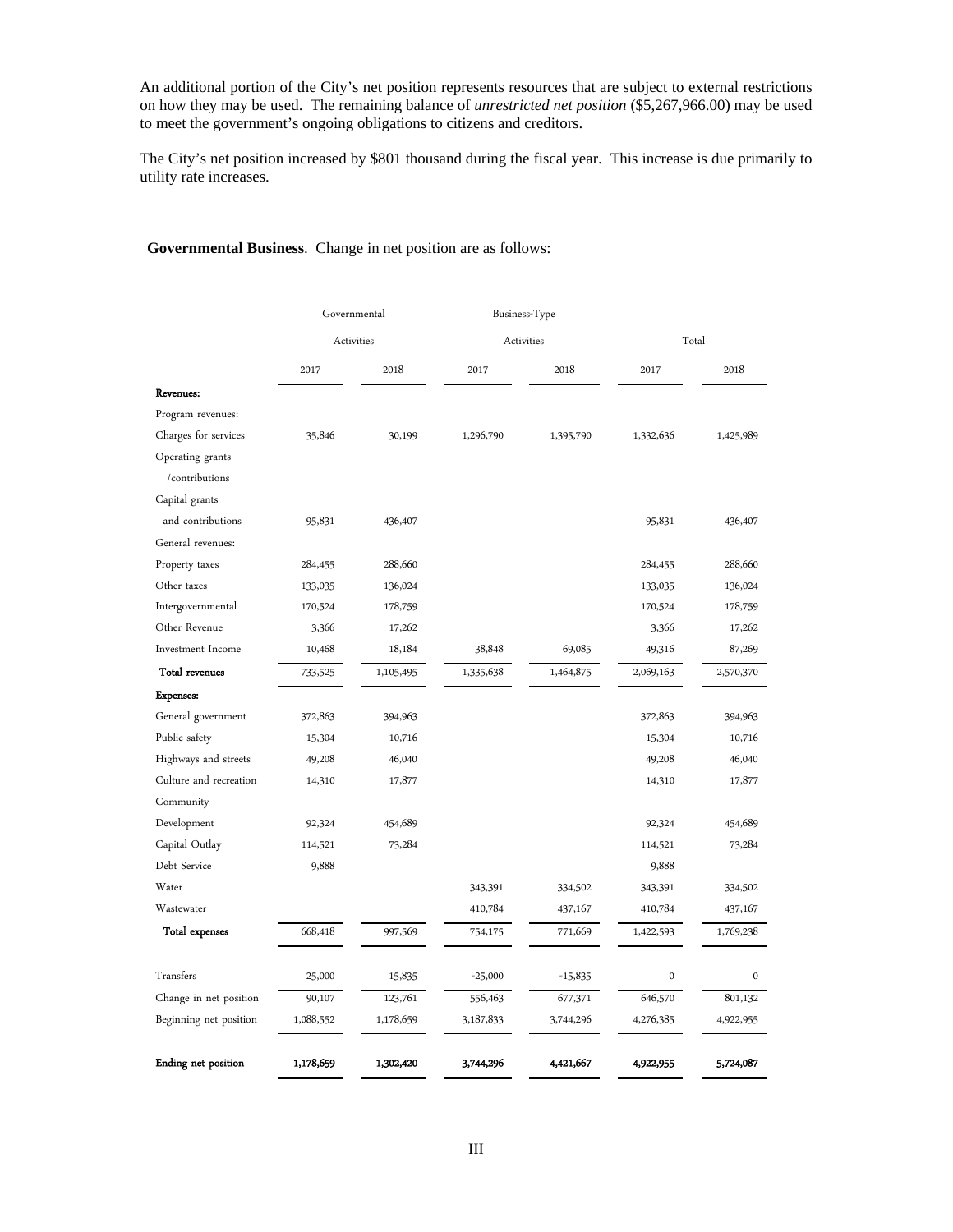An additional portion of the City's net position represents resources that are subject to external restrictions on how they may be used. The remaining balance of *unrestricted net position* (\$5,267,966.00) may be used to meet the government's ongoing obligations to citizens and creditors.

The City's net position increased by \$801 thousand during the fiscal year. This increase is due primarily to utility rate increases.

|                        |           | Governmental |            | Business-Type |                  |           |
|------------------------|-----------|--------------|------------|---------------|------------------|-----------|
|                        |           | Activities   | Activities |               | Total            |           |
|                        | 2017      | 2018         | 2017       | 2018          | 2017             | 2018      |
| Revenues:              |           |              |            |               |                  |           |
| Program revenues:      |           |              |            |               |                  |           |
| Charges for services   | 35,846    | 30,199       | 1,296,790  | 1,395,790     | 1,332,636        | 1,425,989 |
| Operating grants       |           |              |            |               |                  |           |
| /contributions         |           |              |            |               |                  |           |
| Capital grants         |           |              |            |               |                  |           |
| and contributions      | 95,831    | 436,407      |            |               | 95,831           | 436,407   |
| General revenues:      |           |              |            |               |                  |           |
| Property taxes         | 284,455   | 288,660      |            |               | 284,455          | 288,660   |
| Other taxes            | 133,035   | 136,024      |            |               | 133,035          | 136,024   |
| Intergovernmental      | 170,524   | 178,759      |            |               | 170,524          | 178,759   |
| Other Revenue          | 3,366     | 17,262       |            |               | 3,366            | 17,262    |
| Investment Income      | 10,468    | 18,184       | 38,848     | 69,085        | 49,316           | 87,269    |
| Total revenues         | 733,525   | 1,105,495    | 1,335,638  | 1,464,875     | 2,069,163        | 2,570,370 |
| <b>Expenses:</b>       |           |              |            |               |                  |           |
| General government     | 372,863   | 394,963      |            |               | 372,863          | 394,963   |
| Public safety          | 15,304    | 10,716       |            |               | 15,304           | 10,716    |
| Highways and streets   | 49,208    | 46,040       |            |               | 49,208           | 46,040    |
| Culture and recreation | 14,310    | 17,877       |            |               | 14,310           | 17,877    |
| Community              |           |              |            |               |                  |           |
| Development            | 92,324    | 454,689      |            |               | 92,324           | 454,689   |
| Capital Outlay         | 114,521   | 73,284       |            |               | 114,521          | 73,284    |
| Debt Service           | 9,888     |              |            |               | 9,888            |           |
| Water                  |           |              | 343,391    | 334,502       | 343,391          | 334,502   |
| Wastewater             |           |              | 410,784    | 437,167       | 410,784          | 437,167   |
| <b>Total expenses</b>  | 668,418   | 997,569      | 754,175    | 771,669       | 1,422,593        | 1,769,238 |
|                        |           |              |            |               |                  |           |
| Transfers              | 25,000    | 15,835       | $-25,000$  | $-15,835$     | $\boldsymbol{0}$ | 0         |
| Change in net position | 90,107    | 123,761      | 556,463    | 677,371       | 646,570          | 801,132   |
| Beginning net position | 1,088,552 | 1,178,659    | 3,187,833  | 3,744,296     | 4,276,385        | 4,922,955 |
| Ending net position    | 1,178,659 | 1,302,420    | 3,744,296  | 4,421,667     | 4,922,955        | 5,724,087 |

### **Governmental Business**. Change in net position are as follows: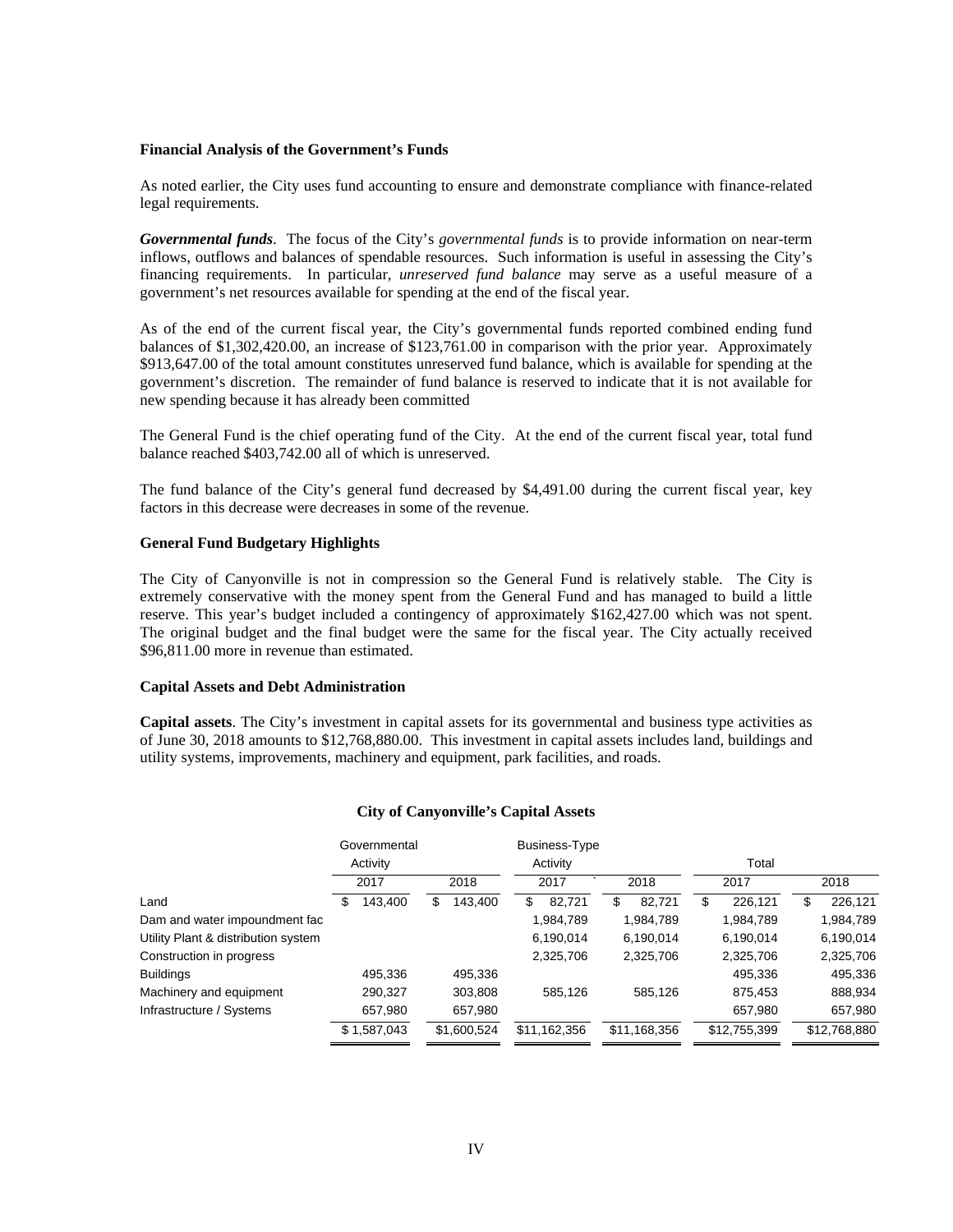#### **Financial Analysis of the Government's Funds**

As noted earlier, the City uses fund accounting to ensure and demonstrate compliance with finance-related legal requirements.

*Governmental funds*. The focus of the City's *governmental funds* is to provide information on near-term inflows, outflows and balances of spendable resources. Such information is useful in assessing the City's financing requirements. In particular, *unreserved fund balance* may serve as a useful measure of a government's net resources available for spending at the end of the fiscal year.

As of the end of the current fiscal year, the City's governmental funds reported combined ending fund balances of \$1,302,420.00, an increase of \$123,761.00 in comparison with the prior year. Approximately \$913,647.00 of the total amount constitutes unreserved fund balance, which is available for spending at the government's discretion. The remainder of fund balance is reserved to indicate that it is not available for new spending because it has already been committed

The General Fund is the chief operating fund of the City. At the end of the current fiscal year, total fund balance reached \$403,742.00 all of which is unreserved.

The fund balance of the City's general fund decreased by \$4,491.00 during the current fiscal year, key factors in this decrease were decreases in some of the revenue.

#### **General Fund Budgetary Highlights**

The City of Canyonville is not in compression so the General Fund is relatively stable. The City is extremely conservative with the money spent from the General Fund and has managed to build a little reserve. This year's budget included a contingency of approximately \$162,427.00 which was not spent. The original budget and the final budget were the same for the fiscal year. The City actually received \$96,811.00 more in revenue than estimated.

#### **Capital Assets and Debt Administration**

**Capital assets**. The City's investment in capital assets for its governmental and business type activities as of June 30, 2018 amounts to \$12,768,880.00. This investment in capital assets includes land, buildings and utility systems, improvements, machinery and equipment, park facilities, and roads.

|                                     |   | Governmental |     |             |          | <b>Business-Type</b> |    |              |       |              |   |              |
|-------------------------------------|---|--------------|-----|-------------|----------|----------------------|----|--------------|-------|--------------|---|--------------|
|                                     |   | Activity     |     |             | Activity |                      |    |              | Total |              |   |              |
|                                     |   | 2017         |     | 2018        |          | 2017                 |    | 2018         |       | 2017         |   | 2018         |
| Land                                | S | 143,400      | \$. | 143,400     | \$.      | 82,721               | \$ | 82,721       | \$.   | 226,121      | S | 226,121      |
| Dam and water impoundment fac       |   |              |     |             |          | 1,984,789            |    | 1,984,789    |       | 1,984,789    |   | 1,984,789    |
| Utility Plant & distribution system |   |              |     |             |          | 6,190,014            |    | 6,190,014    |       | 6,190,014    |   | 6,190,014    |
| Construction in progress            |   |              |     |             |          | 2,325,706            |    | 2,325,706    |       | 2,325,706    |   | 2,325,706    |
| <b>Buildings</b>                    |   | 495.336      |     | 495,336     |          |                      |    |              |       | 495,336      |   | 495,336      |
| Machinery and equipment             |   | 290,327      |     | 303.808     |          | 585.126              |    | 585.126      |       | 875,453      |   | 888,934      |
| Infrastructure / Systems            |   | 657,980      |     | 657,980     |          |                      |    |              |       | 657,980      |   | 657,980      |
|                                     |   | \$1,587,043  |     | \$1,600,524 |          | \$11.162.356         |    | \$11,168,356 |       | \$12,755,399 |   | \$12,768,880 |

#### **City of Canyonville's Capital Assets**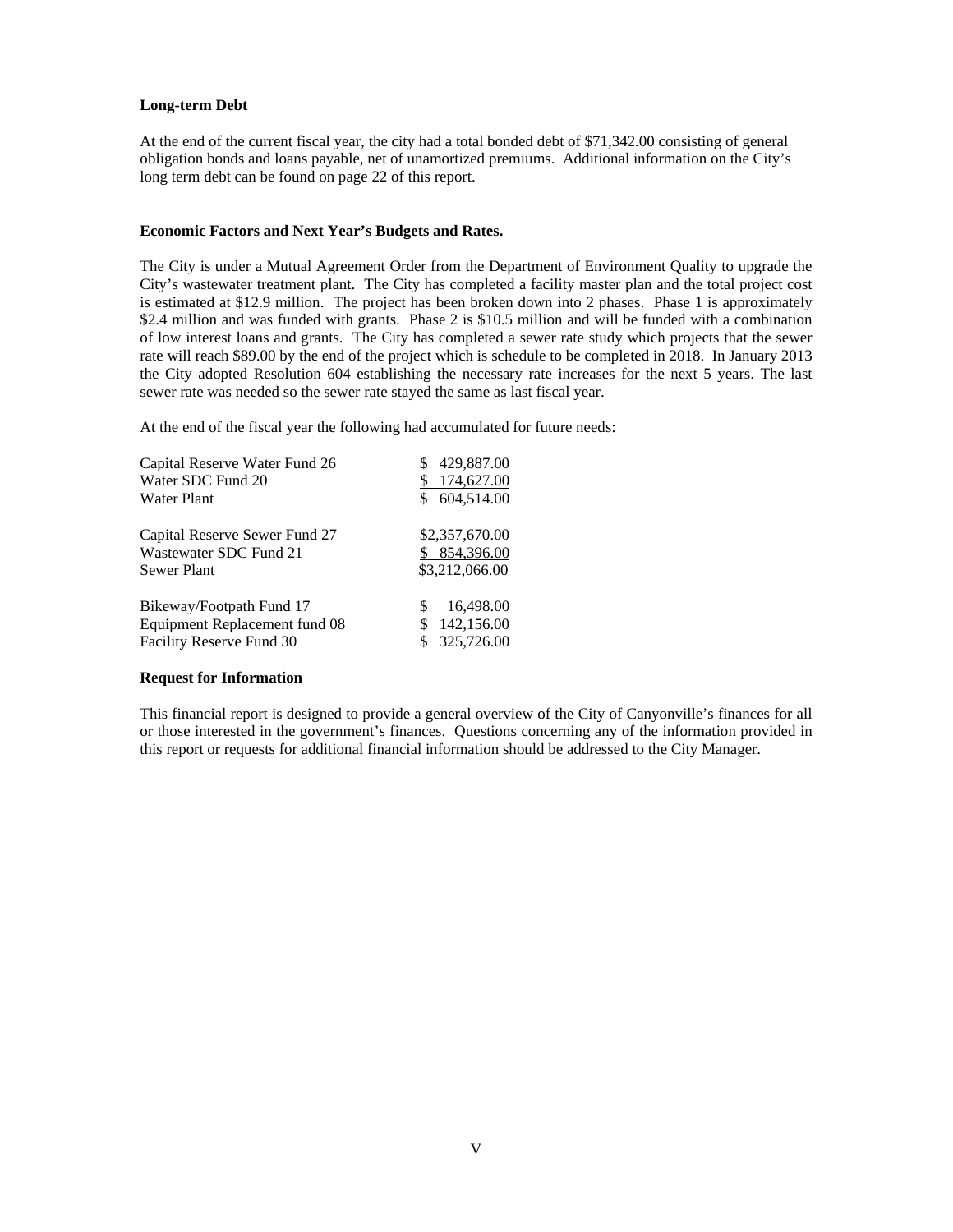#### **Long-term Debt**

At the end of the current fiscal year, the city had a total bonded debt of \$71,342.00 consisting of general obligation bonds and loans payable, net of unamortized premiums. Additional information on the City's long term debt can be found on page 22 of this report.

#### **Economic Factors and Next Year's Budgets and Rates.**

The City is under a Mutual Agreement Order from the Department of Environment Quality to upgrade the City's wastewater treatment plant. The City has completed a facility master plan and the total project cost is estimated at \$12.9 million. The project has been broken down into 2 phases. Phase 1 is approximately \$2.4 million and was funded with grants. Phase 2 is \$10.5 million and will be funded with a combination of low interest loans and grants. The City has completed a sewer rate study which projects that the sewer rate will reach \$89.00 by the end of the project which is schedule to be completed in 2018. In January 2013 the City adopted Resolution 604 establishing the necessary rate increases for the next 5 years. The last sewer rate was needed so the sewer rate stayed the same as last fiscal year.

At the end of the fiscal year the following had accumulated for future needs:

| Capital Reserve Water Fund 26   | 429,887.00      |
|---------------------------------|-----------------|
| Water SDC Fund 20               | 174,627.00      |
| Water Plant                     | 604,514.00      |
| Capital Reserve Sewer Fund 27   | \$2,357,670.00  |
| Wastewater SDC Fund 21          | \$ 854,396.00   |
| Sewer Plant                     | \$3,212,066.00  |
| Bikeway/Footpath Fund 17        | 16.498.00<br>S. |
| Equipment Replacement fund 08   | 142,156.00      |
| <b>Facility Reserve Fund 30</b> | 325,726.00      |

#### **Request for Information**

This financial report is designed to provide a general overview of the City of Canyonville's finances for all or those interested in the government's finances. Questions concerning any of the information provided in this report or requests for additional financial information should be addressed to the City Manager.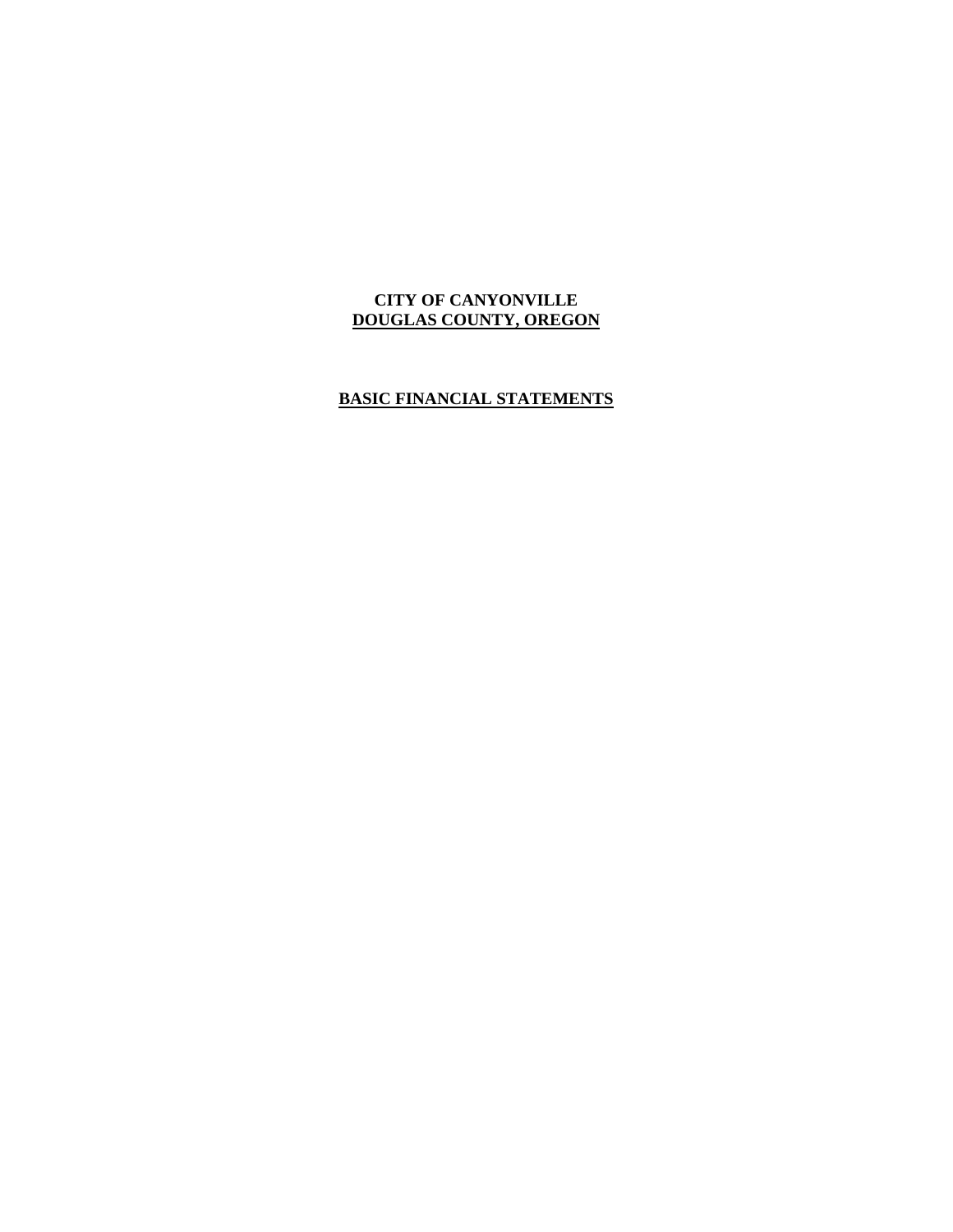### **BASIC FINANCIAL STATEMENTS**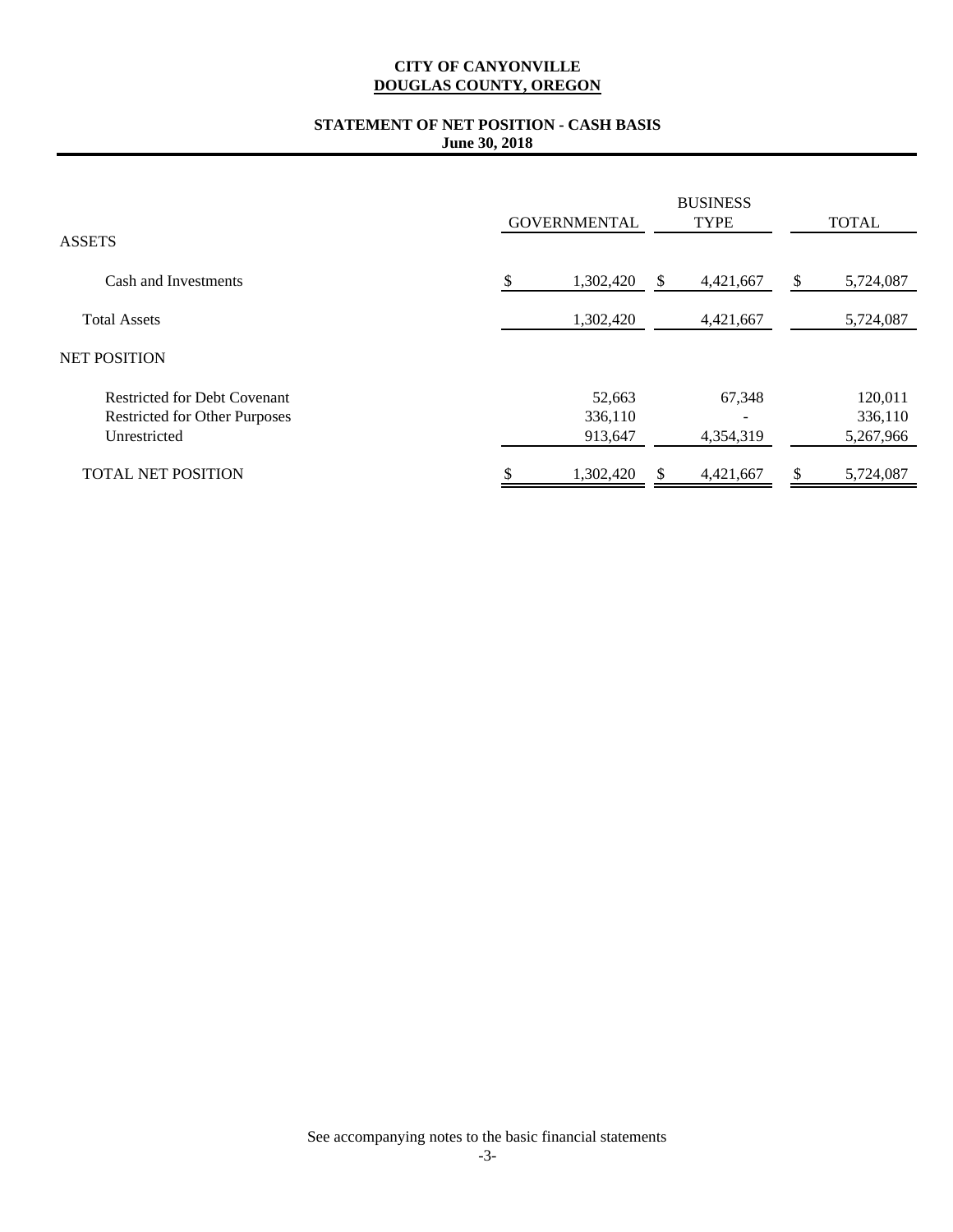### **STATEMENT OF NET POSITION - CASH BASIS June 30, 2018**

|                                      | <b>GOVERNMENTAL</b> |           |    | <b>BUSINESS</b><br><b>TYPE</b> | <b>TOTAL</b> |           |  |
|--------------------------------------|---------------------|-----------|----|--------------------------------|--------------|-----------|--|
| <b>ASSETS</b>                        |                     |           |    |                                |              |           |  |
| Cash and Investments                 |                     | 1,302,420 | \$ | 4,421,667                      | \$           | 5,724,087 |  |
| <b>Total Assets</b>                  |                     | 1,302,420 |    | 4,421,667                      |              | 5,724,087 |  |
| <b>NET POSITION</b>                  |                     |           |    |                                |              |           |  |
| <b>Restricted for Debt Covenant</b>  |                     | 52,663    |    | 67,348                         |              | 120,011   |  |
| <b>Restricted for Other Purposes</b> |                     | 336,110   |    |                                |              | 336,110   |  |
| Unrestricted                         |                     | 913,647   |    | 4,354,319                      |              | 5,267,966 |  |
| <b>TOTAL NET POSITION</b>            | \$                  | 1,302,420 | \$ | 4,421,667                      | \$           | 5,724,087 |  |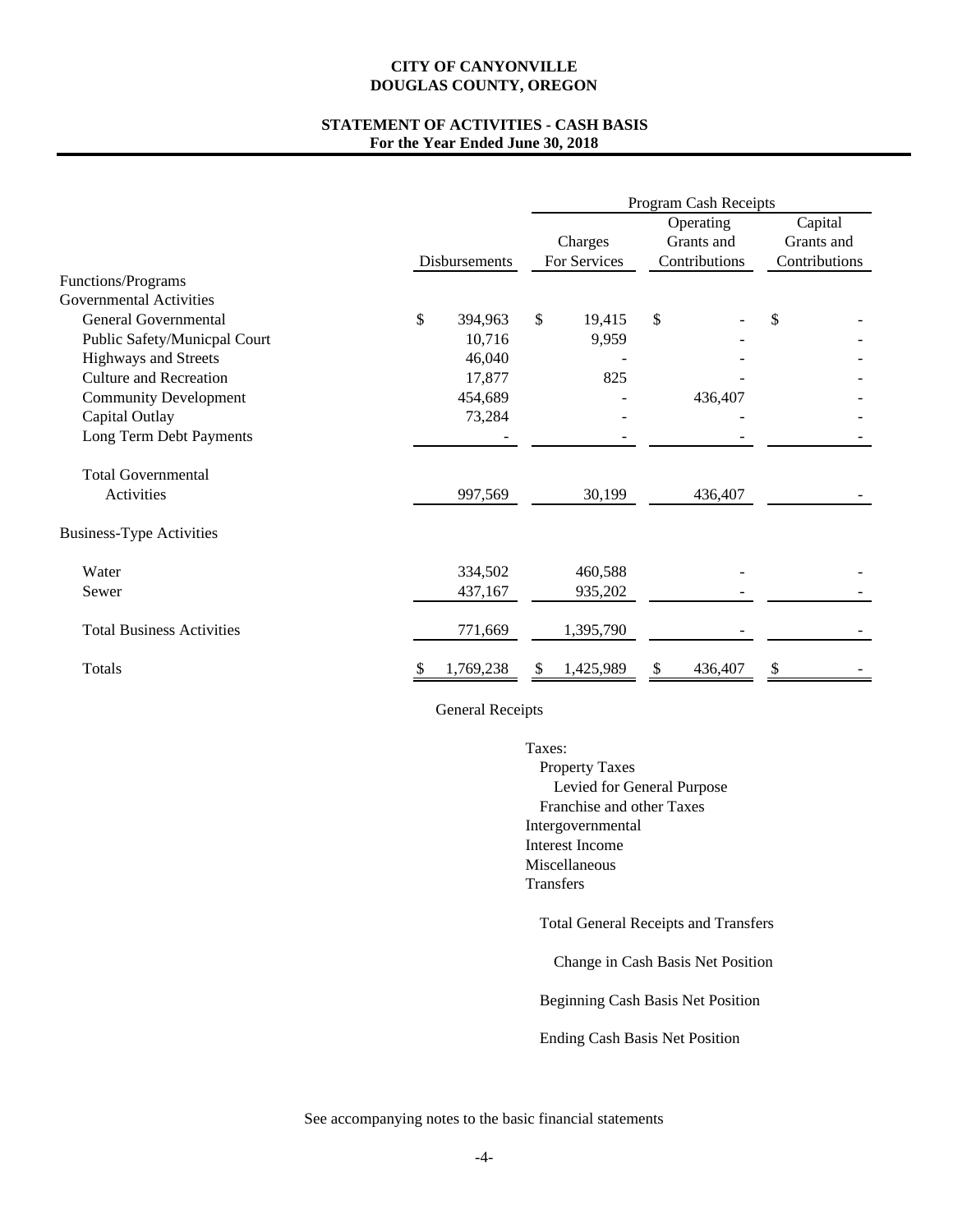#### **STATEMENT OF ACTIVITIES - CASH BASIS For the Year Ended June 30, 2018**

|                                  |    | Program Cash Receipts |              |              |                         |    |                       |
|----------------------------------|----|-----------------------|--------------|--------------|-------------------------|----|-----------------------|
|                                  |    |                       |              | Charges      | Operating<br>Grants and |    | Capital<br>Grants and |
|                                  |    | Disbursements         |              | For Services | Contributions           |    | Contributions         |
| Functions/Programs               |    |                       |              |              |                         |    |                       |
| Governmental Activities          |    |                       |              |              |                         |    |                       |
| General Governmental             | \$ | 394,963               | $\mathbb{S}$ | 19,415       | \$                      | \$ |                       |
| Public Safety/Municpal Court     |    | 10,716                |              | 9,959        |                         |    |                       |
| <b>Highways and Streets</b>      |    | 46,040                |              |              |                         |    |                       |
| Culture and Recreation           |    | 17,877                |              | 825          |                         |    |                       |
| <b>Community Development</b>     |    | 454,689               |              |              | 436,407                 |    |                       |
| Capital Outlay                   |    | 73,284                |              |              |                         |    |                       |
| Long Term Debt Payments          |    |                       |              |              |                         |    |                       |
| <b>Total Governmental</b>        |    |                       |              |              |                         |    |                       |
| Activities                       |    | 997,569               |              | 30,199       | 436,407                 |    |                       |
| <b>Business-Type Activities</b>  |    |                       |              |              |                         |    |                       |
| Water                            |    | 334,502               |              | 460,588      |                         |    |                       |
| Sewer                            |    | 437,167               |              | 935,202      |                         |    |                       |
| <b>Total Business Activities</b> |    | 771,669               |              | 1,395,790    |                         |    |                       |
| Totals                           |    | 1,769,238             | \$           | 1,425,989    | 436,407                 |    |                       |

General Receipts

Taxes: Property Taxes Levied for General Purpose Franchise and other Taxes Intergovernmental Interest Income Miscellaneous

**Transfers** 

Total General Receipts and Transfers

Change in Cash Basis Net Position

Beginning Cash Basis Net Position

Ending Cash Basis Net Position

See accompanying notes to the basic financial statements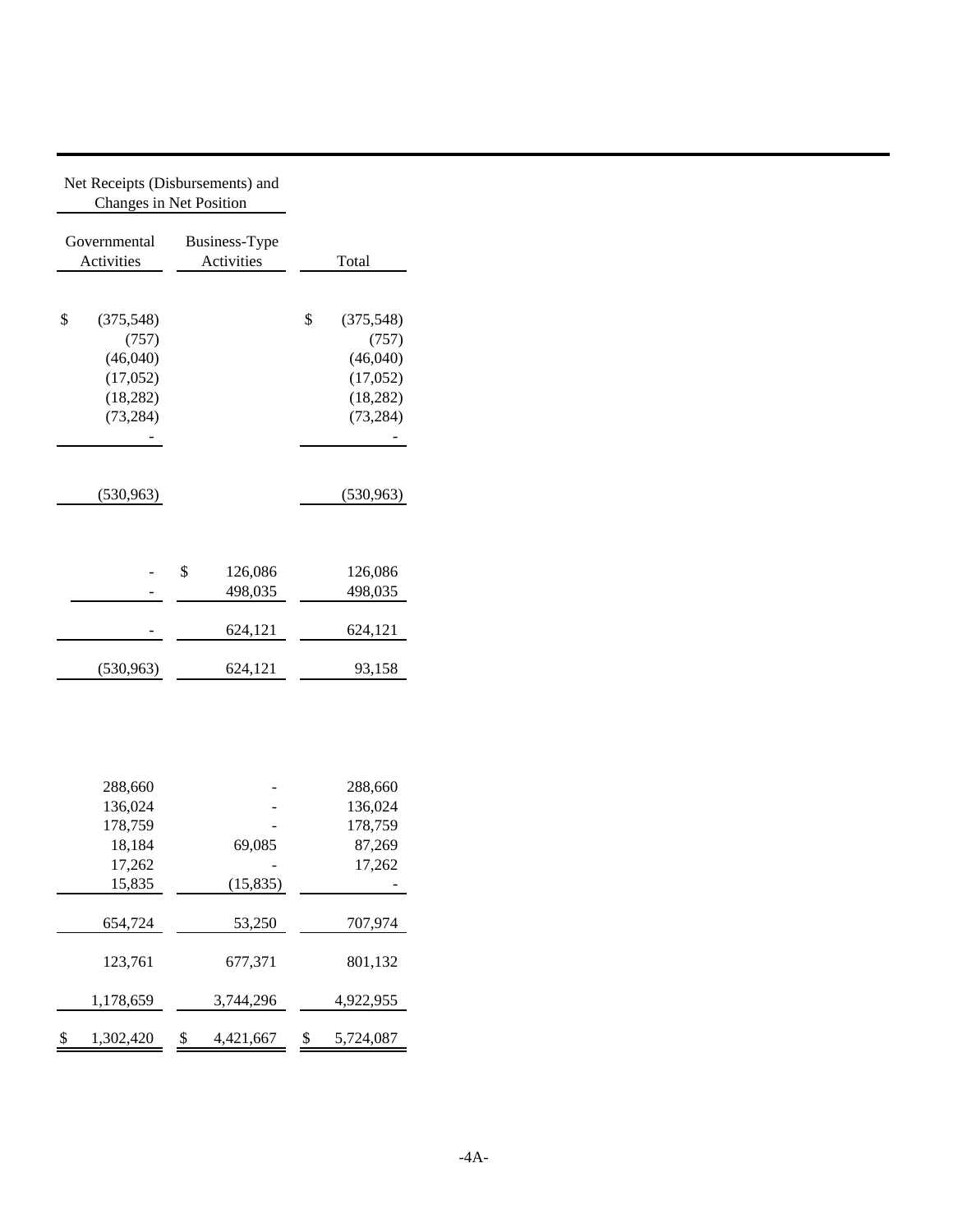| Net Receipts (Disbursements) and<br>Changes in Net Position                |                             |       |                                                                      |  |  |
|----------------------------------------------------------------------------|-----------------------------|-------|----------------------------------------------------------------------|--|--|
| Governmental<br>Activities                                                 | Business-Type<br>Activities | Total |                                                                      |  |  |
| \$<br>(375,548)<br>(757)<br>(46,040)<br>(17,052)<br>(18, 282)<br>(73, 284) |                             | \$    | (375,548)<br>(757)<br>(46,040)<br>(17,052)<br>(18, 282)<br>(73, 284) |  |  |
| (530, 963)                                                                 |                             |       | (530, 963)                                                           |  |  |
|                                                                            | \$<br>126,086<br>498,035    |       | 126,086<br>498,035                                                   |  |  |
|                                                                            | 624,121                     |       | 624,121                                                              |  |  |
| (530, 963)                                                                 | 624,121                     |       | 93,158                                                               |  |  |
|                                                                            |                             |       |                                                                      |  |  |
| 288,660<br>136,024                                                         |                             |       | 288,660<br>136,024                                                   |  |  |
| 178,759                                                                    |                             |       | 178,759                                                              |  |  |
| 18,184                                                                     | 69,085                      |       | 87,269                                                               |  |  |
| 17,262<br>15,835                                                           | (15, 835)                   |       | 17,262                                                               |  |  |
| 654,724                                                                    | 53,250                      |       | 707,974                                                              |  |  |
| 123,761                                                                    | 677,371                     |       | 801,132                                                              |  |  |
| 1,178,659                                                                  | 3,744,296                   |       | 4,922,955                                                            |  |  |
| \$<br>1,302,420                                                            | \$<br>4,421,667             | \$    | 5,724,087                                                            |  |  |

-4A-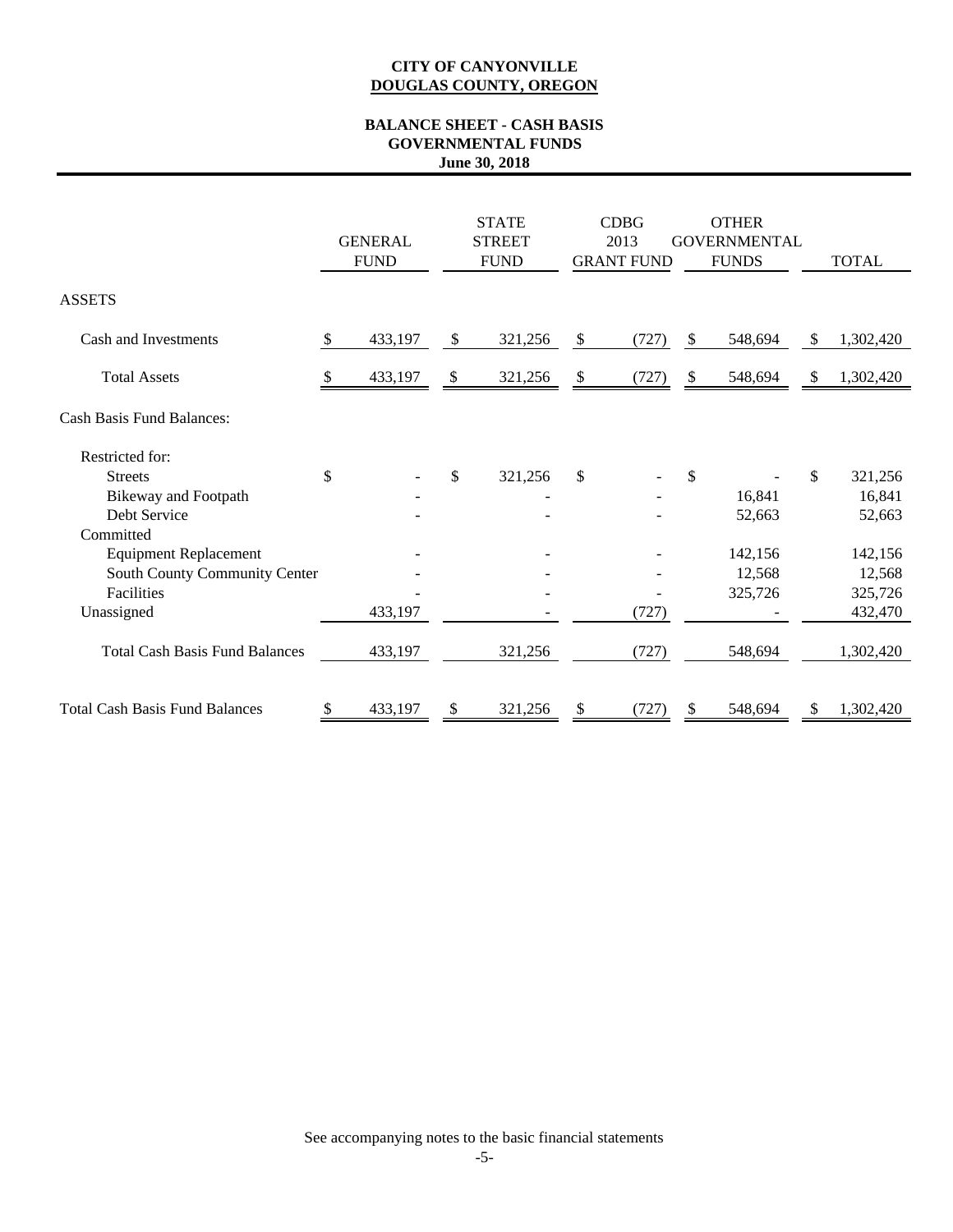#### **BALANCE SHEET - CASH BASIS GOVERNMENTAL FUNDS June 30, 2018**

|                                       |               | <b>GENERAL</b><br><b>FUND</b> |         | <b>STATE</b><br><b>STREET</b><br><b>FUND</b> |         | <b>CDBG</b><br>2013<br><b>GRANT FUND</b> |              | <b>OTHER</b><br><b>GOVERNMENTAL</b><br><b>FUNDS</b> |                           | <b>TOTAL</b> |
|---------------------------------------|---------------|-------------------------------|---------|----------------------------------------------|---------|------------------------------------------|--------------|-----------------------------------------------------|---------------------------|--------------|
| <b>ASSETS</b>                         |               |                               |         |                                              |         |                                          |              |                                                     |                           |              |
|                                       |               |                               |         |                                              |         |                                          |              |                                                     |                           |              |
| Cash and Investments                  | <sup>\$</sup> | 433,197                       | $\sqrt$ | 321,256                                      | $\sqrt$ | (727)                                    | $\mathbb{S}$ | 548,694                                             | $\boldsymbol{\mathsf{S}}$ | 1,302,420    |
| <b>Total Assets</b>                   | <b>S</b>      | 433,197                       | \$      | 321,256                                      | \$      | (727)                                    | \$           | 548,694                                             | \$                        | 1,302,420    |
| <b>Cash Basis Fund Balances:</b>      |               |                               |         |                                              |         |                                          |              |                                                     |                           |              |
| Restricted for:                       |               |                               |         |                                              |         |                                          |              |                                                     |                           |              |
| <b>Streets</b>                        | \$            |                               | \$      | 321,256                                      | \$      |                                          | \$           |                                                     | \$                        | 321,256      |
| <b>Bikeway and Footpath</b>           |               |                               |         |                                              |         |                                          |              | 16,841                                              |                           | 16,841       |
| Debt Service                          |               |                               |         |                                              |         |                                          |              | 52,663                                              |                           | 52,663       |
| Committed                             |               |                               |         |                                              |         |                                          |              |                                                     |                           |              |
| <b>Equipment Replacement</b>          |               |                               |         |                                              |         |                                          |              | 142,156                                             |                           | 142,156      |
| South County Community Center         |               |                               |         |                                              |         |                                          |              | 12,568                                              |                           | 12,568       |
| Facilities                            |               |                               |         |                                              |         |                                          |              | 325,726                                             |                           | 325,726      |
| Unassigned                            |               | 433,197                       |         |                                              |         | (727)                                    |              |                                                     |                           | 432,470      |
| <b>Total Cash Basis Fund Balances</b> |               | 433,197                       |         | 321,256                                      |         | (727)                                    |              | 548,694                                             |                           | 1,302,420    |
| <b>Total Cash Basis Fund Balances</b> | \$            | 433,197                       | \$      | 321,256                                      | \$      | (727)                                    | \$           | 548,694                                             | \$                        | 1,302,420    |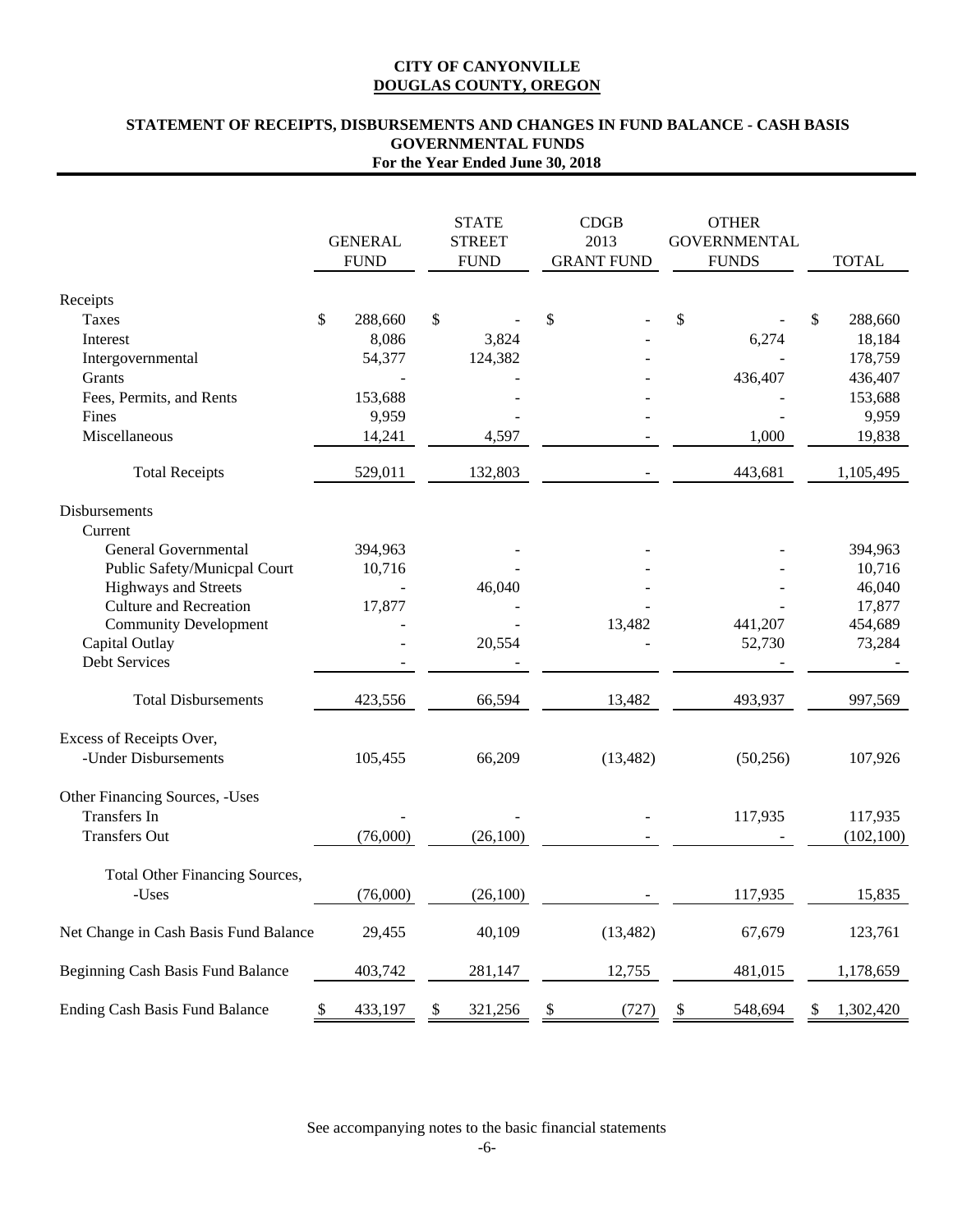#### **STATEMENT OF RECEIPTS, DISBURSEMENTS AND CHANGES IN FUND BALANCE - CASH BASIS GOVERNMENTAL FUNDS For the Year Ended June 30, 2018**

|                                                | <b>GENERAL</b><br><b>FUND</b> | <b>STATE</b><br><b>STREET</b><br><b>FUND</b> | <b>CDGB</b><br>2013<br><b>GRANT FUND</b> | <b>OTHER</b><br><b>GOVERNMENTAL</b><br><b>FUNDS</b> | <b>TOTAL</b>    |
|------------------------------------------------|-------------------------------|----------------------------------------------|------------------------------------------|-----------------------------------------------------|-----------------|
| Receipts                                       |                               |                                              |                                          |                                                     |                 |
| Taxes                                          | \$<br>288,660                 | \$                                           | \$                                       | \$                                                  | \$<br>288,660   |
| Interest                                       | 8,086                         | 3,824                                        |                                          | 6,274                                               | 18,184          |
| Intergovernmental                              | 54,377                        | 124,382                                      |                                          |                                                     | 178,759         |
| Grants                                         |                               |                                              |                                          | 436,407                                             | 436,407         |
| Fees, Permits, and Rents                       | 153,688                       |                                              |                                          |                                                     | 153,688         |
| Fines                                          | 9,959                         |                                              |                                          |                                                     | 9,959           |
| Miscellaneous                                  | 14,241                        | 4,597                                        |                                          | 1,000                                               | 19,838          |
| <b>Total Receipts</b>                          | 529,011                       | 132,803                                      |                                          | 443,681                                             | 1,105,495       |
| Disbursements<br>Current                       |                               |                                              |                                          |                                                     |                 |
| <b>General Governmental</b>                    | 394,963                       |                                              |                                          |                                                     | 394,963         |
| Public Safety/Municpal Court                   | 10,716                        |                                              |                                          |                                                     | 10,716          |
| <b>Highways and Streets</b>                    |                               | 46,040                                       |                                          |                                                     | 46,040          |
| <b>Culture and Recreation</b>                  | 17,877                        |                                              |                                          |                                                     | 17,877          |
| <b>Community Development</b>                   |                               |                                              | 13,482                                   | 441,207                                             | 454,689         |
| Capital Outlay                                 |                               | 20,554                                       |                                          | 52,730                                              | 73,284          |
| <b>Debt Services</b>                           |                               |                                              |                                          |                                                     |                 |
| <b>Total Disbursements</b>                     | 423,556                       | 66,594                                       | 13,482                                   | 493,937                                             | 997,569         |
| Excess of Receipts Over,                       |                               |                                              |                                          |                                                     |                 |
| -Under Disbursements                           | 105,455                       | 66,209                                       | (13, 482)                                | (50, 256)                                           | 107,926         |
| Other Financing Sources, -Uses<br>Transfers In |                               |                                              |                                          | 117,935                                             | 117,935         |
| <b>Transfers Out</b>                           | (76,000)                      | (26,100)                                     |                                          |                                                     | (102, 100)      |
| <b>Total Other Financing Sources,</b>          |                               |                                              |                                          |                                                     |                 |
| -Uses                                          | (76,000)                      | (26,100)                                     |                                          | 117,935                                             | 15,835          |
| Net Change in Cash Basis Fund Balance          | 29,455                        | 40,109                                       | (13, 482)                                | 67,679                                              | 123,761         |
| Beginning Cash Basis Fund Balance              | 403,742                       | 281,147                                      | 12,755                                   | 481,015                                             | 1,178,659       |
| <b>Ending Cash Basis Fund Balance</b>          | 433,197<br>\$                 | 321,256<br>\$                                | (727)<br>P.                              | 548,694                                             | 1,302,420<br>\$ |

See accompanying notes to the basic financial statements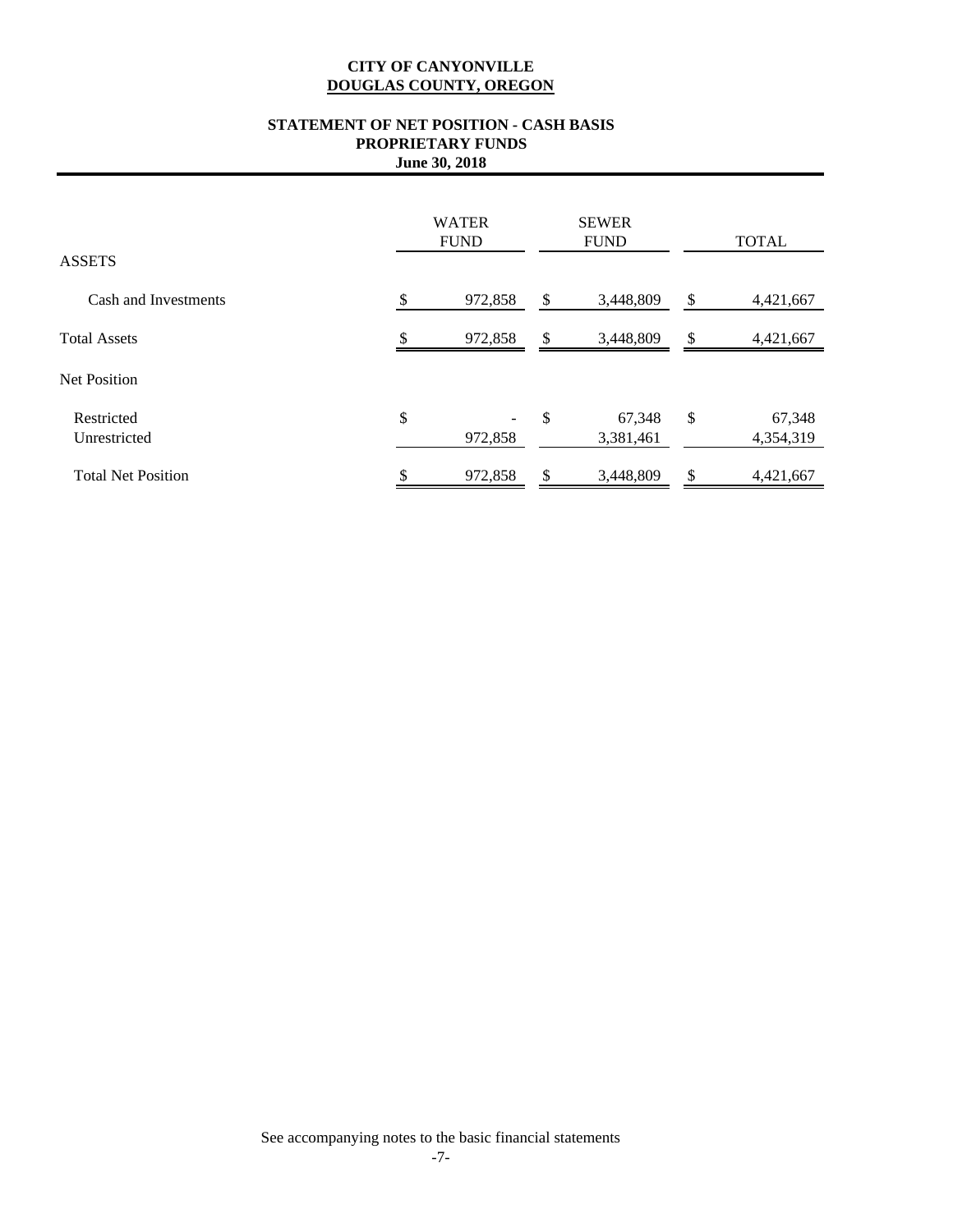#### **STATEMENT OF NET POSITION - CASH BASIS PROPRIETARY FUNDS June 30, 2018**

| <b>ASSETS</b>              |    | <b>WATER</b><br><b>FUND</b> |               | <b>SEWER</b><br><b>FUND</b> |              | <b>TOTAL</b>        |
|----------------------------|----|-----------------------------|---------------|-----------------------------|--------------|---------------------|
| Cash and Investments       | S. | 972,858                     | \$            | 3,448,809                   | \$           | 4,421,667           |
| <b>Total Assets</b>        |    | 972,858                     | \$            | 3,448,809                   | $\mathbb{S}$ | 4,421,667           |
| <b>Net Position</b>        |    |                             |               |                             |              |                     |
| Restricted<br>Unrestricted | \$ | $\equiv$<br>972,858         | $\mathcal{S}$ | 67,348<br>3,381,461         | \$           | 67,348<br>4,354,319 |
| <b>Total Net Position</b>  |    | 972,858                     | \$            | 3,448,809                   | \$           | 4,421,667           |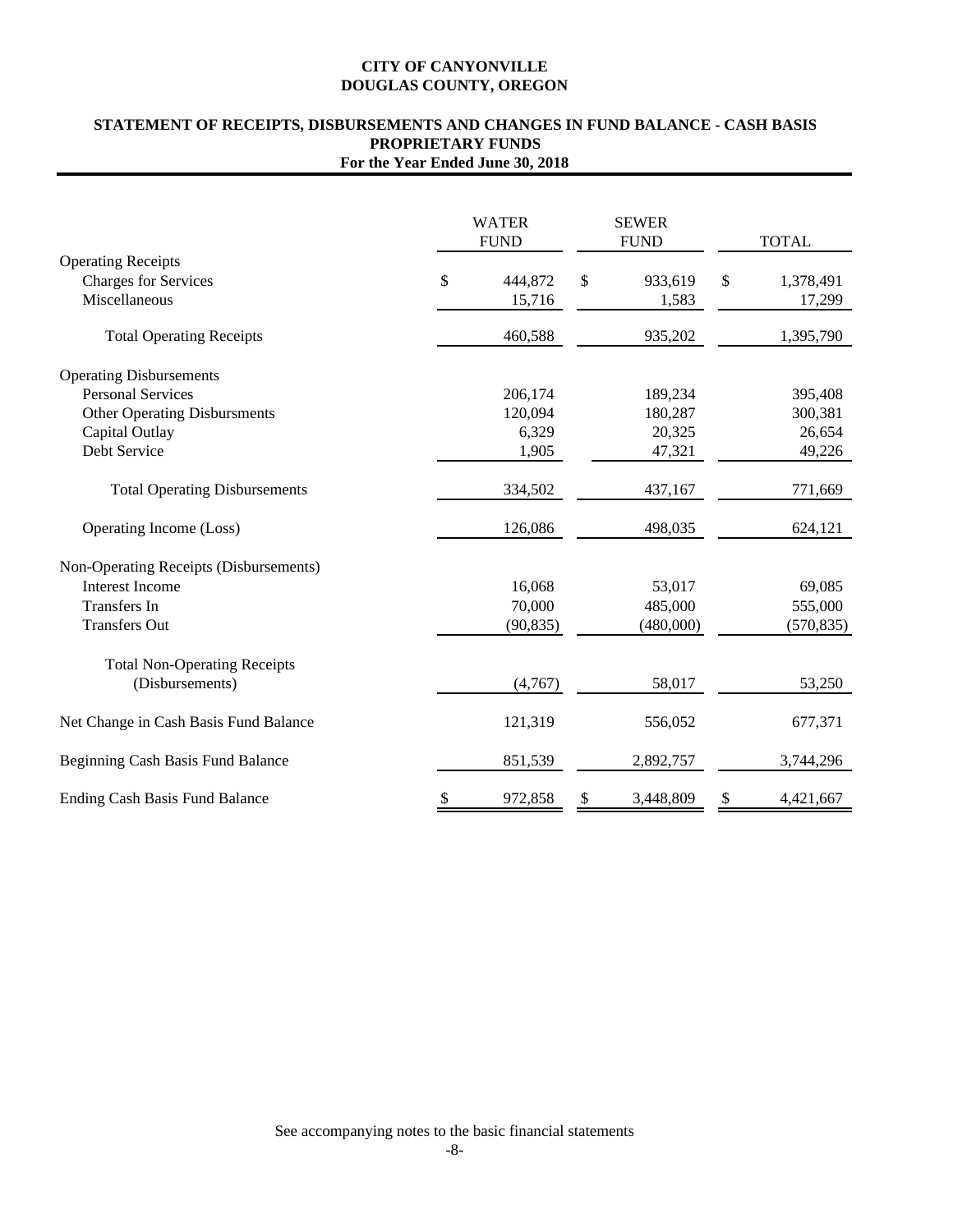#### **STATEMENT OF RECEIPTS, DISBURSEMENTS AND CHANGES IN FUND BALANCE - CASH BASIS PROPRIETARY FUNDS For the Year Ended June 30, 2018**

|                                        | <b>WATER</b><br><b>FUND</b> | <b>SEWER</b><br><b>FUND</b> |    | <b>TOTAL</b> |
|----------------------------------------|-----------------------------|-----------------------------|----|--------------|
| <b>Operating Receipts</b>              |                             |                             |    |              |
| <b>Charges for Services</b>            | \$<br>444,872               | \$<br>933,619               | \$ | 1,378,491    |
| Miscellaneous                          | 15,716                      | 1,583                       |    | 17,299       |
| <b>Total Operating Receipts</b>        | 460,588                     | 935,202                     |    | 1,395,790    |
| <b>Operating Disbursements</b>         |                             |                             |    |              |
| <b>Personal Services</b>               | 206,174                     | 189,234                     |    | 395,408      |
| <b>Other Operating Disbursments</b>    | 120,094                     | 180,287                     |    | 300,381      |
| Capital Outlay                         | 6,329                       | 20,325                      |    | 26,654       |
| Debt Service                           | 1,905                       | 47,321                      |    | 49,226       |
| <b>Total Operating Disbursements</b>   | 334,502                     | 437,167                     |    | 771,669      |
| Operating Income (Loss)                | 126,086                     | 498,035                     |    | 624,121      |
| Non-Operating Receipts (Disbursements) |                             |                             |    |              |
| <b>Interest Income</b>                 | 16,068                      | 53,017                      |    | 69,085       |
| <b>Transfers</b> In                    | 70,000                      | 485,000                     |    | 555,000      |
| <b>Transfers Out</b>                   | (90, 835)                   | (480,000)                   |    | (570, 835)   |
| <b>Total Non-Operating Receipts</b>    |                             |                             |    |              |
| (Disbursements)                        | (4,767)                     | 58,017                      |    | 53,250       |
| Net Change in Cash Basis Fund Balance  | 121,319                     | 556,052                     |    | 677,371      |
| Beginning Cash Basis Fund Balance      | 851,539                     | 2,892,757                   |    | 3,744,296    |
| <b>Ending Cash Basis Fund Balance</b>  | \$<br>972,858               | \$<br>3,448,809             | P. | 4,421,667    |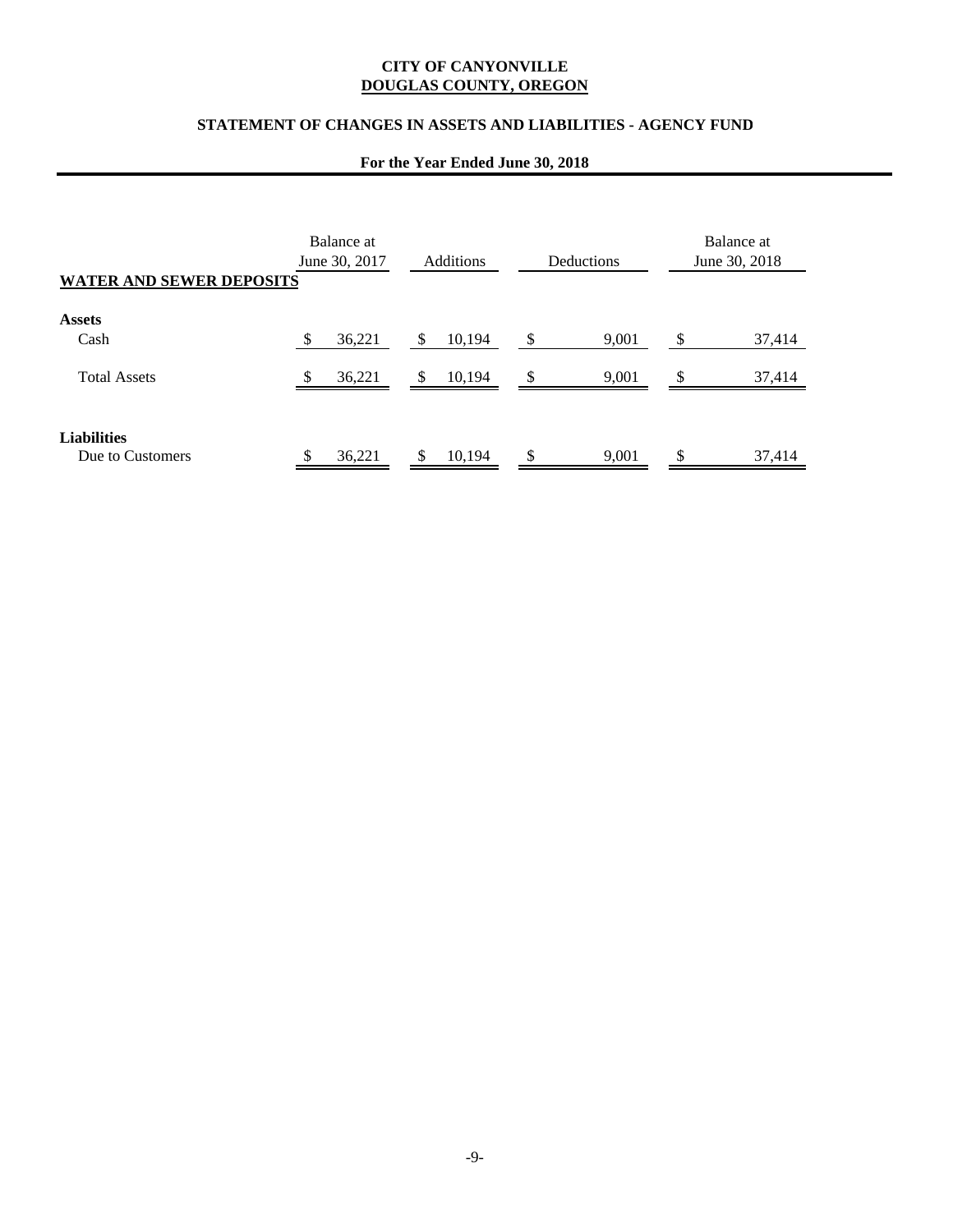### **STATEMENT OF CHANGES IN ASSETS AND LIABILITIES - AGENCY FUND**

#### **For the Year Ended June 30, 2018**

|                                 |     | Balance at<br>June 30, 2017 |    | <b>Additions</b> | Deductions  | Balance at<br>June 30, 2018 |
|---------------------------------|-----|-----------------------------|----|------------------|-------------|-----------------------------|
| <b>WATER AND SEWER DEPOSITS</b> |     |                             |    |                  |             |                             |
| <b>Assets</b>                   |     |                             |    |                  |             |                             |
| Cash                            | \$. | 36,221                      | S  | 10,194           | \$<br>9,001 | \$<br>37,414                |
| <b>Total Assets</b>             | \$  | 36,221                      | \$ | 10,194           | \$<br>9,001 | \$<br>37,414                |
|                                 |     |                             |    |                  |             |                             |
| <b>Liabilities</b>              |     |                             |    |                  |             |                             |
| Due to Customers                |     | 36,221                      |    | 10,194           | 9,001       | \$<br>37,414                |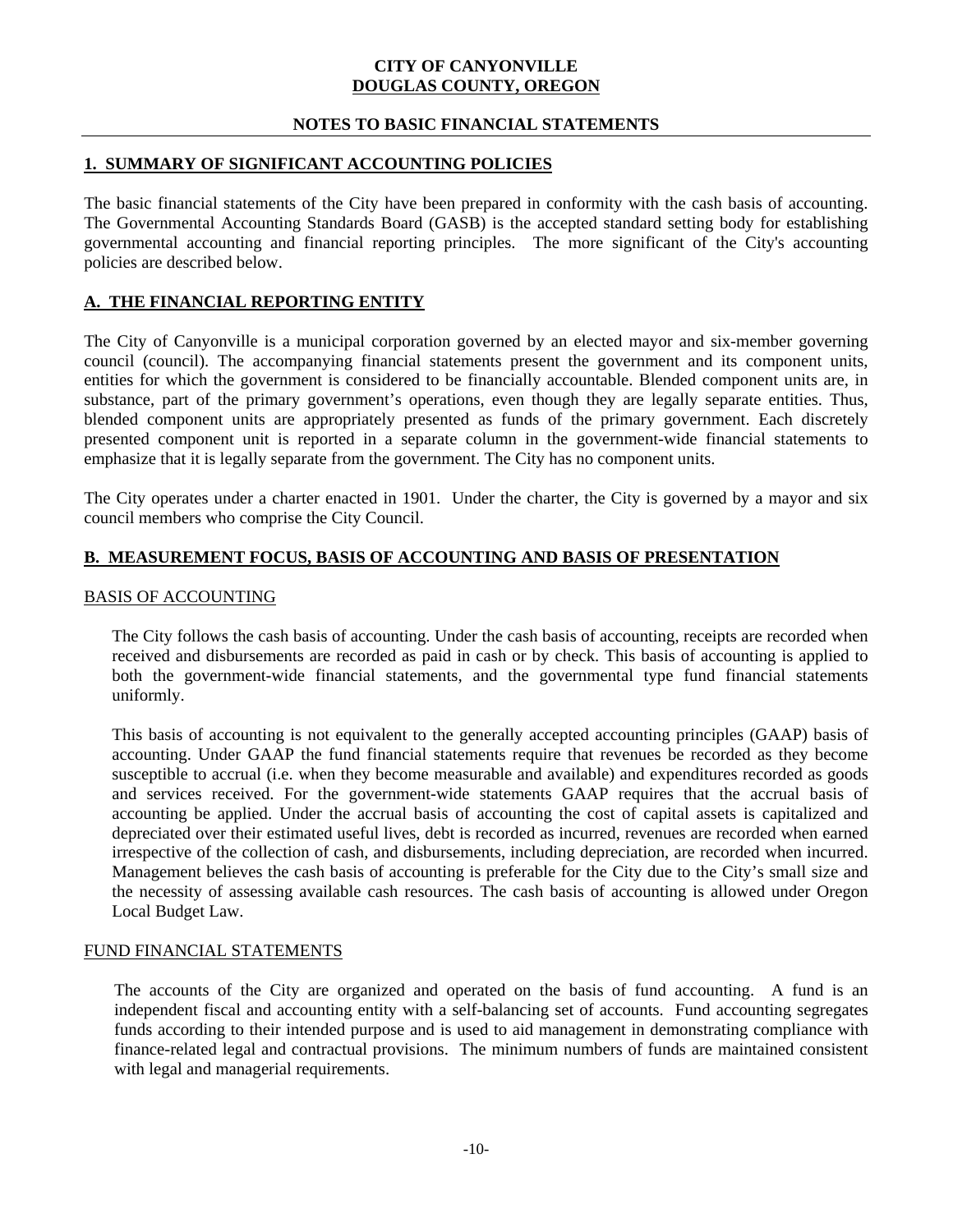### **NOTES TO BASIC FINANCIAL STATEMENTS**

### **1. SUMMARY OF SIGNIFICANT ACCOUNTING POLICIES**

The basic financial statements of the City have been prepared in conformity with the cash basis of accounting. The Governmental Accounting Standards Board (GASB) is the accepted standard setting body for establishing governmental accounting and financial reporting principles. The more significant of the City's accounting policies are described below.

### **A. THE FINANCIAL REPORTING ENTITY**

The City of Canyonville is a municipal corporation governed by an elected mayor and six-member governing council (council). The accompanying financial statements present the government and its component units, entities for which the government is considered to be financially accountable. Blended component units are, in substance, part of the primary government's operations, even though they are legally separate entities. Thus, blended component units are appropriately presented as funds of the primary government. Each discretely presented component unit is reported in a separate column in the government-wide financial statements to emphasize that it is legally separate from the government. The City has no component units.

The City operates under a charter enacted in 1901. Under the charter, the City is governed by a mayor and six council members who comprise the City Council.

### **B. MEASUREMENT FOCUS, BASIS OF ACCOUNTING AND BASIS OF PRESENTATION**

### BASIS OF ACCOUNTING

The City follows the cash basis of accounting. Under the cash basis of accounting, receipts are recorded when received and disbursements are recorded as paid in cash or by check. This basis of accounting is applied to both the government-wide financial statements, and the governmental type fund financial statements uniformly.

This basis of accounting is not equivalent to the generally accepted accounting principles (GAAP) basis of accounting. Under GAAP the fund financial statements require that revenues be recorded as they become susceptible to accrual (i.e. when they become measurable and available) and expenditures recorded as goods and services received. For the government-wide statements GAAP requires that the accrual basis of accounting be applied. Under the accrual basis of accounting the cost of capital assets is capitalized and depreciated over their estimated useful lives, debt is recorded as incurred, revenues are recorded when earned irrespective of the collection of cash, and disbursements, including depreciation, are recorded when incurred. Management believes the cash basis of accounting is preferable for the City due to the City's small size and the necessity of assessing available cash resources. The cash basis of accounting is allowed under Oregon Local Budget Law.

#### FUND FINANCIAL STATEMENTS

The accounts of the City are organized and operated on the basis of fund accounting. A fund is an independent fiscal and accounting entity with a self-balancing set of accounts. Fund accounting segregates funds according to their intended purpose and is used to aid management in demonstrating compliance with finance-related legal and contractual provisions. The minimum numbers of funds are maintained consistent with legal and managerial requirements.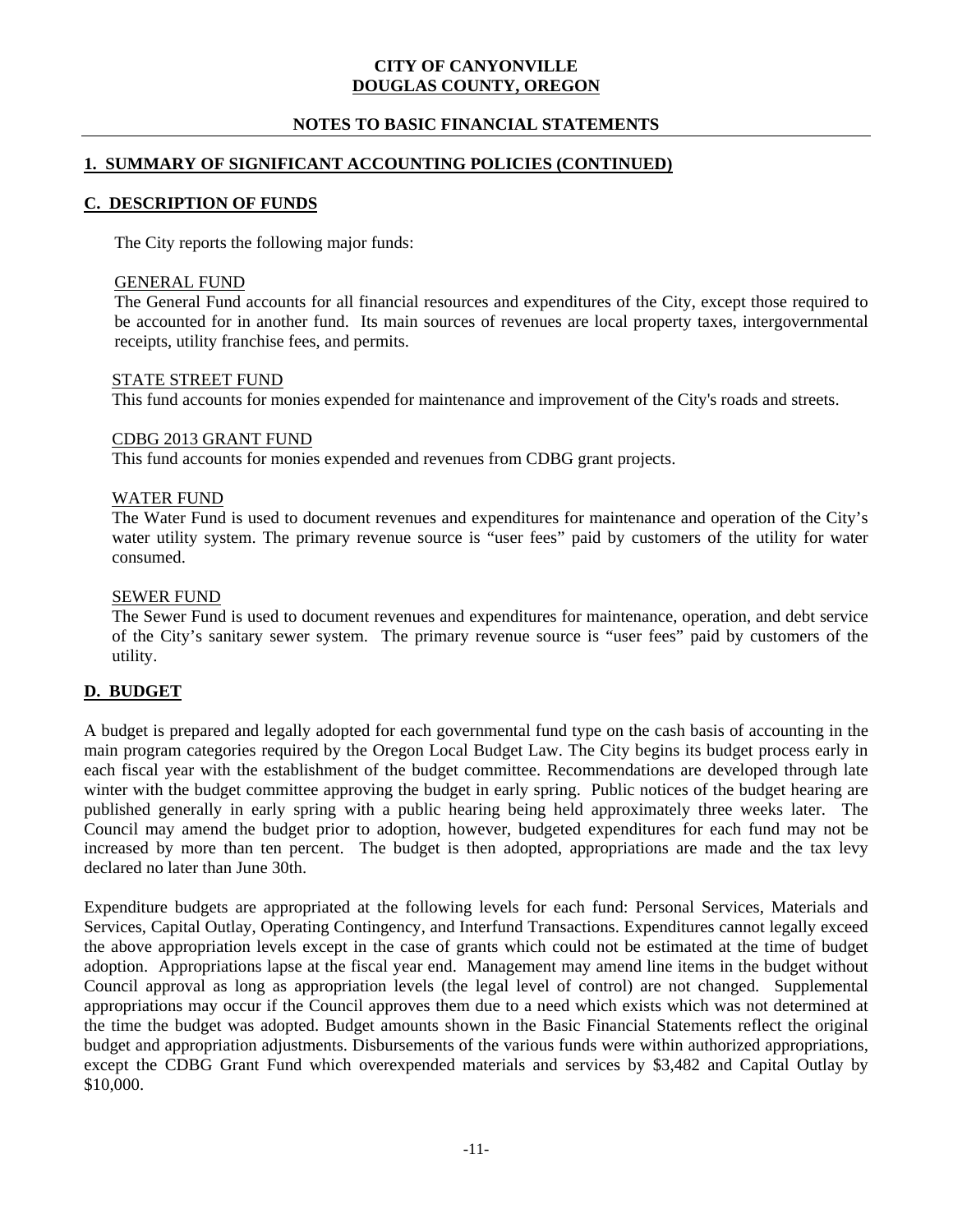### **NOTES TO BASIC FINANCIAL STATEMENTS**

### **1. SUMMARY OF SIGNIFICANT ACCOUNTING POLICIES (CONTINUED)**

#### **C. DESCRIPTION OF FUNDS**

The City reports the following major funds:

#### GENERAL FUND

The General Fund accounts for all financial resources and expenditures of the City, except those required to be accounted for in another fund. Its main sources of revenues are local property taxes, intergovernmental receipts, utility franchise fees, and permits.

#### STATE STREET FUND

This fund accounts for monies expended for maintenance and improvement of the City's roads and streets.

#### CDBG 2013 GRANT FUND

This fund accounts for monies expended and revenues from CDBG grant projects.

#### WATER FUND

The Water Fund is used to document revenues and expenditures for maintenance and operation of the City's water utility system. The primary revenue source is "user fees" paid by customers of the utility for water consumed.

#### SEWER FUND

The Sewer Fund is used to document revenues and expenditures for maintenance, operation, and debt service of the City's sanitary sewer system. The primary revenue source is "user fees" paid by customers of the utility.

### **D. BUDGET**

A budget is prepared and legally adopted for each governmental fund type on the cash basis of accounting in the main program categories required by the Oregon Local Budget Law. The City begins its budget process early in each fiscal year with the establishment of the budget committee. Recommendations are developed through late winter with the budget committee approving the budget in early spring. Public notices of the budget hearing are published generally in early spring with a public hearing being held approximately three weeks later. The Council may amend the budget prior to adoption, however, budgeted expenditures for each fund may not be increased by more than ten percent. The budget is then adopted, appropriations are made and the tax levy declared no later than June 30th.

Expenditure budgets are appropriated at the following levels for each fund: Personal Services, Materials and Services, Capital Outlay, Operating Contingency, and Interfund Transactions. Expenditures cannot legally exceed the above appropriation levels except in the case of grants which could not be estimated at the time of budget adoption. Appropriations lapse at the fiscal year end. Management may amend line items in the budget without Council approval as long as appropriation levels (the legal level of control) are not changed. Supplemental appropriations may occur if the Council approves them due to a need which exists which was not determined at the time the budget was adopted. Budget amounts shown in the Basic Financial Statements reflect the original budget and appropriation adjustments. Disbursements of the various funds were within authorized appropriations, except the CDBG Grant Fund which overexpended materials and services by \$3,482 and Capital Outlay by \$10,000.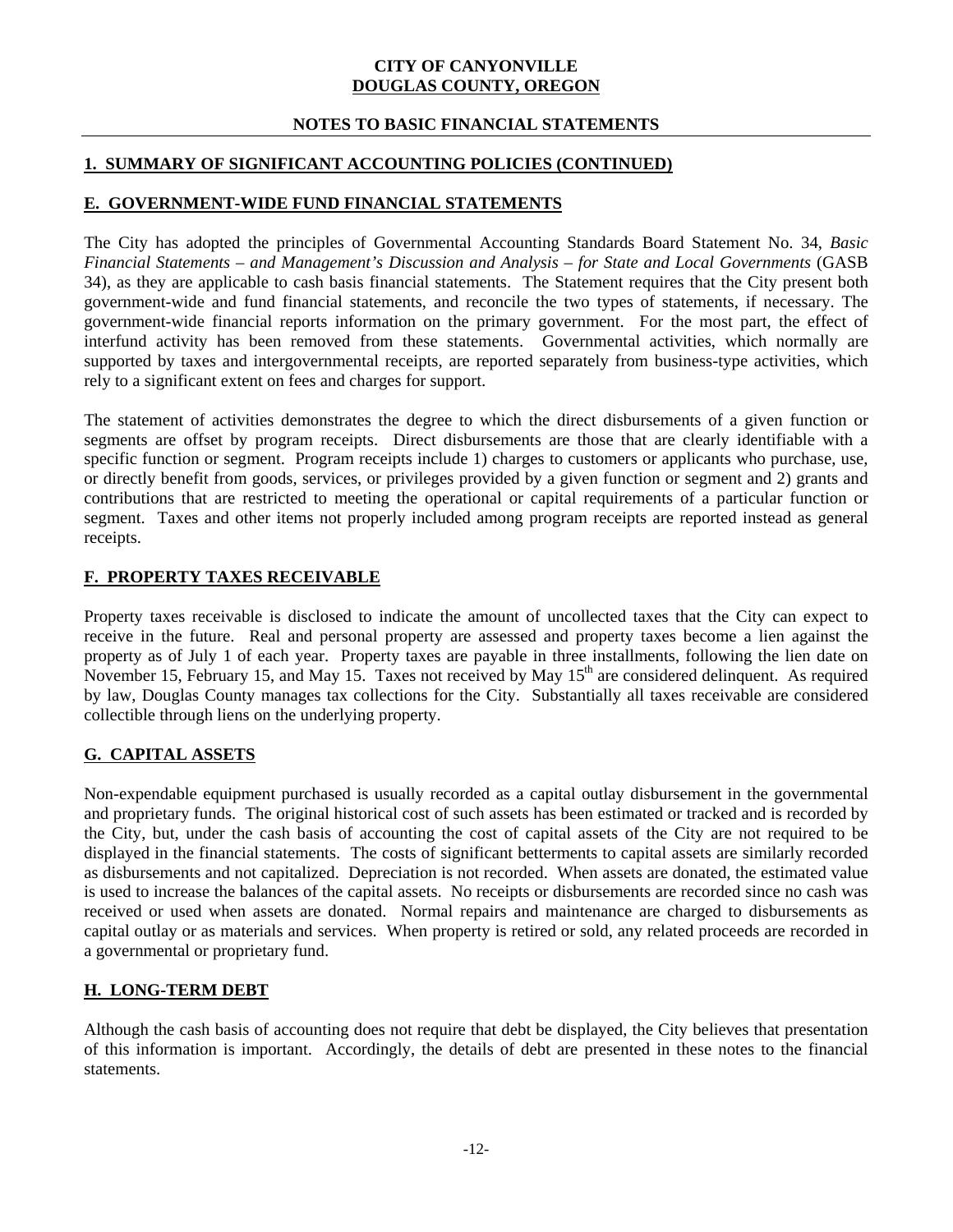### **NOTES TO BASIC FINANCIAL STATEMENTS**

### **1. SUMMARY OF SIGNIFICANT ACCOUNTING POLICIES (CONTINUED)**

#### **E. GOVERNMENT-WIDE FUND FINANCIAL STATEMENTS**

The City has adopted the principles of Governmental Accounting Standards Board Statement No. 34, *Basic Financial Statements – and Management's Discussion and Analysis – for State and Local Governments* (GASB 34), as they are applicable to cash basis financial statements. The Statement requires that the City present both government-wide and fund financial statements, and reconcile the two types of statements, if necessary. The government-wide financial reports information on the primary government. For the most part, the effect of interfund activity has been removed from these statements. Governmental activities, which normally are supported by taxes and intergovernmental receipts, are reported separately from business-type activities, which rely to a significant extent on fees and charges for support.

The statement of activities demonstrates the degree to which the direct disbursements of a given function or segments are offset by program receipts. Direct disbursements are those that are clearly identifiable with a specific function or segment. Program receipts include 1) charges to customers or applicants who purchase, use, or directly benefit from goods, services, or privileges provided by a given function or segment and 2) grants and contributions that are restricted to meeting the operational or capital requirements of a particular function or segment. Taxes and other items not properly included among program receipts are reported instead as general receipts.

### **F. PROPERTY TAXES RECEIVABLE**

Property taxes receivable is disclosed to indicate the amount of uncollected taxes that the City can expect to receive in the future. Real and personal property are assessed and property taxes become a lien against the property as of July 1 of each year. Property taxes are payable in three installments, following the lien date on November 15, February 15, and May 15. Taxes not received by May 15<sup>th</sup> are considered delinquent. As required by law, Douglas County manages tax collections for the City. Substantially all taxes receivable are considered collectible through liens on the underlying property.

### **G. CAPITAL ASSETS**

Non-expendable equipment purchased is usually recorded as a capital outlay disbursement in the governmental and proprietary funds. The original historical cost of such assets has been estimated or tracked and is recorded by the City, but, under the cash basis of accounting the cost of capital assets of the City are not required to be displayed in the financial statements. The costs of significant betterments to capital assets are similarly recorded as disbursements and not capitalized. Depreciation is not recorded. When assets are donated, the estimated value is used to increase the balances of the capital assets. No receipts or disbursements are recorded since no cash was received or used when assets are donated. Normal repairs and maintenance are charged to disbursements as capital outlay or as materials and services. When property is retired or sold, any related proceeds are recorded in a governmental or proprietary fund.

### **H. LONG-TERM DEBT**

Although the cash basis of accounting does not require that debt be displayed, the City believes that presentation of this information is important. Accordingly, the details of debt are presented in these notes to the financial statements.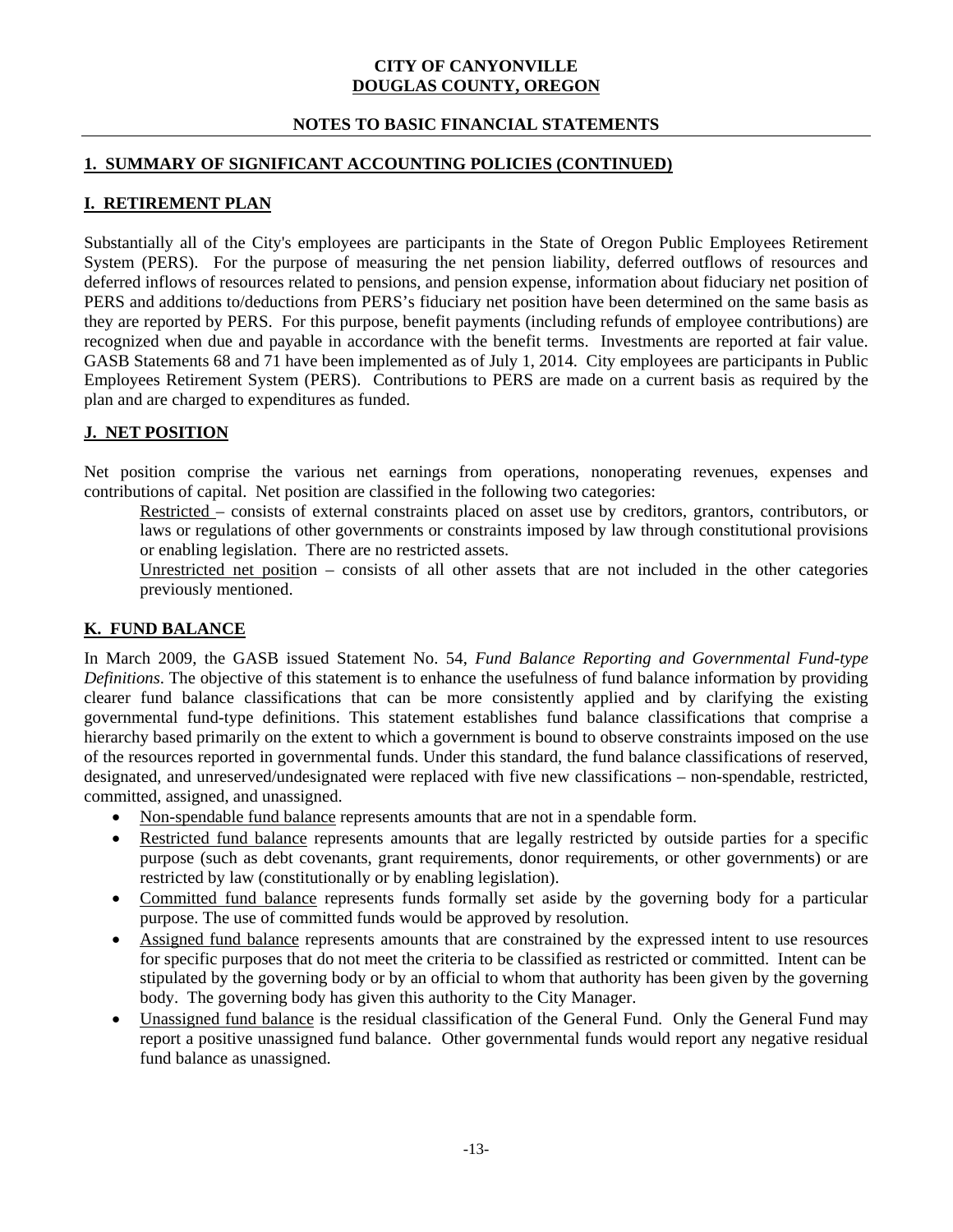### **NOTES TO BASIC FINANCIAL STATEMENTS**

### **1. SUMMARY OF SIGNIFICANT ACCOUNTING POLICIES (CONTINUED)**

### **I. RETIREMENT PLAN**

Substantially all of the City's employees are participants in the State of Oregon Public Employees Retirement System (PERS). For the purpose of measuring the net pension liability, deferred outflows of resources and deferred inflows of resources related to pensions, and pension expense, information about fiduciary net position of PERS and additions to/deductions from PERS's fiduciary net position have been determined on the same basis as they are reported by PERS. For this purpose, benefit payments (including refunds of employee contributions) are recognized when due and payable in accordance with the benefit terms. Investments are reported at fair value. GASB Statements 68 and 71 have been implemented as of July 1, 2014. City employees are participants in Public Employees Retirement System (PERS). Contributions to PERS are made on a current basis as required by the plan and are charged to expenditures as funded.

### **J. NET POSITION**

Net position comprise the various net earnings from operations, nonoperating revenues, expenses and contributions of capital. Net position are classified in the following two categories:

Restricted – consists of external constraints placed on asset use by creditors, grantors, contributors, or laws or regulations of other governments or constraints imposed by law through constitutional provisions or enabling legislation. There are no restricted assets.

Unrestricted net position – consists of all other assets that are not included in the other categories previously mentioned.

### **K. FUND BALANCE**

In March 2009, the GASB issued Statement No. 54, *Fund Balance Reporting and Governmental Fund-type Definitions*. The objective of this statement is to enhance the usefulness of fund balance information by providing clearer fund balance classifications that can be more consistently applied and by clarifying the existing governmental fund-type definitions. This statement establishes fund balance classifications that comprise a hierarchy based primarily on the extent to which a government is bound to observe constraints imposed on the use of the resources reported in governmental funds. Under this standard, the fund balance classifications of reserved, designated, and unreserved/undesignated were replaced with five new classifications – non-spendable, restricted, committed, assigned, and unassigned.

- Non-spendable fund balance represents amounts that are not in a spendable form.
- Restricted fund balance represents amounts that are legally restricted by outside parties for a specific purpose (such as debt covenants, grant requirements, donor requirements, or other governments) or are restricted by law (constitutionally or by enabling legislation).
- Committed fund balance represents funds formally set aside by the governing body for a particular purpose. The use of committed funds would be approved by resolution.
- Assigned fund balance represents amounts that are constrained by the expressed intent to use resources for specific purposes that do not meet the criteria to be classified as restricted or committed. Intent can be stipulated by the governing body or by an official to whom that authority has been given by the governing body. The governing body has given this authority to the City Manager.
- Unassigned fund balance is the residual classification of the General Fund. Only the General Fund may report a positive unassigned fund balance. Other governmental funds would report any negative residual fund balance as unassigned.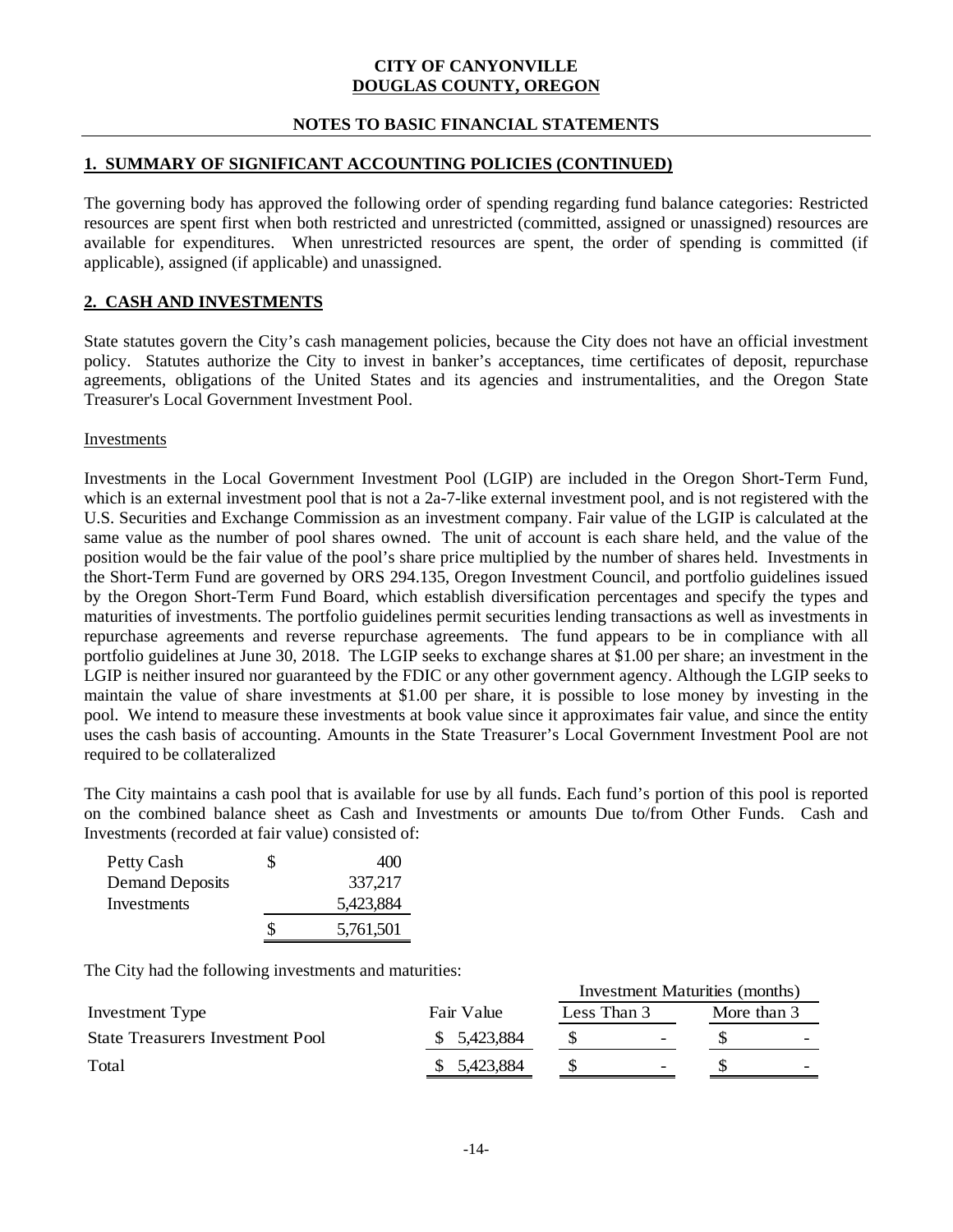### **NOTES TO BASIC FINANCIAL STATEMENTS**

#### **1. SUMMARY OF SIGNIFICANT ACCOUNTING POLICIES (CONTINUED)**

The governing body has approved the following order of spending regarding fund balance categories: Restricted resources are spent first when both restricted and unrestricted (committed, assigned or unassigned) resources are available for expenditures. When unrestricted resources are spent, the order of spending is committed (if applicable), assigned (if applicable) and unassigned.

#### **2. CASH AND INVESTMENTS**

State statutes govern the City's cash management policies, because the City does not have an official investment policy. Statutes authorize the City to invest in banker's acceptances, time certificates of deposit, repurchase agreements, obligations of the United States and its agencies and instrumentalities, and the Oregon State Treasurer's Local Government Investment Pool.

#### Investments

Investments in the Local Government Investment Pool (LGIP) are included in the Oregon Short-Term Fund, which is an external investment pool that is not a 2a-7-like external investment pool, and is not registered with the U.S. Securities and Exchange Commission as an investment company. Fair value of the LGIP is calculated at the same value as the number of pool shares owned. The unit of account is each share held, and the value of the position would be the fair value of the pool's share price multiplied by the number of shares held. Investments in the Short-Term Fund are governed by ORS 294.135, Oregon Investment Council, and portfolio guidelines issued by the Oregon Short-Term Fund Board, which establish diversification percentages and specify the types and maturities of investments. The portfolio guidelines permit securities lending transactions as well as investments in repurchase agreements and reverse repurchase agreements. The fund appears to be in compliance with all portfolio guidelines at June 30, 2018. The LGIP seeks to exchange shares at \$1.00 per share; an investment in the LGIP is neither insured nor guaranteed by the FDIC or any other government agency. Although the LGIP seeks to maintain the value of share investments at \$1.00 per share, it is possible to lose money by investing in the pool. We intend to measure these investments at book value since it approximates fair value, and since the entity uses the cash basis of accounting. Amounts in the State Treasurer's Local Government Investment Pool are not required to be collateralized

The City maintains a cash pool that is available for use by all funds. Each fund's portion of this pool is reported on the combined balance sheet as Cash and Investments or amounts Due to/from Other Funds. Cash and Investments (recorded at fair value) consisted of:

| Petty Cash             | S | 400       |
|------------------------|---|-----------|
| <b>Demand Deposits</b> |   | 337,217   |
| Investments            |   | 5,423,884 |
|                        |   | 5,761,501 |

The City had the following investments and maturities:

|                                  |              |             |                          | Investment Maturities (months) |  |
|----------------------------------|--------------|-------------|--------------------------|--------------------------------|--|
| Investment Type                  | Fair Value   | Less Than 3 |                          | More than 3                    |  |
| State Treasurers Investment Pool | \$ 5,423,884 |             | $\overline{\phantom{0}}$ |                                |  |
| Total                            | 5,423,884    |             | $\overline{\phantom{0}}$ |                                |  |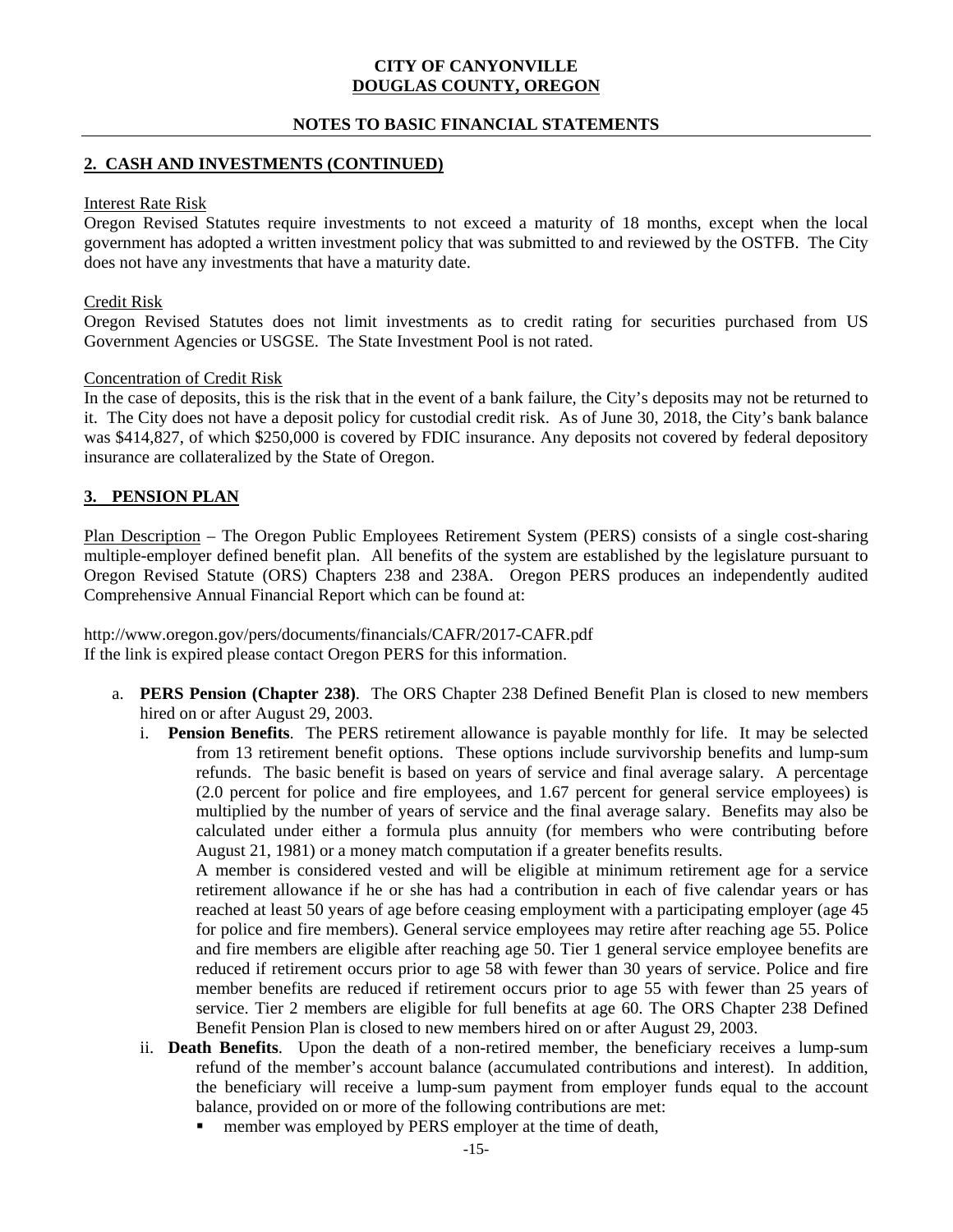### **NOTES TO BASIC FINANCIAL STATEMENTS**

### **2. CASH AND INVESTMENTS (CONTINUED)**

#### Interest Rate Risk

Oregon Revised Statutes require investments to not exceed a maturity of 18 months, except when the local government has adopted a written investment policy that was submitted to and reviewed by the OSTFB. The City does not have any investments that have a maturity date.

#### Credit Risk

Oregon Revised Statutes does not limit investments as to credit rating for securities purchased from US Government Agencies or USGSE. The State Investment Pool is not rated.

### Concentration of Credit Risk

In the case of deposits, this is the risk that in the event of a bank failure, the City's deposits may not be returned to it. The City does not have a deposit policy for custodial credit risk. As of June 30, 2018, the City's bank balance was \$414,827, of which \$250,000 is covered by FDIC insurance. Any deposits not covered by federal depository insurance are collateralized by the State of Oregon.

### **3. PENSION PLAN**

Plan Description – The Oregon Public Employees Retirement System (PERS) consists of a single cost-sharing multiple-employer defined benefit plan. All benefits of the system are established by the legislature pursuant to Oregon Revised Statute (ORS) Chapters 238 and 238A. Oregon PERS produces an independently audited Comprehensive Annual Financial Report which can be found at:

http://www.oregon.gov/pers/documents/financials/CAFR/2017-CAFR.pdf If the link is expired please contact Oregon PERS for this information.

- a. **PERS Pension (Chapter 238)**. The ORS Chapter 238 Defined Benefit Plan is closed to new members hired on or after August 29, 2003.
	- i. **Pension Benefits**. The PERS retirement allowance is payable monthly for life. It may be selected from 13 retirement benefit options. These options include survivorship benefits and lump-sum refunds. The basic benefit is based on years of service and final average salary. A percentage (2.0 percent for police and fire employees, and 1.67 percent for general service employees) is multiplied by the number of years of service and the final average salary. Benefits may also be calculated under either a formula plus annuity (for members who were contributing before August 21, 1981) or a money match computation if a greater benefits results.

A member is considered vested and will be eligible at minimum retirement age for a service retirement allowance if he or she has had a contribution in each of five calendar years or has reached at least 50 years of age before ceasing employment with a participating employer (age 45 for police and fire members). General service employees may retire after reaching age 55. Police and fire members are eligible after reaching age 50. Tier 1 general service employee benefits are reduced if retirement occurs prior to age 58 with fewer than 30 years of service. Police and fire member benefits are reduced if retirement occurs prior to age 55 with fewer than 25 years of service. Tier 2 members are eligible for full benefits at age 60. The ORS Chapter 238 Defined Benefit Pension Plan is closed to new members hired on or after August 29, 2003.

- ii. **Death Benefits**. Upon the death of a non-retired member, the beneficiary receives a lump-sum refund of the member's account balance (accumulated contributions and interest). In addition, the beneficiary will receive a lump-sum payment from employer funds equal to the account balance, provided on or more of the following contributions are met:
	- member was employed by PERS employer at the time of death,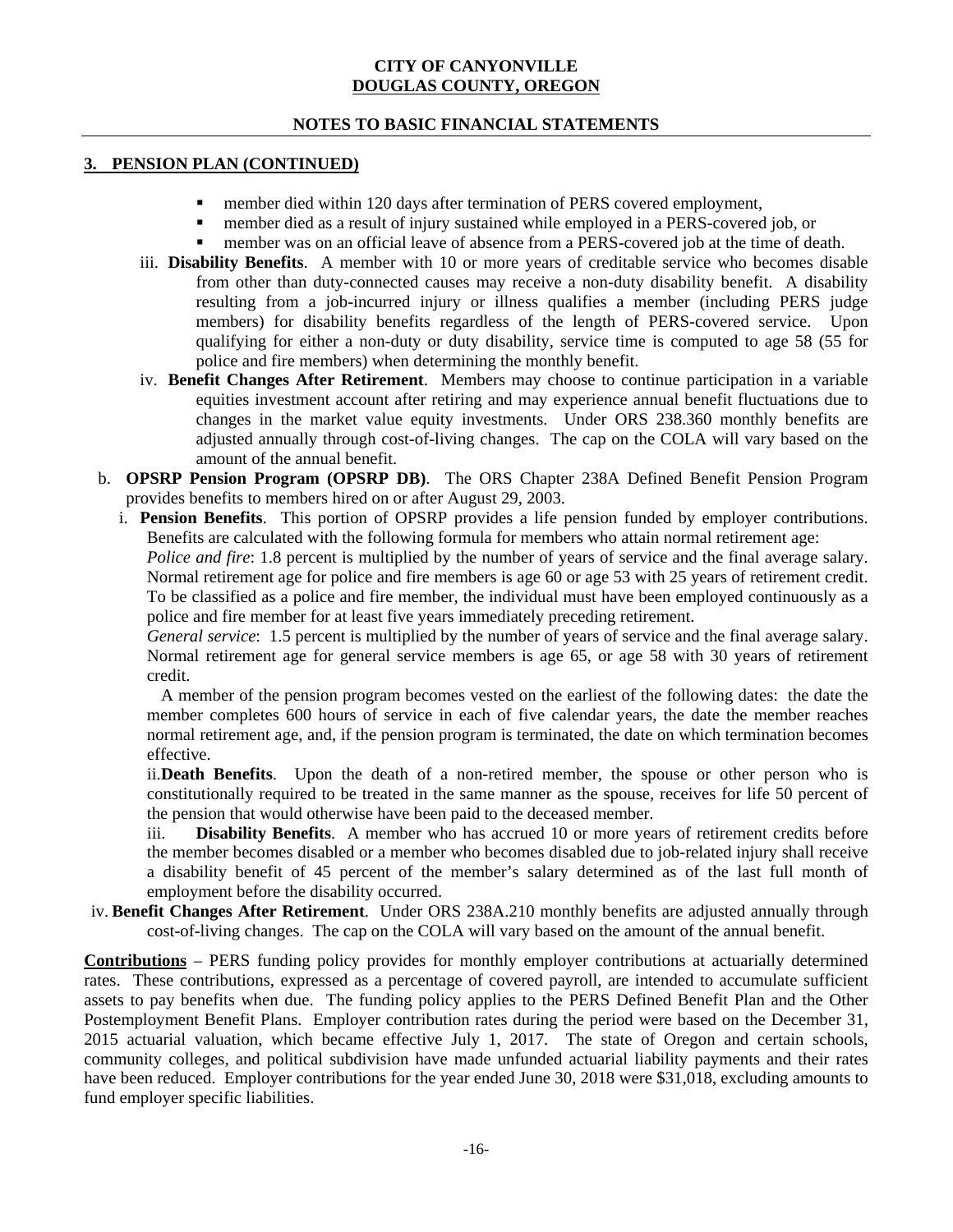### **NOTES TO BASIC FINANCIAL STATEMENTS**

### **3. PENSION PLAN (CONTINUED)**

- **EXECUTE:** member died within 120 days after termination of PERS covered employment,
- member died as a result of injury sustained while employed in a PERS-covered job, or
- member was on an official leave of absence from a PERS-covered job at the time of death.
- iii. **Disability Benefits**. A member with 10 or more years of creditable service who becomes disable from other than duty-connected causes may receive a non-duty disability benefit. A disability resulting from a job-incurred injury or illness qualifies a member (including PERS judge members) for disability benefits regardless of the length of PERS-covered service. Upon qualifying for either a non-duty or duty disability, service time is computed to age 58 (55 for police and fire members) when determining the monthly benefit.
- iv. **Benefit Changes After Retirement**. Members may choose to continue participation in a variable equities investment account after retiring and may experience annual benefit fluctuations due to changes in the market value equity investments. Under ORS 238.360 monthly benefits are adjusted annually through cost-of-living changes. The cap on the COLA will vary based on the amount of the annual benefit.
- b. **OPSRP Pension Program (OPSRP DB)**. The ORS Chapter 238A Defined Benefit Pension Program provides benefits to members hired on or after August 29, 2003.
	- i. **Pension Benefits**. This portion of OPSRP provides a life pension funded by employer contributions. Benefits are calculated with the following formula for members who attain normal retirement age:

*Police and fire*: 1.8 percent is multiplied by the number of years of service and the final average salary. Normal retirement age for police and fire members is age 60 or age 53 with 25 years of retirement credit. To be classified as a police and fire member, the individual must have been employed continuously as a police and fire member for at least five years immediately preceding retirement.

*General service*: 1.5 percent is multiplied by the number of years of service and the final average salary. Normal retirement age for general service members is age 65, or age 58 with 30 years of retirement credit.

 A member of the pension program becomes vested on the earliest of the following dates: the date the member completes 600 hours of service in each of five calendar years, the date the member reaches normal retirement age, and, if the pension program is terminated, the date on which termination becomes effective.

 ii. **Death Benefits**. Upon the death of a non-retired member, the spouse or other person who is constitutionally required to be treated in the same manner as the spouse, receives for life 50 percent of the pension that would otherwise have been paid to the deceased member.

 iii. **Disability Benefits**. A member who has accrued 10 or more years of retirement credits before the member becomes disabled or a member who becomes disabled due to job-related injury shall receive a disability benefit of 45 percent of the member's salary determined as of the last full month of employment before the disability occurred.

iv. **Benefit Changes After Retirement**. Under ORS 238A.210 monthly benefits are adjusted annually through cost-of-living changes. The cap on the COLA will vary based on the amount of the annual benefit.

**Contributions** – PERS funding policy provides for monthly employer contributions at actuarially determined rates. These contributions, expressed as a percentage of covered payroll, are intended to accumulate sufficient assets to pay benefits when due. The funding policy applies to the PERS Defined Benefit Plan and the Other Postemployment Benefit Plans. Employer contribution rates during the period were based on the December 31, 2015 actuarial valuation, which became effective July 1, 2017. The state of Oregon and certain schools, community colleges, and political subdivision have made unfunded actuarial liability payments and their rates have been reduced. Employer contributions for the year ended June 30, 2018 were \$31,018, excluding amounts to fund employer specific liabilities.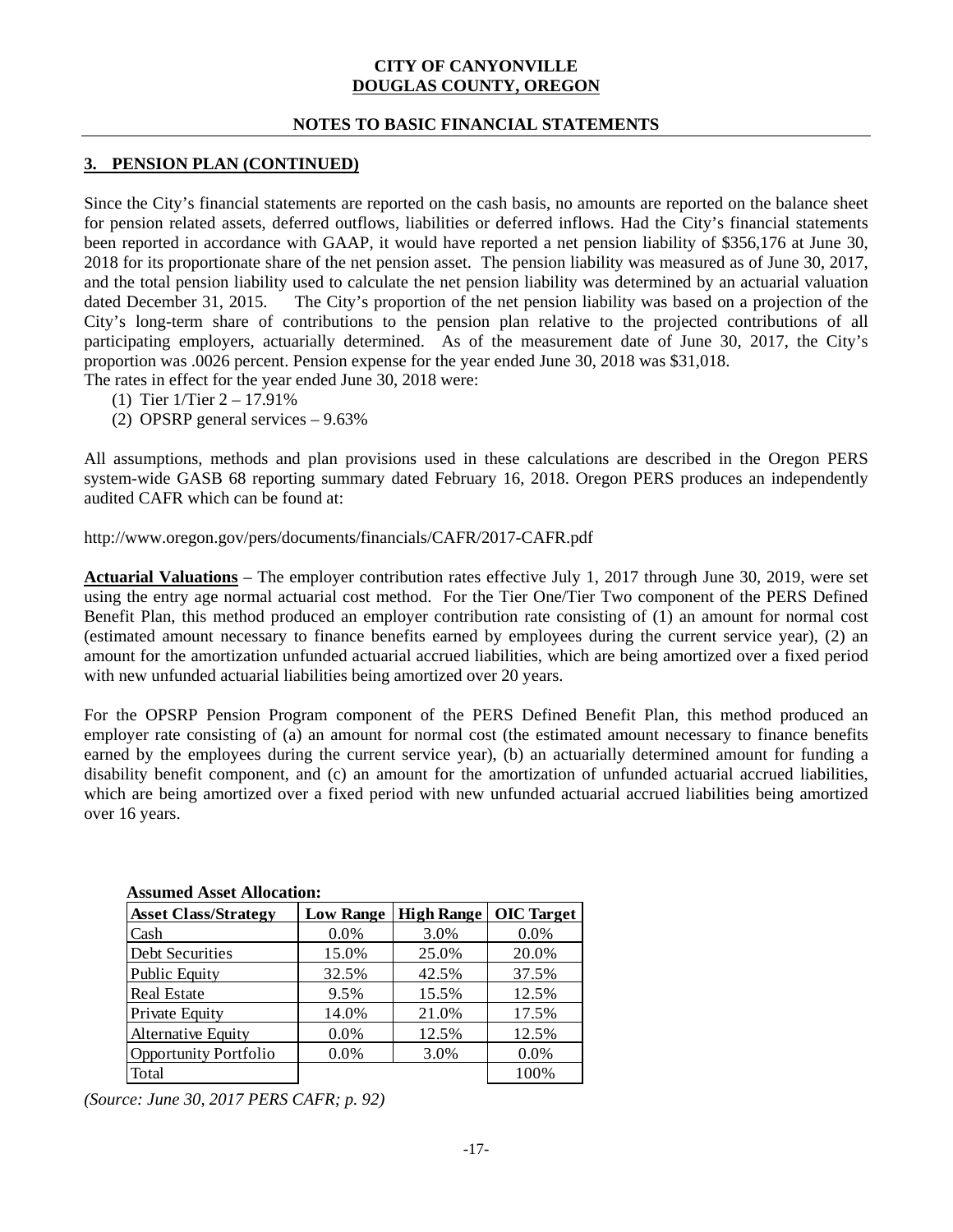### **NOTES TO BASIC FINANCIAL STATEMENTS**

### **3. PENSION PLAN (CONTINUED)**

Since the City's financial statements are reported on the cash basis, no amounts are reported on the balance sheet for pension related assets, deferred outflows, liabilities or deferred inflows. Had the City's financial statements been reported in accordance with GAAP, it would have reported a net pension liability of \$356,176 at June 30, 2018 for its proportionate share of the net pension asset. The pension liability was measured as of June 30, 2017, and the total pension liability used to calculate the net pension liability was determined by an actuarial valuation dated December 31, 2015. The City's proportion of the net pension liability was based on a projection of the City's long-term share of contributions to the pension plan relative to the projected contributions of all participating employers, actuarially determined. As of the measurement date of June 30, 2017, the City's proportion was .0026 percent. Pension expense for the year ended June 30, 2018 was \$31,018.

- The rates in effect for the year ended June 30, 2018 were:
	- (1) Tier 1/Tier 2 17.91%
	- (2) OPSRP general services 9.63%

All assumptions, methods and plan provisions used in these calculations are described in the Oregon PERS system-wide GASB 68 reporting summary dated February 16, 2018. Oregon PERS produces an independently audited CAFR which can be found at:

http://www.oregon.gov/pers/documents/financials/CAFR/2017-CAFR.pdf

**Actuarial Valuations** – The employer contribution rates effective July 1, 2017 through June 30, 2019, were set using the entry age normal actuarial cost method. For the Tier One/Tier Two component of the PERS Defined Benefit Plan, this method produced an employer contribution rate consisting of (1) an amount for normal cost (estimated amount necessary to finance benefits earned by employees during the current service year), (2) an amount for the amortization unfunded actuarial accrued liabilities, which are being amortized over a fixed period with new unfunded actuarial liabilities being amortized over 20 years.

For the OPSRP Pension Program component of the PERS Defined Benefit Plan, this method produced an employer rate consisting of (a) an amount for normal cost (the estimated amount necessary to finance benefits earned by the employees during the current service year), (b) an actuarially determined amount for funding a disability benefit component, and (c) an amount for the amortization of unfunded actuarial accrued liabilities, which are being amortized over a fixed period with new unfunded actuarial accrued liabilities being amortized over 16 years.

| Assumed Asset Anocanon.     |                  |            |                   |
|-----------------------------|------------------|------------|-------------------|
| <b>Asset Class/Strategy</b> | <b>Low Range</b> | High Range | <b>OIC</b> Target |
| Cash                        | 0.0%             | 3.0%       | $0.0\%$           |
| Debt Securities             | 15.0%            | 25.0%      | 20.0%             |
| <b>Public Equity</b>        | 32.5%            | 42.5%      | 37.5%             |
| <b>Real Estate</b>          | 9.5%             | 15.5%      | 12.5%             |
| Private Equity              | 14.0%            | 21.0%      | 17.5%             |
| <b>Alternative Equity</b>   | 0.0%             | 12.5%      | 12.5%             |
| Opportunity Portfolio       | 0.0%             | 3.0%       | 0.0%              |
| Total                       |                  |            | 100%              |

**Assumed Asset Allocation:** 

*(Source: June 30, 2017 PERS CAFR; p. 92)*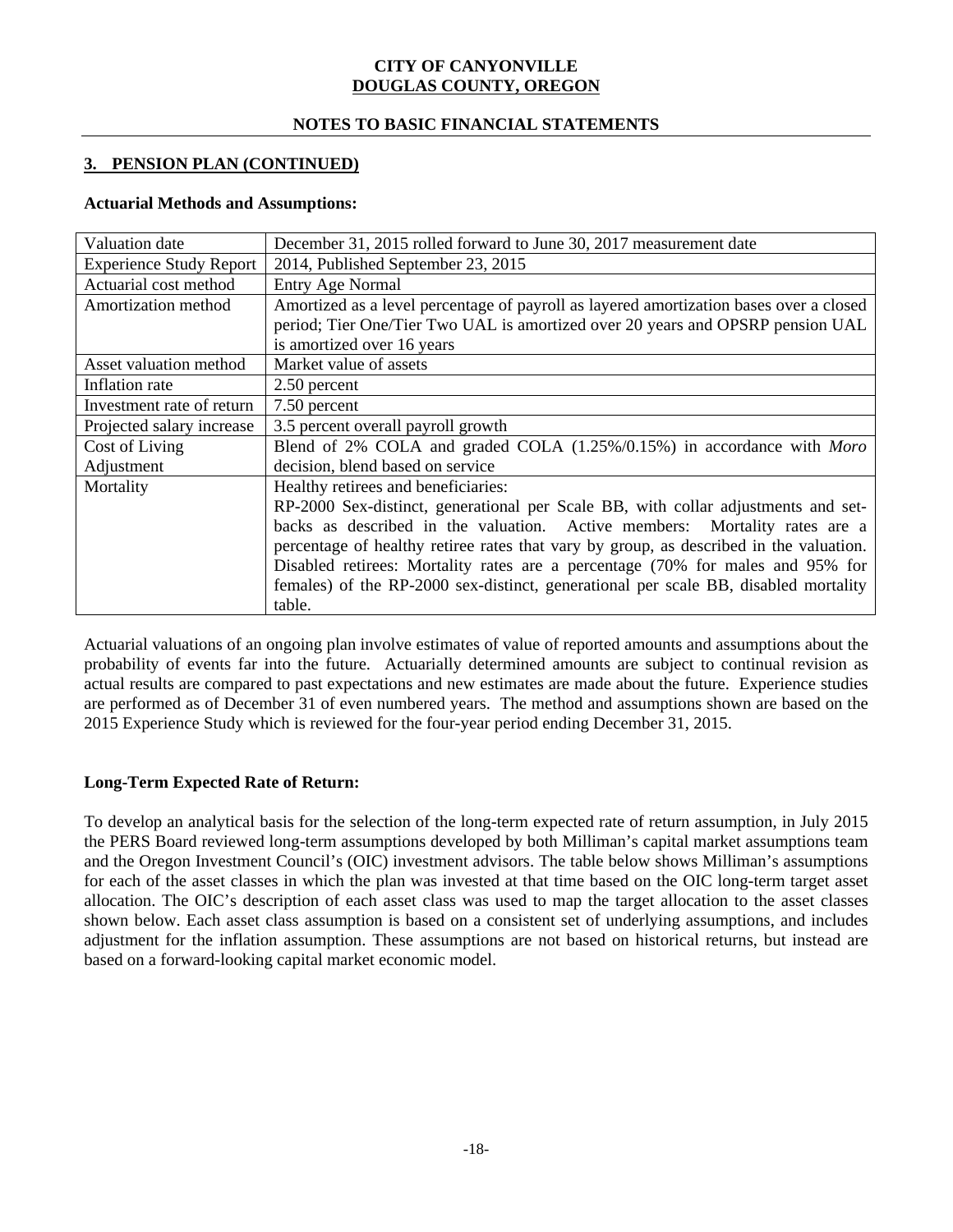### **NOTES TO BASIC FINANCIAL STATEMENTS**

### **3. PENSION PLAN (CONTINUED)**

#### **Actuarial Methods and Assumptions:**

| Valuation date                 | December 31, 2015 rolled forward to June 30, 2017 measurement date                     |
|--------------------------------|----------------------------------------------------------------------------------------|
| <b>Experience Study Report</b> | 2014, Published September 23, 2015                                                     |
| Actuarial cost method          | <b>Entry Age Normal</b>                                                                |
| Amortization method            | Amortized as a level percentage of payroll as layered amortization bases over a closed |
|                                | period; Tier One/Tier Two UAL is amortized over 20 years and OPSRP pension UAL         |
|                                | is amortized over 16 years                                                             |
| Asset valuation method         | Market value of assets                                                                 |
| Inflation rate                 | 2.50 percent                                                                           |
| Investment rate of return      | 7.50 percent                                                                           |
| Projected salary increase      | 3.5 percent overall payroll growth                                                     |
| Cost of Living                 | Blend of 2% COLA and graded COLA (1.25%/0.15%) in accordance with <i>Moro</i>          |
| Adjustment                     | decision, blend based on service                                                       |
| Mortality                      | Healthy retirees and beneficiaries:                                                    |
|                                | RP-2000 Sex-distinct, generational per Scale BB, with collar adjustments and set-      |
|                                | backs as described in the valuation. Active members: Mortality rates are a             |
|                                | percentage of healthy retiree rates that vary by group, as described in the valuation. |
|                                | Disabled retirees: Mortality rates are a percentage (70% for males and 95% for         |
|                                | females) of the RP-2000 sex-distinct, generational per scale BB, disabled mortality    |
|                                | table.                                                                                 |

Actuarial valuations of an ongoing plan involve estimates of value of reported amounts and assumptions about the probability of events far into the future. Actuarially determined amounts are subject to continual revision as actual results are compared to past expectations and new estimates are made about the future. Experience studies are performed as of December 31 of even numbered years. The method and assumptions shown are based on the 2015 Experience Study which is reviewed for the four-year period ending December 31, 2015.

### **Long-Term Expected Rate of Return:**

To develop an analytical basis for the selection of the long-term expected rate of return assumption, in July 2015 the PERS Board reviewed long-term assumptions developed by both Milliman's capital market assumptions team and the Oregon Investment Council's (OIC) investment advisors. The table below shows Milliman's assumptions for each of the asset classes in which the plan was invested at that time based on the OIC long-term target asset allocation. The OIC's description of each asset class was used to map the target allocation to the asset classes shown below. Each asset class assumption is based on a consistent set of underlying assumptions, and includes adjustment for the inflation assumption. These assumptions are not based on historical returns, but instead are based on a forward-looking capital market economic model.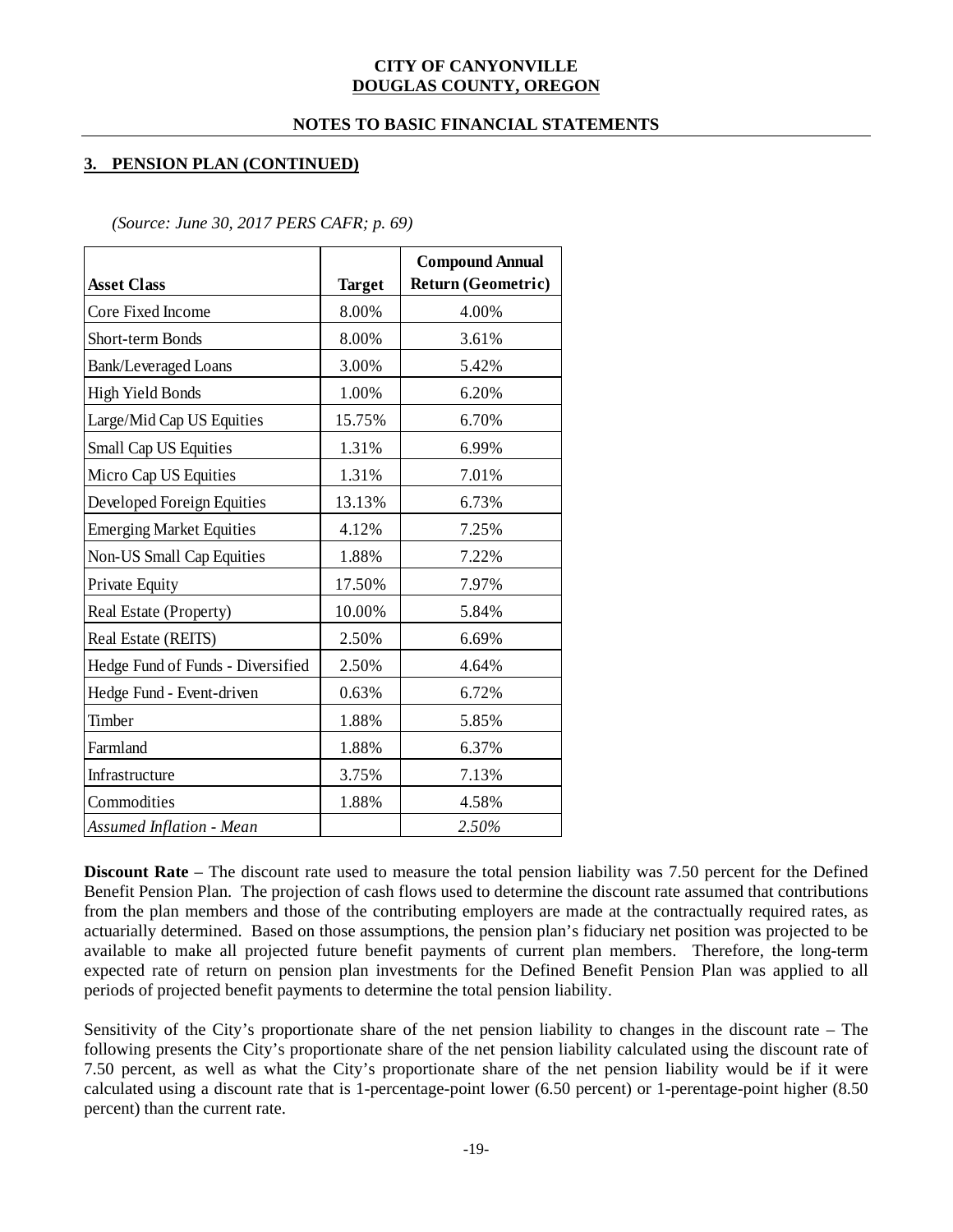### **NOTES TO BASIC FINANCIAL STATEMENTS**

### **3. PENSION PLAN (CONTINUED)**

| <b>Asset Class</b>                |               | <b>Compound Annual</b><br><b>Return (Geometric)</b> |
|-----------------------------------|---------------|-----------------------------------------------------|
|                                   | <b>Target</b> |                                                     |
| Core Fixed Income                 | 8.00%         | 4.00%                                               |
| Short-term Bonds                  | 8.00%         | 3.61%                                               |
| <b>Bank/Leveraged Loans</b>       | 3.00%         | 5.42%                                               |
| <b>High Yield Bonds</b>           | 1.00%         | 6.20%                                               |
| Large/Mid Cap US Equities         | 15.75%        | 6.70%                                               |
| Small Cap US Equities             | 1.31%         | 6.99%                                               |
| Micro Cap US Equities             | 1.31%         | 7.01%                                               |
| Developed Foreign Equities        | 13.13%        | 6.73%                                               |
| <b>Emerging Market Equities</b>   | 4.12%         | 7.25%                                               |
| Non-US Small Cap Equities         | 1.88%         | 7.22%                                               |
| Private Equity                    | 17.50%        | 7.97%                                               |
| Real Estate (Property)            | 10.00%        | 5.84%                                               |
| Real Estate (REITS)               | 2.50%         | 6.69%                                               |
| Hedge Fund of Funds - Diversified | 2.50%         | 4.64%                                               |
| Hedge Fund - Event-driven         | 0.63%         | 6.72%                                               |
| Timber                            | 1.88%         | 5.85%                                               |
| Farmland                          | 1.88%         | 6.37%                                               |
| Infrastructure                    | 3.75%         | 7.13%                                               |
| Commodities                       | 1.88%         | 4.58%                                               |
| <b>Assumed Inflation - Mean</b>   |               | 2.50%                                               |

 *(Source: June 30, 2017 PERS CAFR; p. 69)* 

**Discount Rate** – The discount rate used to measure the total pension liability was 7.50 percent for the Defined Benefit Pension Plan. The projection of cash flows used to determine the discount rate assumed that contributions from the plan members and those of the contributing employers are made at the contractually required rates, as actuarially determined. Based on those assumptions, the pension plan's fiduciary net position was projected to be available to make all projected future benefit payments of current plan members. Therefore, the long-term expected rate of return on pension plan investments for the Defined Benefit Pension Plan was applied to all periods of projected benefit payments to determine the total pension liability.

Sensitivity of the City's proportionate share of the net pension liability to changes in the discount rate – The following presents the City's proportionate share of the net pension liability calculated using the discount rate of 7.50 percent, as well as what the City's proportionate share of the net pension liability would be if it were calculated using a discount rate that is 1-percentage-point lower (6.50 percent) or 1-perentage-point higher (8.50 percent) than the current rate.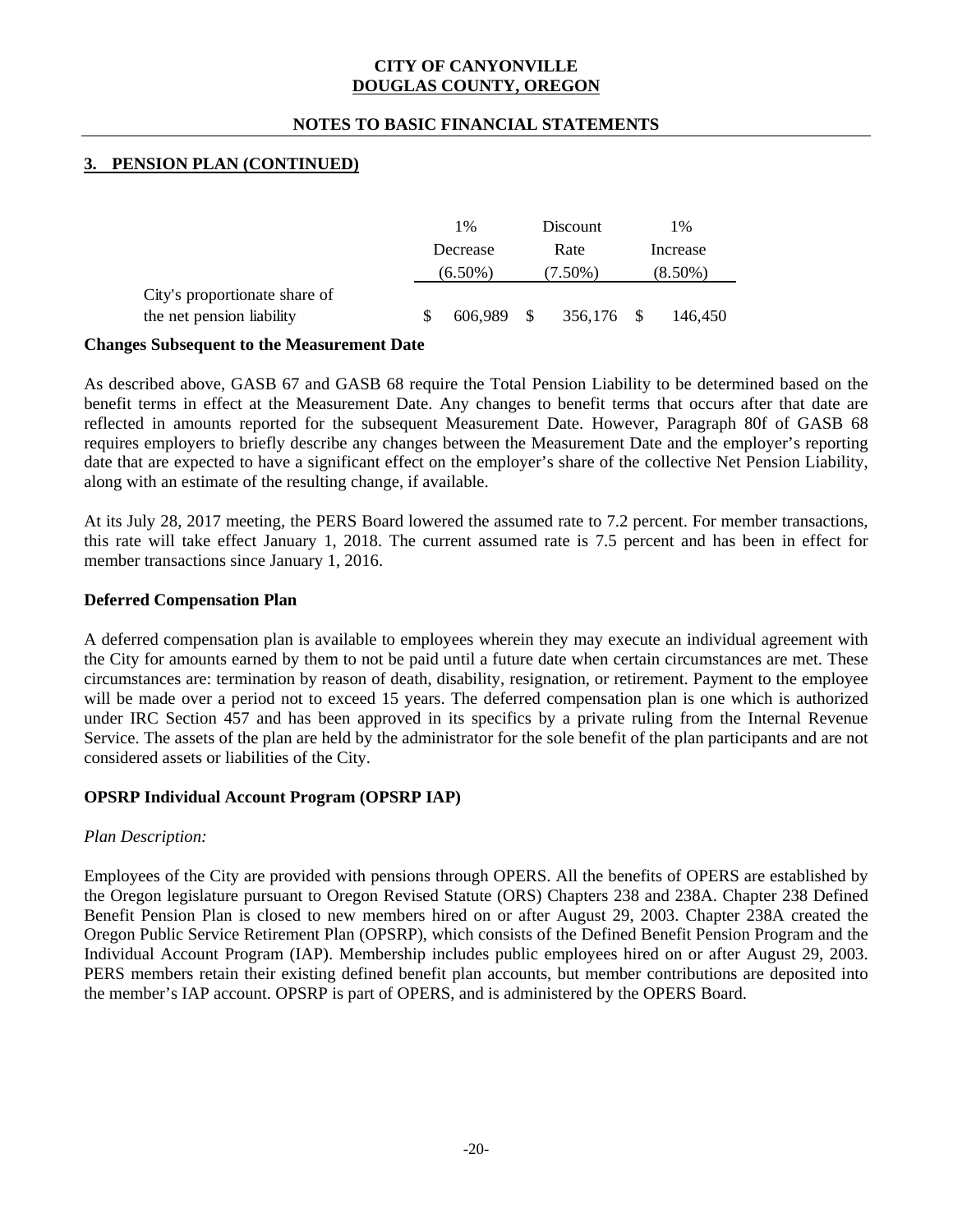### **NOTES TO BASIC FINANCIAL STATEMENTS**

### **3. PENSION PLAN (CONTINUED)**

|                               | 1%         | Discount |            | 1%         |
|-------------------------------|------------|----------|------------|------------|
|                               | Decrease   | Rate     |            | Increase   |
|                               | $(6.50\%)$ |          | $(7.50\%)$ | $(8.50\%)$ |
| City's proportionate share of |            |          |            |            |
| the net pension liability     | 606.989 \$ |          | 356,176 \$ | 146,450    |

### **Changes Subsequent to the Measurement Date**

As described above, GASB 67 and GASB 68 require the Total Pension Liability to be determined based on the benefit terms in effect at the Measurement Date. Any changes to benefit terms that occurs after that date are reflected in amounts reported for the subsequent Measurement Date. However, Paragraph 80f of GASB 68 requires employers to briefly describe any changes between the Measurement Date and the employer's reporting date that are expected to have a significant effect on the employer's share of the collective Net Pension Liability, along with an estimate of the resulting change, if available.

At its July 28, 2017 meeting, the PERS Board lowered the assumed rate to 7.2 percent. For member transactions, this rate will take effect January 1, 2018. The current assumed rate is 7.5 percent and has been in effect for member transactions since January 1, 2016.

### **Deferred Compensation Plan**

A deferred compensation plan is available to employees wherein they may execute an individual agreement with the City for amounts earned by them to not be paid until a future date when certain circumstances are met. These circumstances are: termination by reason of death, disability, resignation, or retirement. Payment to the employee will be made over a period not to exceed 15 years. The deferred compensation plan is one which is authorized under IRC Section 457 and has been approved in its specifics by a private ruling from the Internal Revenue Service. The assets of the plan are held by the administrator for the sole benefit of the plan participants and are not considered assets or liabilities of the City.

### **OPSRP Individual Account Program (OPSRP IAP)**

### *Plan Description:*

Employees of the City are provided with pensions through OPERS. All the benefits of OPERS are established by the Oregon legislature pursuant to Oregon Revised Statute (ORS) Chapters 238 and 238A. Chapter 238 Defined Benefit Pension Plan is closed to new members hired on or after August 29, 2003. Chapter 238A created the Oregon Public Service Retirement Plan (OPSRP), which consists of the Defined Benefit Pension Program and the Individual Account Program (IAP). Membership includes public employees hired on or after August 29, 2003. PERS members retain their existing defined benefit plan accounts, but member contributions are deposited into the member's IAP account. OPSRP is part of OPERS, and is administered by the OPERS Board.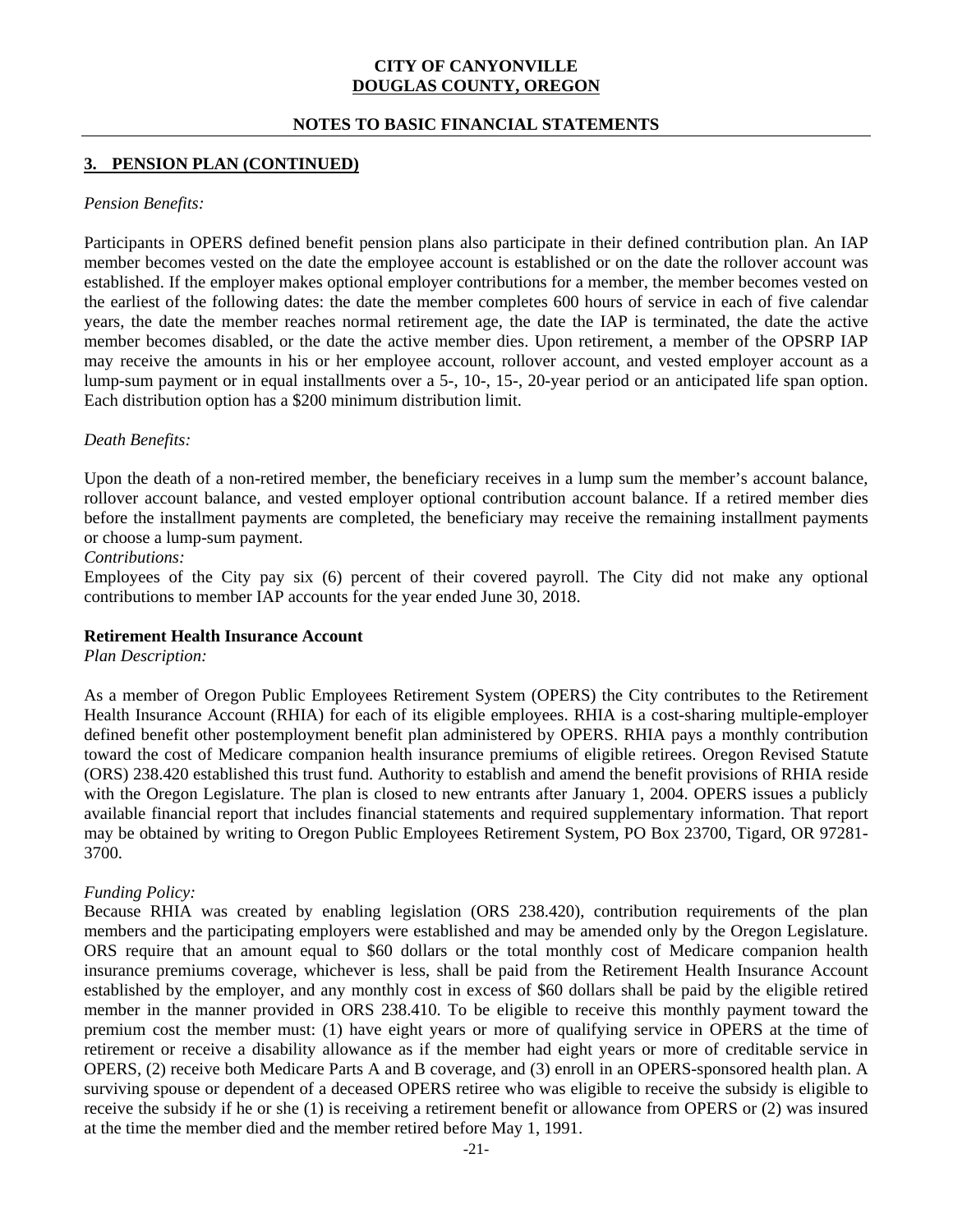### **NOTES TO BASIC FINANCIAL STATEMENTS**

### **3. PENSION PLAN (CONTINUED)**

#### *Pension Benefits:*

Participants in OPERS defined benefit pension plans also participate in their defined contribution plan. An IAP member becomes vested on the date the employee account is established or on the date the rollover account was established. If the employer makes optional employer contributions for a member, the member becomes vested on the earliest of the following dates: the date the member completes 600 hours of service in each of five calendar years, the date the member reaches normal retirement age, the date the IAP is terminated, the date the active member becomes disabled, or the date the active member dies. Upon retirement, a member of the OPSRP IAP may receive the amounts in his or her employee account, rollover account, and vested employer account as a lump-sum payment or in equal installments over a 5-, 10-, 15-, 20-year period or an anticipated life span option. Each distribution option has a \$200 minimum distribution limit.

### *Death Benefits:*

Upon the death of a non-retired member, the beneficiary receives in a lump sum the member's account balance, rollover account balance, and vested employer optional contribution account balance. If a retired member dies before the installment payments are completed, the beneficiary may receive the remaining installment payments or choose a lump-sum payment.

#### *Contributions:*

Employees of the City pay six (6) percent of their covered payroll. The City did not make any optional contributions to member IAP accounts for the year ended June 30, 2018.

### **Retirement Health Insurance Account**

*Plan Description:* 

As a member of Oregon Public Employees Retirement System (OPERS) the City contributes to the Retirement Health Insurance Account (RHIA) for each of its eligible employees. RHIA is a cost-sharing multiple-employer defined benefit other postemployment benefit plan administered by OPERS. RHIA pays a monthly contribution toward the cost of Medicare companion health insurance premiums of eligible retirees. Oregon Revised Statute (ORS) 238.420 established this trust fund. Authority to establish and amend the benefit provisions of RHIA reside with the Oregon Legislature. The plan is closed to new entrants after January 1, 2004. OPERS issues a publicly available financial report that includes financial statements and required supplementary information. That report may be obtained by writing to Oregon Public Employees Retirement System, PO Box 23700, Tigard, OR 97281- 3700.

### *Funding Policy:*

Because RHIA was created by enabling legislation (ORS 238.420), contribution requirements of the plan members and the participating employers were established and may be amended only by the Oregon Legislature. ORS require that an amount equal to \$60 dollars or the total monthly cost of Medicare companion health insurance premiums coverage, whichever is less, shall be paid from the Retirement Health Insurance Account established by the employer, and any monthly cost in excess of \$60 dollars shall be paid by the eligible retired member in the manner provided in ORS 238.410. To be eligible to receive this monthly payment toward the premium cost the member must: (1) have eight years or more of qualifying service in OPERS at the time of retirement or receive a disability allowance as if the member had eight years or more of creditable service in OPERS, (2) receive both Medicare Parts A and B coverage, and (3) enroll in an OPERS-sponsored health plan. A surviving spouse or dependent of a deceased OPERS retiree who was eligible to receive the subsidy is eligible to receive the subsidy if he or she (1) is receiving a retirement benefit or allowance from OPERS or (2) was insured at the time the member died and the member retired before May 1, 1991.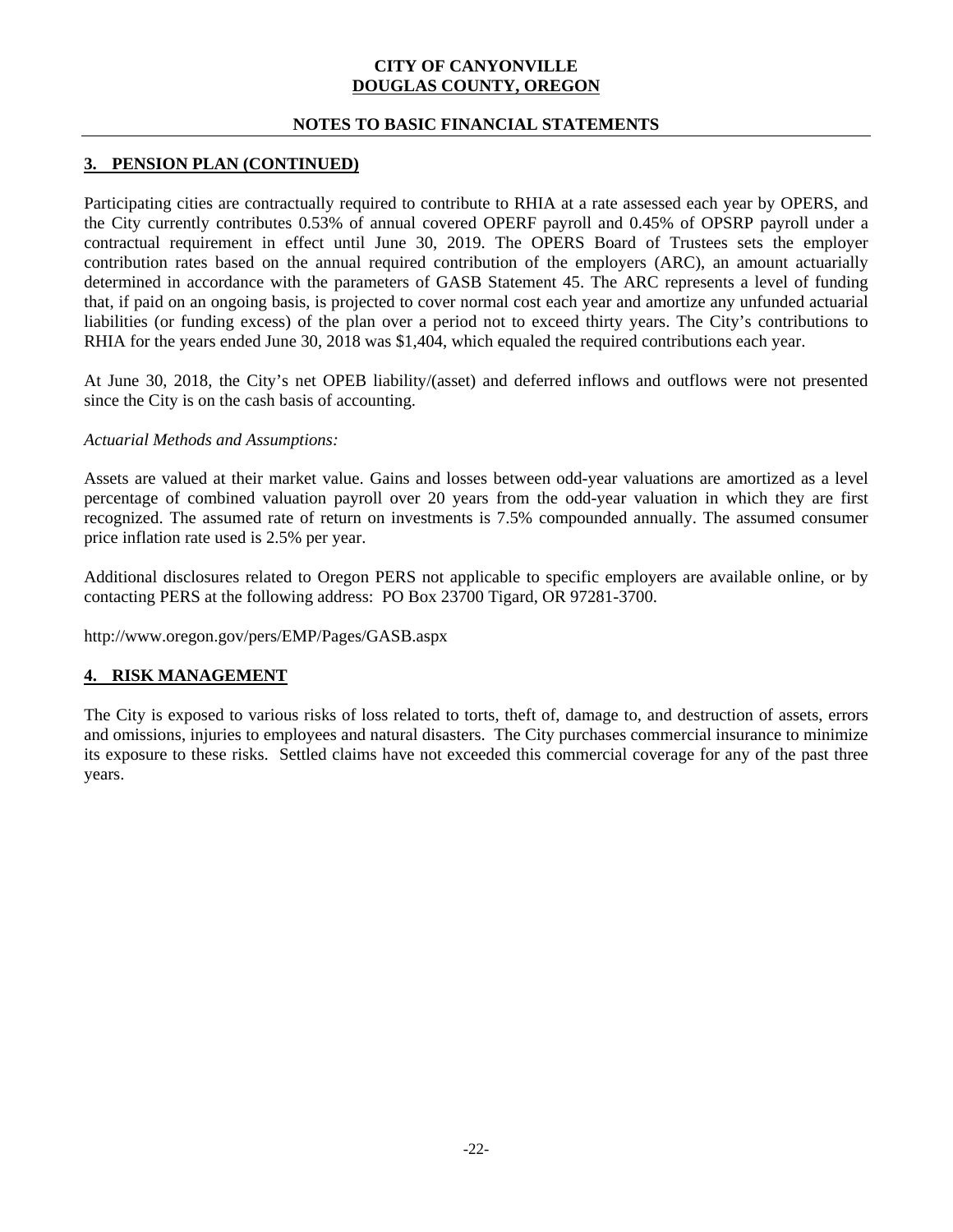### **NOTES TO BASIC FINANCIAL STATEMENTS**

### **3. PENSION PLAN (CONTINUED)**

Participating cities are contractually required to contribute to RHIA at a rate assessed each year by OPERS, and the City currently contributes 0.53% of annual covered OPERF payroll and 0.45% of OPSRP payroll under a contractual requirement in effect until June 30, 2019. The OPERS Board of Trustees sets the employer contribution rates based on the annual required contribution of the employers (ARC), an amount actuarially determined in accordance with the parameters of GASB Statement 45. The ARC represents a level of funding that, if paid on an ongoing basis, is projected to cover normal cost each year and amortize any unfunded actuarial liabilities (or funding excess) of the plan over a period not to exceed thirty years. The City's contributions to RHIA for the years ended June 30, 2018 was \$1,404, which equaled the required contributions each year.

At June 30, 2018, the City's net OPEB liability/(asset) and deferred inflows and outflows were not presented since the City is on the cash basis of accounting.

### *Actuarial Methods and Assumptions:*

Assets are valued at their market value. Gains and losses between odd-year valuations are amortized as a level percentage of combined valuation payroll over 20 years from the odd-year valuation in which they are first recognized. The assumed rate of return on investments is 7.5% compounded annually. The assumed consumer price inflation rate used is 2.5% per year.

Additional disclosures related to Oregon PERS not applicable to specific employers are available online, or by contacting PERS at the following address: PO Box 23700 Tigard, OR 97281-3700.

http://www.oregon.gov/pers/EMP/Pages/GASB.aspx

### **4. RISK MANAGEMENT**

The City is exposed to various risks of loss related to torts, theft of, damage to, and destruction of assets, errors and omissions, injuries to employees and natural disasters. The City purchases commercial insurance to minimize its exposure to these risks. Settled claims have not exceeded this commercial coverage for any of the past three years.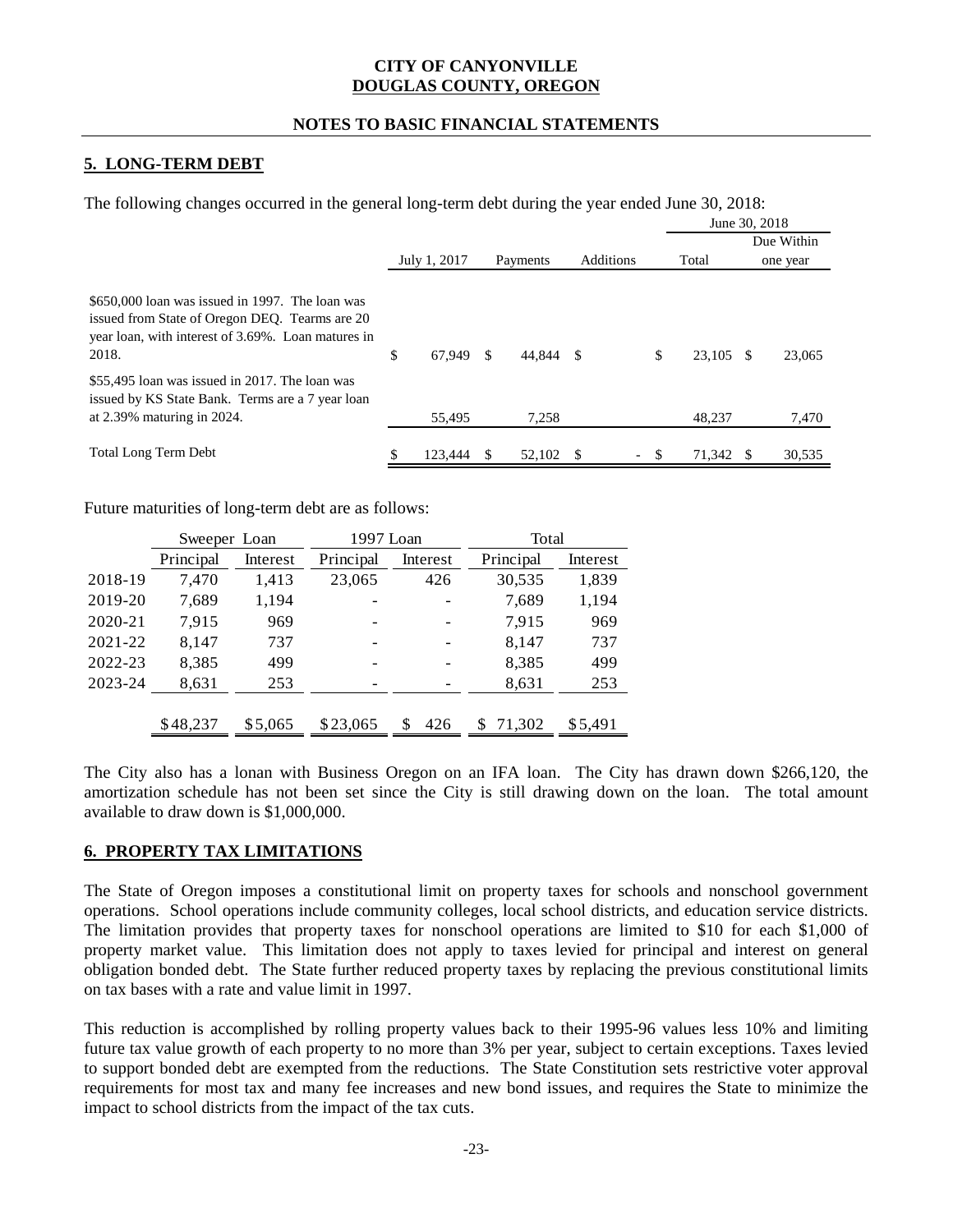### **NOTES TO BASIC FINANCIAL STATEMENTS**

### **5. LONG-TERM DEBT**

The following changes occurred in the general long-term debt during the year ended June 30, 2018:

|                                                                                                                                                                  |    |              |     |           |                               |    |        |      | June 30, 2018 |
|------------------------------------------------------------------------------------------------------------------------------------------------------------------|----|--------------|-----|-----------|-------------------------------|----|--------|------|---------------|
|                                                                                                                                                                  |    |              |     |           |                               |    |        |      | Due Within    |
|                                                                                                                                                                  |    | July 1, 2017 |     | Payments  | Additions                     |    | Total  |      | one year      |
| \$650,000 loan was issued in 1997. The loan was<br>issued from State of Oregon DEQ. Tearms are 20<br>year loan, with interest of 3.69%. Loan matures in<br>2018. | \$ | 67.949       | \$. | 44.844 \$ |                               | \$ | 23.105 | - \$ | 23,065        |
| \$55,495 loan was issued in 2017. The loan was<br>issued by KS State Bank. Terms are a 7 year loan<br>at $2.39\%$ maturing in 2024.                              |    | 55,495       |     | 7,258     |                               |    | 48.237 |      | 7,470         |
| Total Long Term Debt                                                                                                                                             | S  | 123.444      | \$. | 52.102    | S<br>$\overline{\phantom{0}}$ | -S | 71.342 | - \$ | 30,535        |

Future maturities of long-term debt are as follows:

|         | Sweeper Loan |          | 1997 Loan |          | Total         |          |  |  |
|---------|--------------|----------|-----------|----------|---------------|----------|--|--|
|         | Principal    | Interest | Principal | Interest | Principal     | Interest |  |  |
| 2018-19 | 7.470        | 1,413    | 23,065    | 426      | 30,535        | 1,839    |  |  |
| 2019-20 | 7,689        | 1,194    |           |          | 7,689         | 1,194    |  |  |
| 2020-21 | 7.915        | 969      |           |          | 7,915         | 969      |  |  |
| 2021-22 | 8,147        | 737      |           |          | 8,147         | 737      |  |  |
| 2022-23 | 8,385        | 499      |           |          | 8,385         | 499      |  |  |
| 2023-24 | 8,631        | 253      |           |          | 8,631         | 253      |  |  |
|         |              |          |           |          |               |          |  |  |
|         | \$48,237     | \$5,065  | \$23,065  | 426<br>S | 71,302<br>\$. | \$5,491  |  |  |

The City also has a lonan with Business Oregon on an IFA loan. The City has drawn down \$266,120, the amortization schedule has not been set since the City is still drawing down on the loan. The total amount available to draw down is \$1,000,000.

### **6. PROPERTY TAX LIMITATIONS**

The State of Oregon imposes a constitutional limit on property taxes for schools and nonschool government operations. School operations include community colleges, local school districts, and education service districts. The limitation provides that property taxes for nonschool operations are limited to \$10 for each \$1,000 of property market value. This limitation does not apply to taxes levied for principal and interest on general obligation bonded debt. The State further reduced property taxes by replacing the previous constitutional limits on tax bases with a rate and value limit in 1997.

This reduction is accomplished by rolling property values back to their 1995-96 values less 10% and limiting future tax value growth of each property to no more than 3% per year, subject to certain exceptions. Taxes levied to support bonded debt are exempted from the reductions. The State Constitution sets restrictive voter approval requirements for most tax and many fee increases and new bond issues, and requires the State to minimize the impact to school districts from the impact of the tax cuts.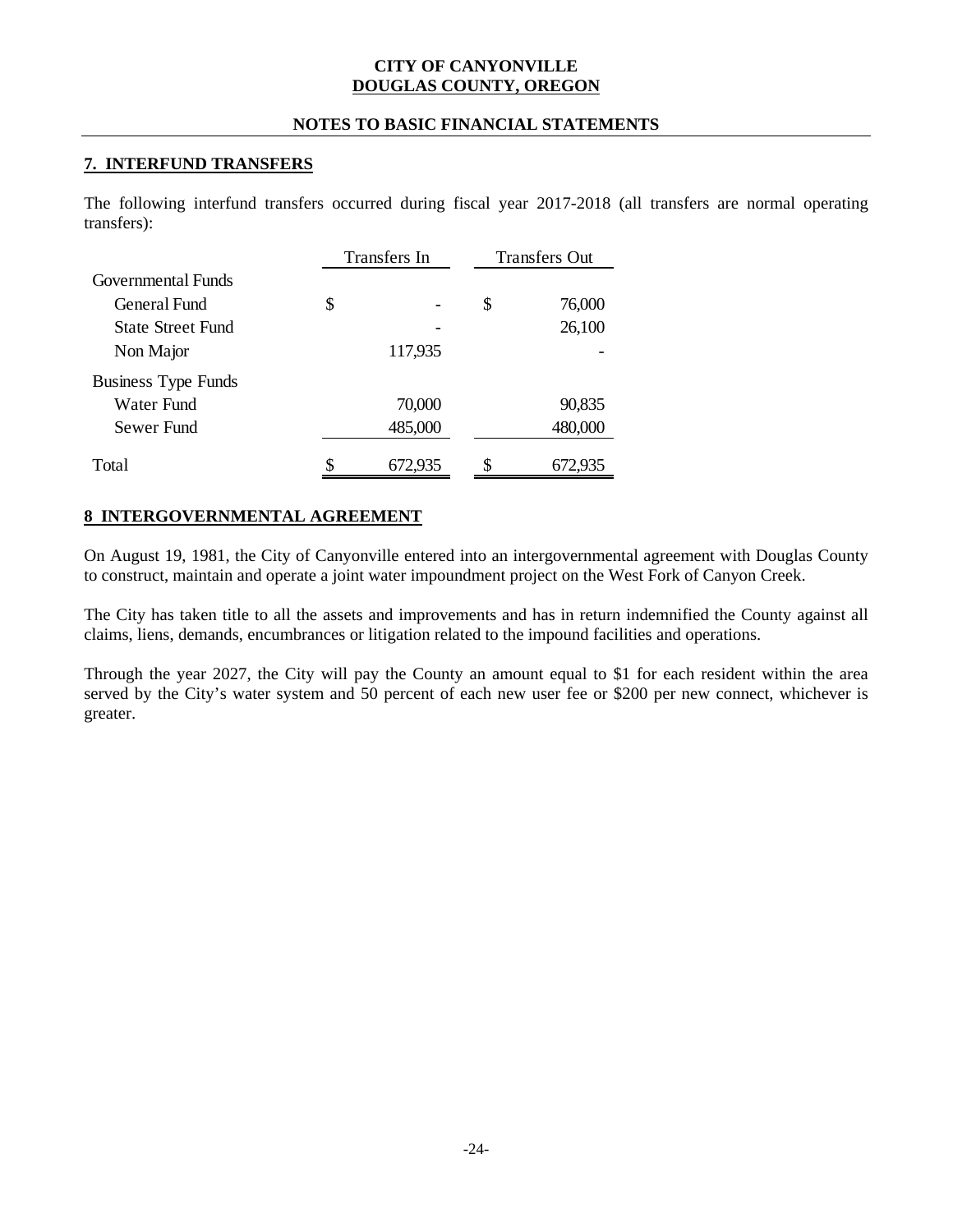### **NOTES TO BASIC FINANCIAL STATEMENTS**

### **7. INTERFUND TRANSFERS**

The following interfund transfers occurred during fiscal year 2017-2018 (all transfers are normal operating transfers):

|                            | Transfers In |         |    | <b>Transfers Out</b> |
|----------------------------|--------------|---------|----|----------------------|
| Governmental Funds         |              |         |    |                      |
| General Fund               | \$           |         | \$ | 76,000               |
| <b>State Street Fund</b>   |              |         |    | 26,100               |
| Non Major                  |              | 117,935 |    |                      |
| <b>Business Type Funds</b> |              |         |    |                      |
| Water Fund                 |              | 70,000  |    | 90,835               |
| Sewer Fund                 |              | 485,000 |    | 480,000              |
| Total                      | \$           | 672,935 | S  | 672,935              |

### **8 INTERGOVERNMENTAL AGREEMENT**

On August 19, 1981, the City of Canyonville entered into an intergovernmental agreement with Douglas County to construct, maintain and operate a joint water impoundment project on the West Fork of Canyon Creek.

The City has taken title to all the assets and improvements and has in return indemnified the County against all claims, liens, demands, encumbrances or litigation related to the impound facilities and operations.

Through the year 2027, the City will pay the County an amount equal to \$1 for each resident within the area served by the City's water system and 50 percent of each new user fee or \$200 per new connect, whichever is greater.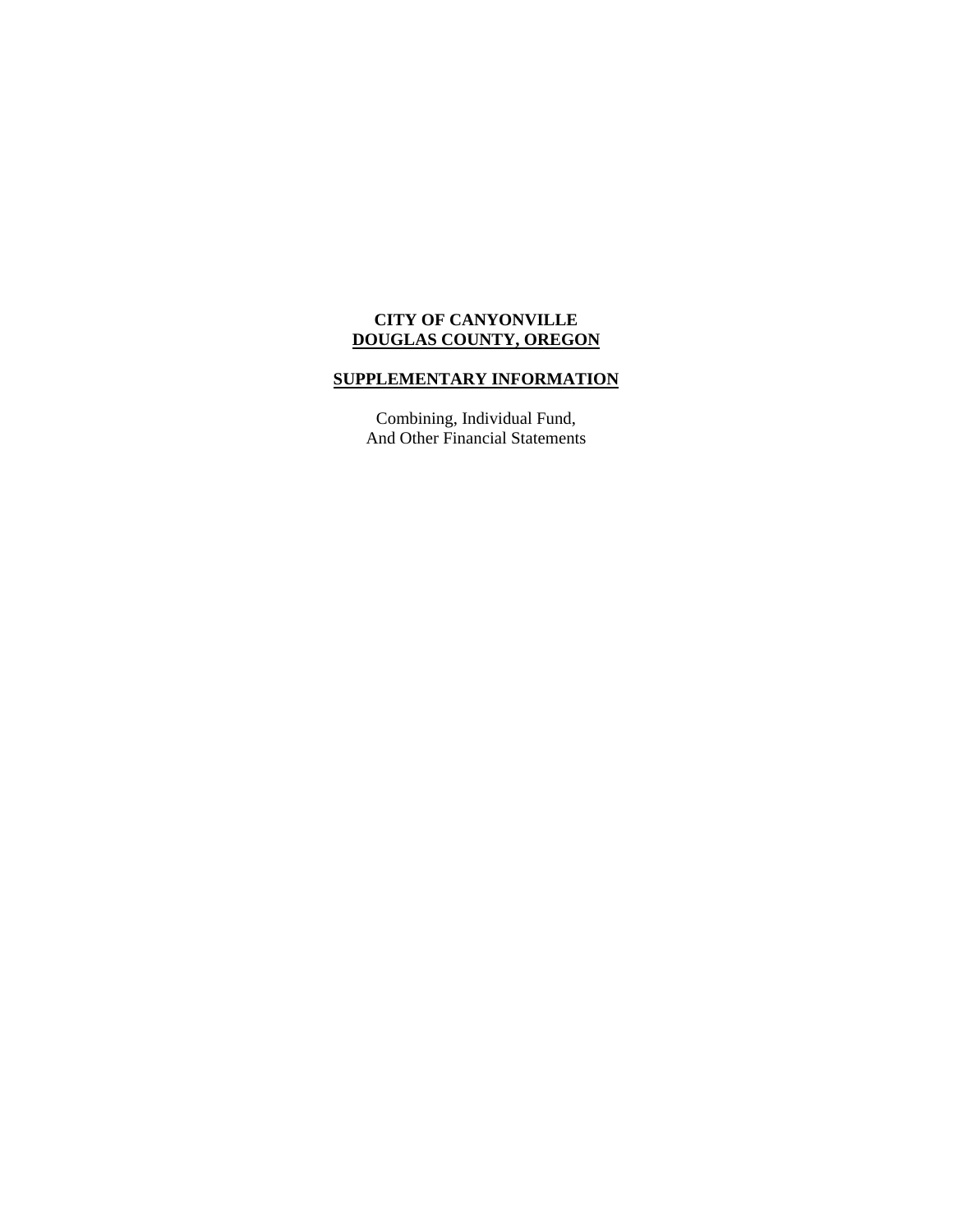### **SUPPLEMENTARY INFORMATION**

Combining, Individual Fund, And Other Financial Statements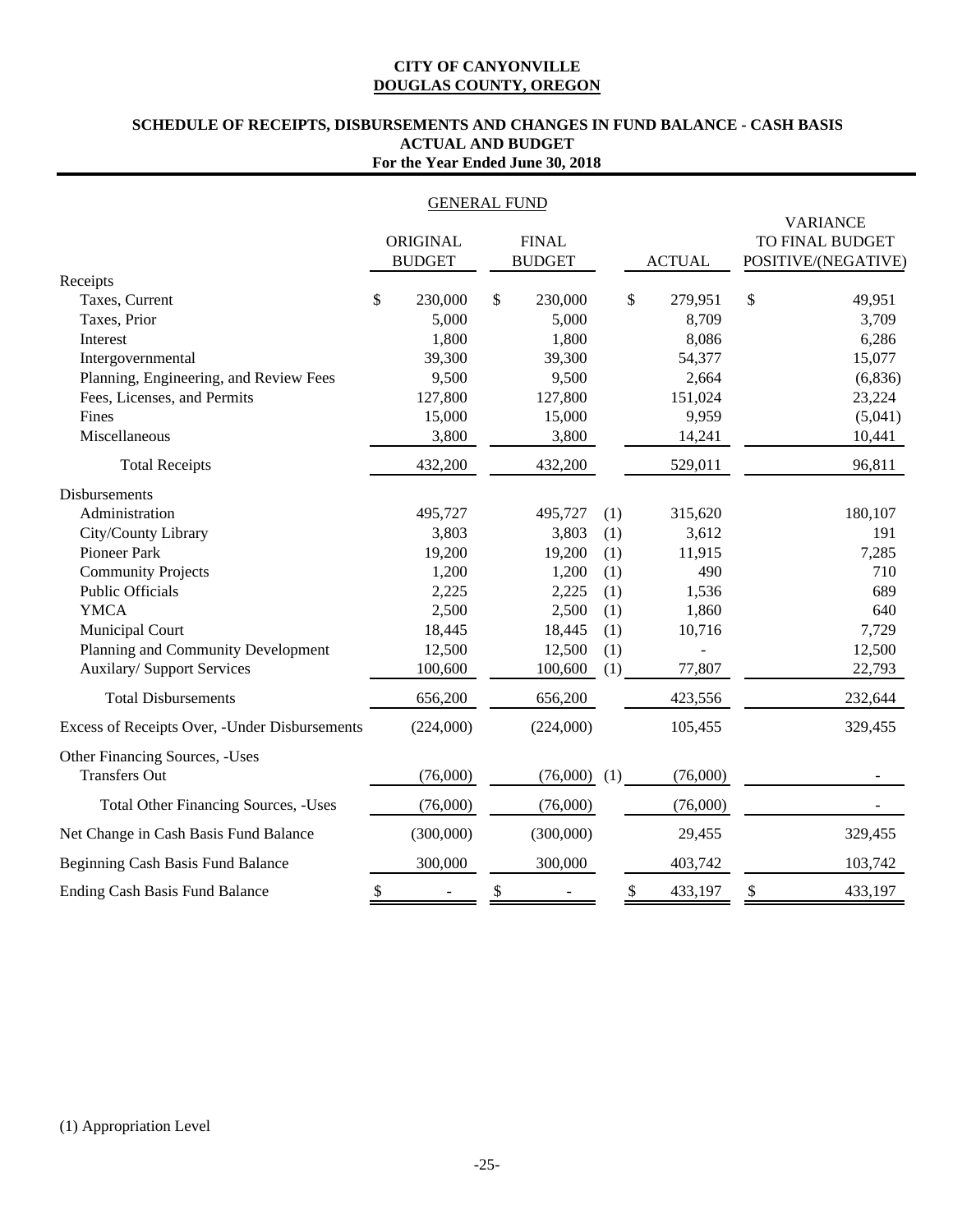### **SCHEDULE OF RECEIPTS, DISBURSEMENTS AND CHANGES IN FUND BALANCE - CASH BASIS ACTUAL AND BUDGET For the Year Ended June 30, 2018**

|                                                        | ORIGINAL<br><b>BUDGET</b> | <b>FINAL</b><br><b>BUDGET</b> |     | <b>ACTUAL</b> | <b>VARIANCE</b><br>TO FINAL BUDGET<br>POSITIVE/(NEGATIVE) |
|--------------------------------------------------------|---------------------------|-------------------------------|-----|---------------|-----------------------------------------------------------|
| Receipts                                               |                           |                               |     |               |                                                           |
| Taxes, Current                                         | \$<br>230,000             | \$<br>230,000                 | \$  | 279,951       | \$<br>49,951                                              |
| Taxes, Prior                                           | 5,000                     | 5,000                         |     | 8,709         | 3,709                                                     |
| Interest                                               | 1,800                     | 1,800                         |     | 8,086         | 6,286                                                     |
| Intergovernmental                                      | 39,300                    | 39,300                        |     | 54,377        | 15,077                                                    |
| Planning, Engineering, and Review Fees                 | 9,500                     | 9,500                         |     | 2,664         | (6, 836)                                                  |
| Fees, Licenses, and Permits                            | 127,800                   | 127,800                       |     | 151,024       | 23,224                                                    |
| Fines                                                  | 15,000                    | 15,000                        |     | 9,959         | (5,041)                                                   |
| Miscellaneous                                          | 3,800                     | 3,800                         |     | 14,241        | 10,441                                                    |
| <b>Total Receipts</b>                                  | 432,200                   | 432,200                       |     | 529,011       | 96,811                                                    |
| Disbursements                                          |                           |                               |     |               |                                                           |
| Administration                                         | 495,727                   | 495,727                       | (1) | 315,620       | 180,107                                                   |
| City/County Library                                    | 3,803                     | 3,803                         | (1) | 3,612         | 191                                                       |
| Pioneer Park                                           | 19,200                    | 19,200                        | (1) | 11,915        | 7,285                                                     |
| <b>Community Projects</b>                              | 1,200                     | 1,200                         | (1) | 490           | 710                                                       |
| <b>Public Officials</b>                                | 2,225                     | 2,225                         | (1) | 1,536         | 689                                                       |
| <b>YMCA</b>                                            | 2,500                     | 2,500                         | (1) | 1,860         | 640                                                       |
| Municipal Court                                        | 18,445                    | 18,445                        | (1) | 10,716        | 7,729                                                     |
| Planning and Community Development                     | 12,500                    | 12,500                        | (1) |               | 12,500                                                    |
| <b>Auxilary/ Support Services</b>                      | 100,600                   | 100,600                       | (1) | 77,807        | 22,793                                                    |
| <b>Total Disbursements</b>                             | 656,200                   | 656,200                       |     | 423,556       | 232,644                                                   |
| Excess of Receipts Over, -Under Disbursements          | (224,000)                 | (224,000)                     |     | 105,455       | 329,455                                                   |
| Other Financing Sources, -Uses<br><b>Transfers Out</b> | (76,000)                  | $(76,000)$ (1)                |     | (76,000)      |                                                           |
| Total Other Financing Sources, -Uses                   | (76,000)                  | (76,000)                      |     | (76,000)      |                                                           |
| Net Change in Cash Basis Fund Balance                  | (300,000)                 | (300,000)                     |     | 29,455        | 329,455                                                   |
| <b>Beginning Cash Basis Fund Balance</b>               | 300,000                   | 300,000                       |     | 403,742       | 103,742                                                   |
| <b>Ending Cash Basis Fund Balance</b>                  | \$                        | \$                            | \$  | 433,197       | \$<br>433,197                                             |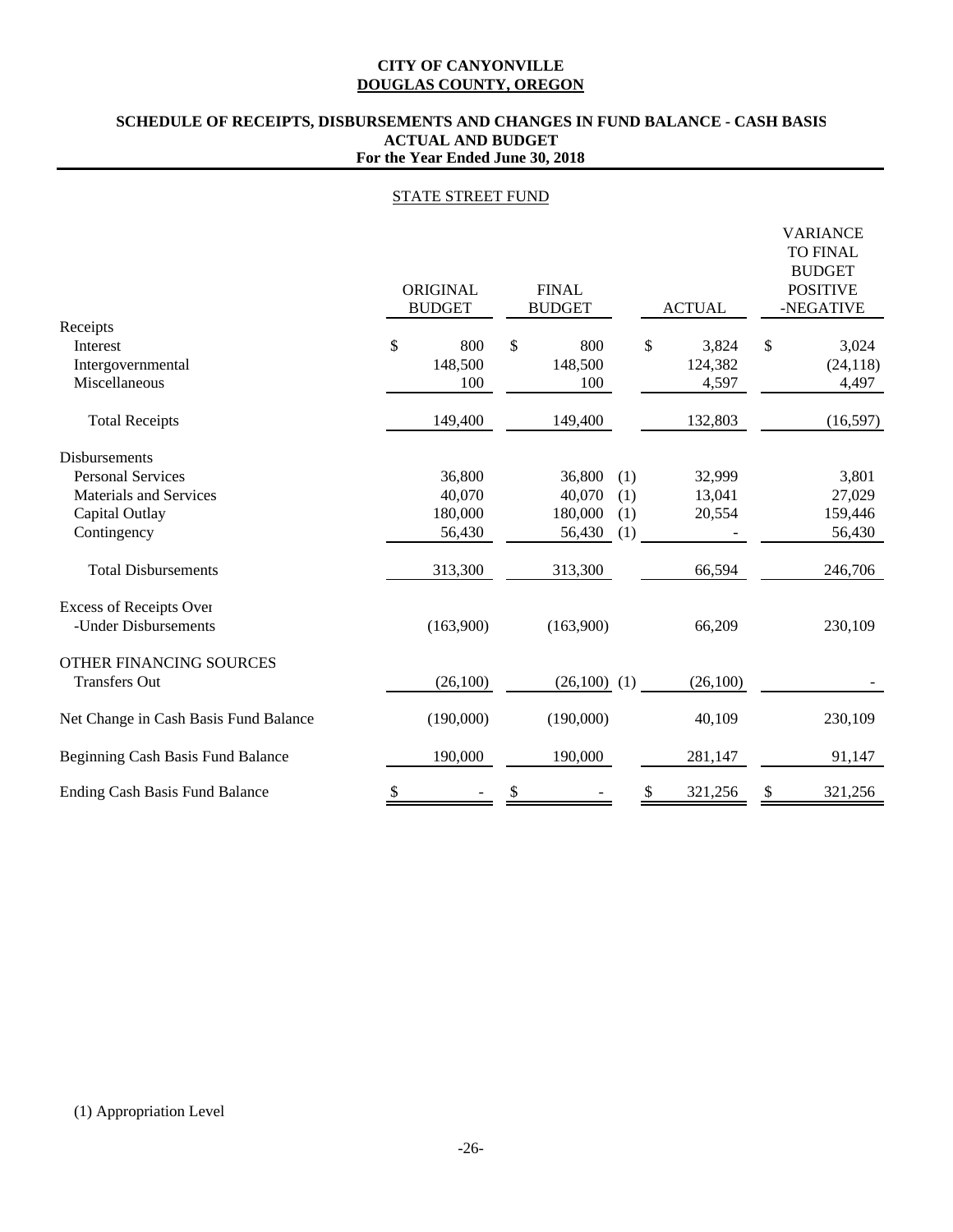#### **SCHEDULE OF RECEIPTS, DISBURSEMENTS AND CHANGES IN FUND BALANCE - CASH BASIS ACTUAL AND BUDGET For the Year Ended June 30, 2018**

### STATE STREET FUND

|                                       |               |                               |     |               |                              | <b>VARIANCE</b> |
|---------------------------------------|---------------|-------------------------------|-----|---------------|------------------------------|-----------------|
|                                       |               |                               |     |               |                              | <b>TO FINAL</b> |
|                                       | ORIGINAL      |                               |     |               |                              | <b>BUDGET</b>   |
|                                       | <b>BUDGET</b> | <b>FINAL</b><br><b>BUDGET</b> |     | <b>ACTUAL</b> | <b>POSITIVE</b><br>-NEGATIVE |                 |
| Receipts                              |               |                               |     |               |                              |                 |
| Interest                              | \$<br>800     | \$<br>800                     | \$  | 3,824         | \$                           | 3,024           |
| Intergovernmental                     | 148,500       | 148,500                       |     | 124,382       |                              | (24, 118)       |
| Miscellaneous                         | 100           | 100                           |     | 4,597         |                              | 4,497           |
|                                       |               |                               |     |               |                              |                 |
| <b>Total Receipts</b>                 | 149,400       | 149,400                       |     | 132,803       |                              | (16, 597)       |
| <b>Disbursements</b>                  |               |                               |     |               |                              |                 |
| <b>Personal Services</b>              | 36,800        | 36,800                        | (1) | 32,999        |                              | 3,801           |
| <b>Materials and Services</b>         | 40,070        | 40,070                        | (1) | 13,041        |                              | 27,029          |
| Capital Outlay                        | 180,000       | 180,000                       | (1) | 20,554        |                              | 159,446         |
| Contingency                           | 56,430        | 56,430                        | (1) |               |                              | 56,430          |
| <b>Total Disbursements</b>            | 313,300       | 313,300                       |     | 66,594        |                              | 246,706         |
| <b>Excess of Receipts Over</b>        |               |                               |     |               |                              |                 |
| -Under Disbursements                  | (163,900)     | (163,900)                     |     | 66,209        |                              | 230,109         |
| OTHER FINANCING SOURCES               |               |                               |     |               |                              |                 |
| <b>Transfers Out</b>                  | (26,100)      | $(26,100)$ (1)                |     | (26,100)      |                              |                 |
| Net Change in Cash Basis Fund Balance | (190,000)     | (190,000)                     |     | 40,109        |                              | 230,109         |
| Beginning Cash Basis Fund Balance     | 190,000       | 190,000                       |     | 281,147       |                              | 91,147          |
| <b>Ending Cash Basis Fund Balance</b> | \$            | \$                            | S   | 321,256       | \$                           | 321,256         |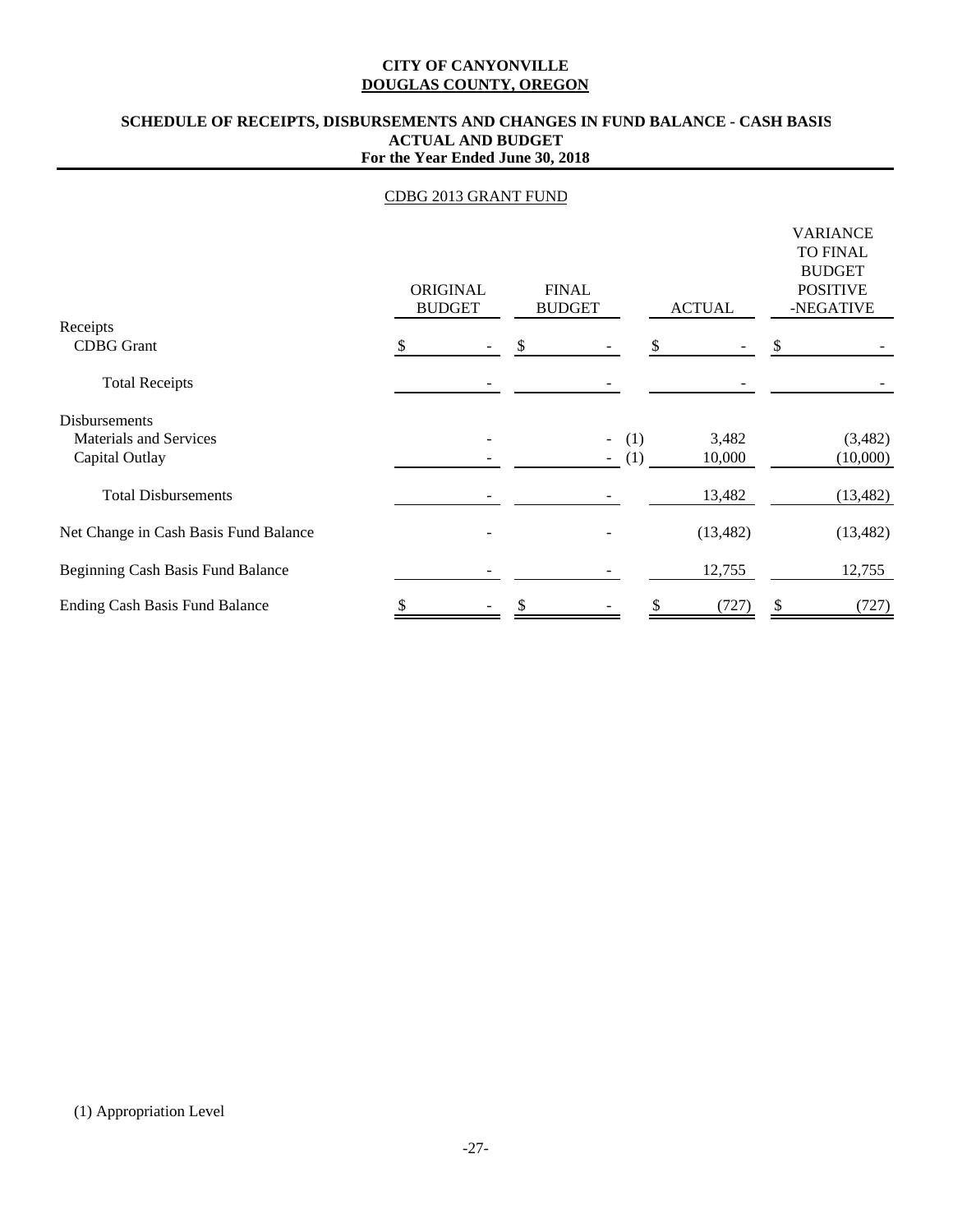#### **SCHEDULE OF RECEIPTS, DISBURSEMENTS AND CHANGES IN FUND BALANCE - CASH BASIS ACTUAL AND BUDGET For the Year Ended June 30, 2018**

### CDBG 2013 GRANT FUND

|                                       |    | ORIGINAL<br><b>BUDGET</b> | <b>FINAL</b><br><b>BUDGET</b> |     | <b>ACTUAL</b> | <b>VARIANCE</b><br><b>TO FINAL</b><br><b>BUDGET</b><br><b>POSITIVE</b><br>-NEGATIVE |           |  |
|---------------------------------------|----|---------------------------|-------------------------------|-----|---------------|-------------------------------------------------------------------------------------|-----------|--|
| Receipts                              |    |                           |                               |     |               |                                                                                     |           |  |
| <b>CDBG</b> Grant                     | S. |                           | \$                            | \$. |               | \$                                                                                  |           |  |
| <b>Total Receipts</b>                 |    |                           |                               |     |               |                                                                                     |           |  |
| <b>Disbursements</b>                  |    |                           |                               |     |               |                                                                                     |           |  |
| <b>Materials and Services</b>         |    |                           | $\blacksquare$                | (1) | 3,482         |                                                                                     | (3,482)   |  |
| Capital Outlay                        |    |                           | ۰.                            | (1) | 10,000        |                                                                                     | (10,000)  |  |
| <b>Total Disbursements</b>            |    |                           |                               |     | 13,482        |                                                                                     | (13, 482) |  |
| Net Change in Cash Basis Fund Balance |    |                           |                               |     | (13, 482)     |                                                                                     | (13, 482) |  |
| Beginning Cash Basis Fund Balance     |    |                           |                               |     | 12,755        |                                                                                     | 12,755    |  |
| <b>Ending Cash Basis Fund Balance</b> |    |                           | \$                            |     | (727)         | S                                                                                   | (727)     |  |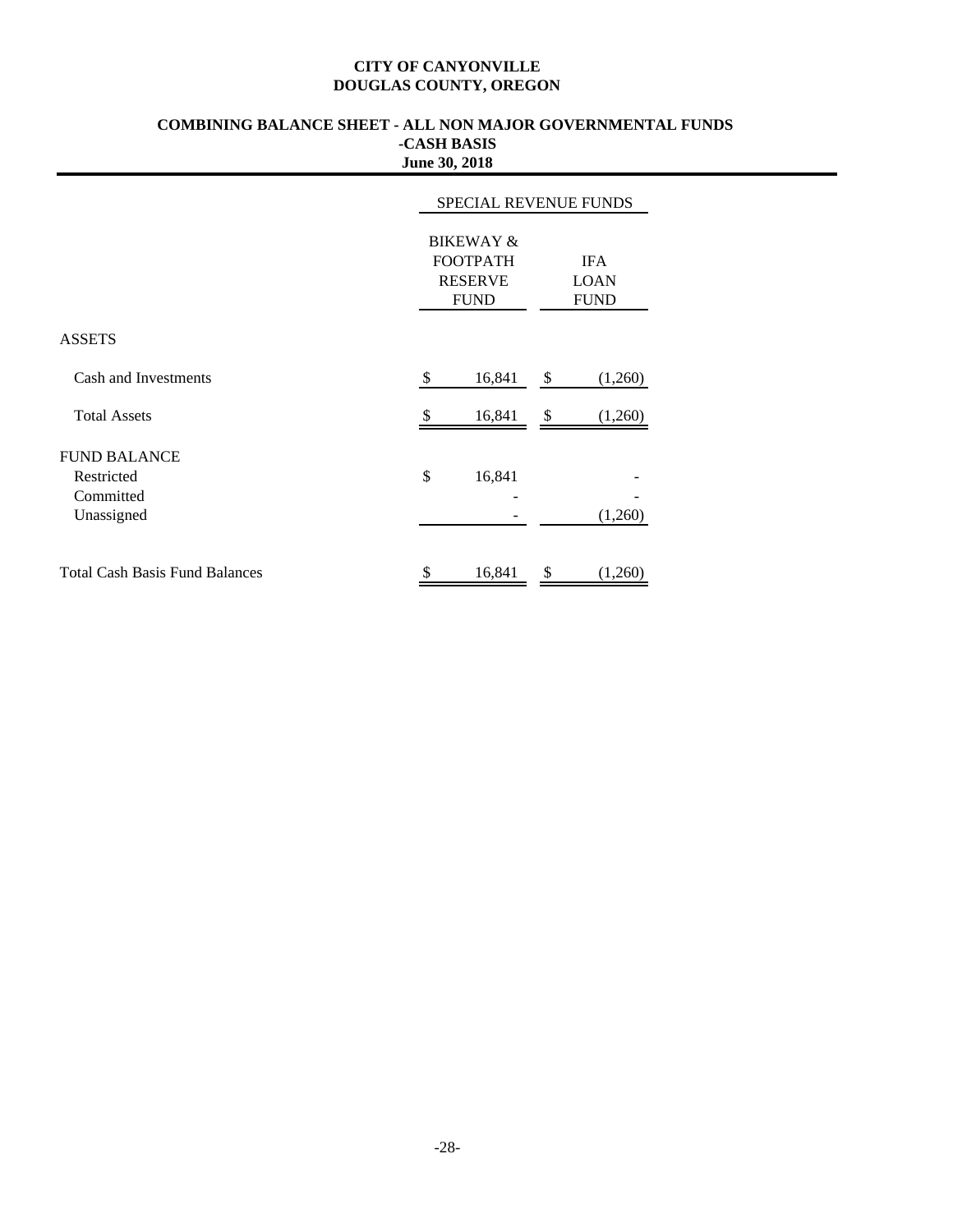### **COMBINING BALANCE SHEET - ALL NON MAJOR GOVERNMENTAL FUNDS -CASH BASIS June 30, 2018**

|                                                              | <b>SPECIAL REVENUE FUNDS</b> |                                                                          |    |                                          |  |  |
|--------------------------------------------------------------|------------------------------|--------------------------------------------------------------------------|----|------------------------------------------|--|--|
|                                                              |                              | <b>BIKEWAY &amp;</b><br><b>FOOTPATH</b><br><b>RESERVE</b><br><b>FUND</b> |    | <b>IFA</b><br><b>LOAN</b><br><b>FUND</b> |  |  |
| <b>ASSETS</b>                                                |                              |                                                                          |    |                                          |  |  |
| Cash and Investments                                         | \$                           | 16,841                                                                   | \$ | (1,260)                                  |  |  |
| <b>Total Assets</b>                                          |                              | 16,841                                                                   | \$ | (1,260)                                  |  |  |
| <b>FUND BALANCE</b><br>Restricted<br>Committed<br>Unassigned | \$                           | 16,841                                                                   |    | (1,260)                                  |  |  |
| <b>Total Cash Basis Fund Balances</b>                        | \$                           | 16,841                                                                   | \$ | (1,260)                                  |  |  |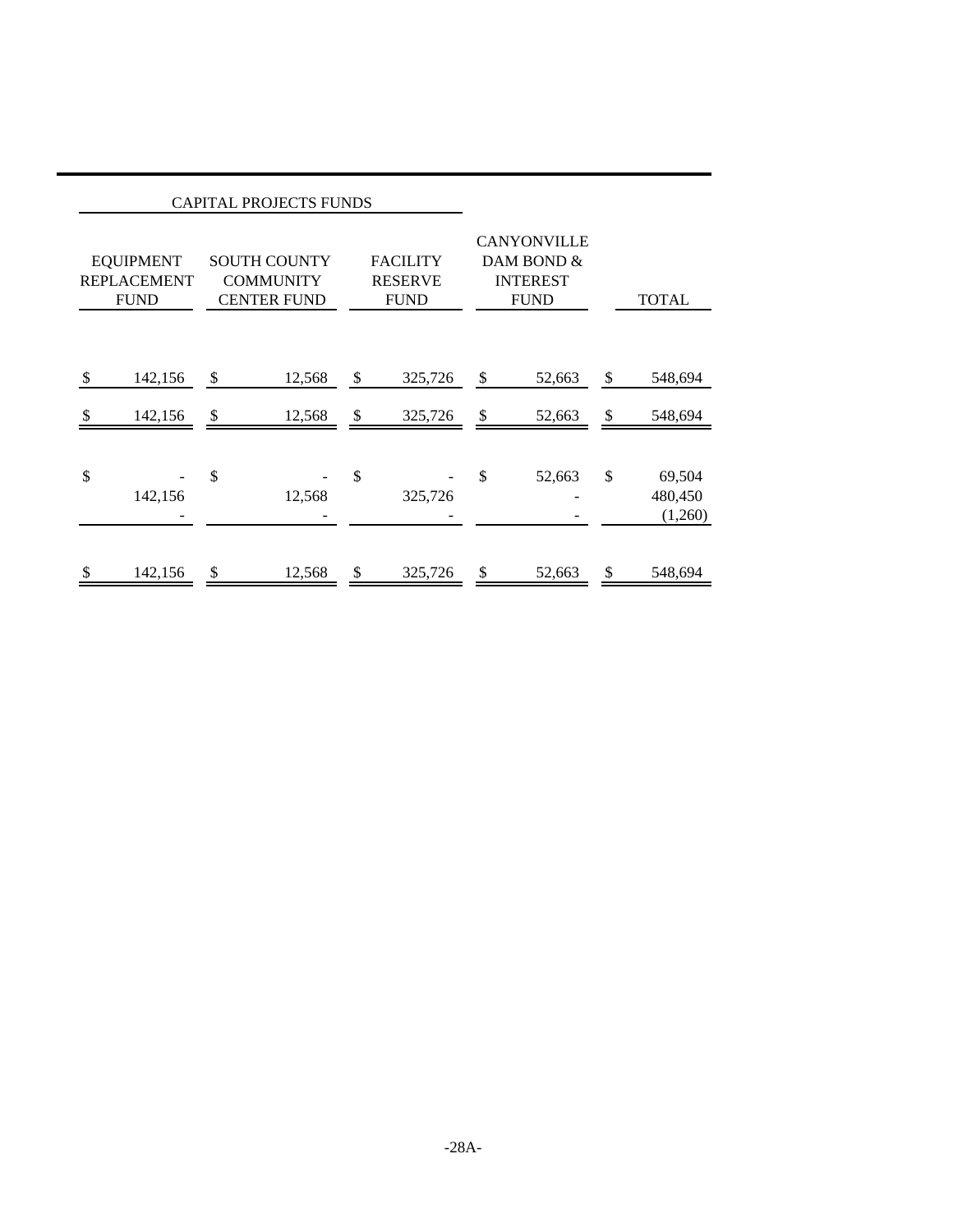|              |                                                                                                                        |    | <b>CAPITAL PROJECTS FUNDS</b>                    |    |                                                                    |    |              |                                    |
|--------------|------------------------------------------------------------------------------------------------------------------------|----|--------------------------------------------------|----|--------------------------------------------------------------------|----|--------------|------------------------------------|
|              | <b>EQUIPMENT</b><br><b>SOUTH COUNTY</b><br><b>REPLACEMENT</b><br><b>COMMUNITY</b><br><b>FUND</b><br><b>CENTER FUND</b> |    | <b>FACILITY</b><br><b>RESERVE</b><br><b>FUND</b> |    | <b>CANYONVILLE</b><br>DAM BOND &<br><b>INTEREST</b><br><b>FUND</b> |    | <b>TOTAL</b> |                                    |
|              |                                                                                                                        |    |                                                  |    |                                                                    |    |              |                                    |
| $\mathbb{S}$ | 142,156                                                                                                                | \$ | 12,568                                           | \$ | 325,726                                                            | \$ | 52,663       | \$<br>548,694                      |
| S            | 142,156                                                                                                                | \$ | 12,568                                           | \$ | 325,726                                                            | \$ | 52,663       | \$<br>548,694                      |
| \$           | 142,156                                                                                                                | \$ | 12,568                                           | \$ | 325,726                                                            | \$ | 52,663       | \$<br>69,504<br>480,450<br>(1,260) |
| \$           | 142,156                                                                                                                | \$ | 12,568                                           | \$ | 325,726                                                            | \$ | 52,663       | \$<br>548,694                      |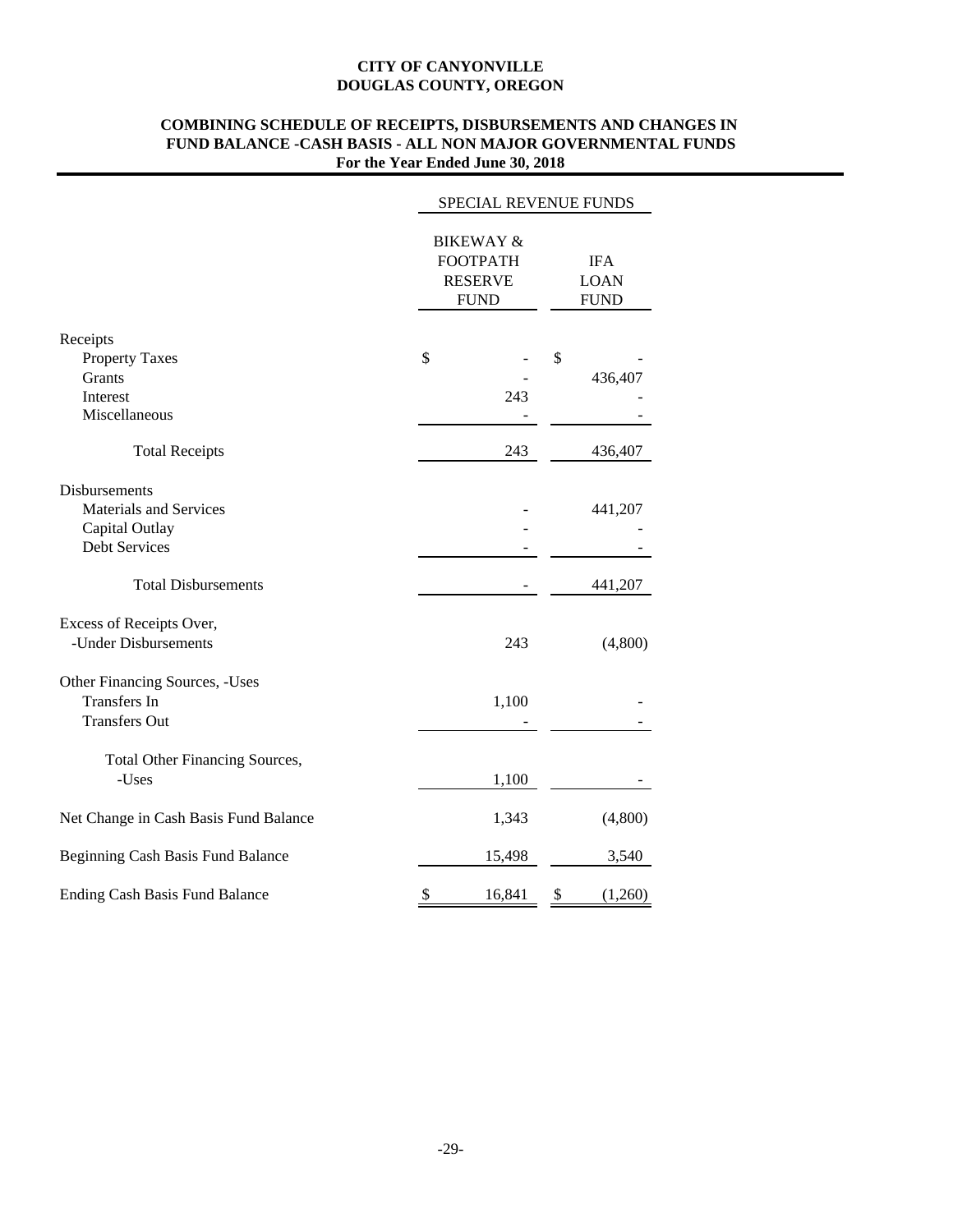### **COMBINING SCHEDULE OF RECEIPTS, DISBURSEMENTS AND CHANGES IN FUND BALANCE -CASH BASIS - ALL NON MAJOR GOVERNMENTAL FUNDS For the Year Ended June 30, 2018**

|                                       |                                                                          | SPECIAL REVENUE FUNDS                    |
|---------------------------------------|--------------------------------------------------------------------------|------------------------------------------|
|                                       | <b>BIKEWAY &amp;</b><br><b>FOOTPATH</b><br><b>RESERVE</b><br><b>FUND</b> | <b>IFA</b><br><b>LOAN</b><br><b>FUND</b> |
| Receipts                              |                                                                          |                                          |
| <b>Property Taxes</b>                 | \$                                                                       | \$                                       |
| Grants                                |                                                                          | 436,407                                  |
| Interest                              | 243                                                                      |                                          |
| Miscellaneous                         |                                                                          |                                          |
| <b>Total Receipts</b>                 | 243                                                                      | 436,407                                  |
| <b>Disbursements</b>                  |                                                                          |                                          |
| Materials and Services                |                                                                          | 441,207                                  |
| Capital Outlay                        |                                                                          |                                          |
| Debt Services                         |                                                                          |                                          |
| <b>Total Disbursements</b>            |                                                                          | 441,207                                  |
| Excess of Receipts Over,              |                                                                          |                                          |
| -Under Disbursements                  | 243                                                                      | (4,800)                                  |
| Other Financing Sources, -Uses        |                                                                          |                                          |
| <b>Transfers</b> In                   | 1,100                                                                    |                                          |
| <b>Transfers Out</b>                  |                                                                          |                                          |
| <b>Total Other Financing Sources,</b> |                                                                          |                                          |
| -Uses                                 | 1,100                                                                    |                                          |
| Net Change in Cash Basis Fund Balance | 1,343                                                                    | (4,800)                                  |
| Beginning Cash Basis Fund Balance     | 15,498                                                                   | 3,540                                    |
| <b>Ending Cash Basis Fund Balance</b> | $\boldsymbol{\mathsf{S}}$<br>16,841                                      | \$<br>(1,260)                            |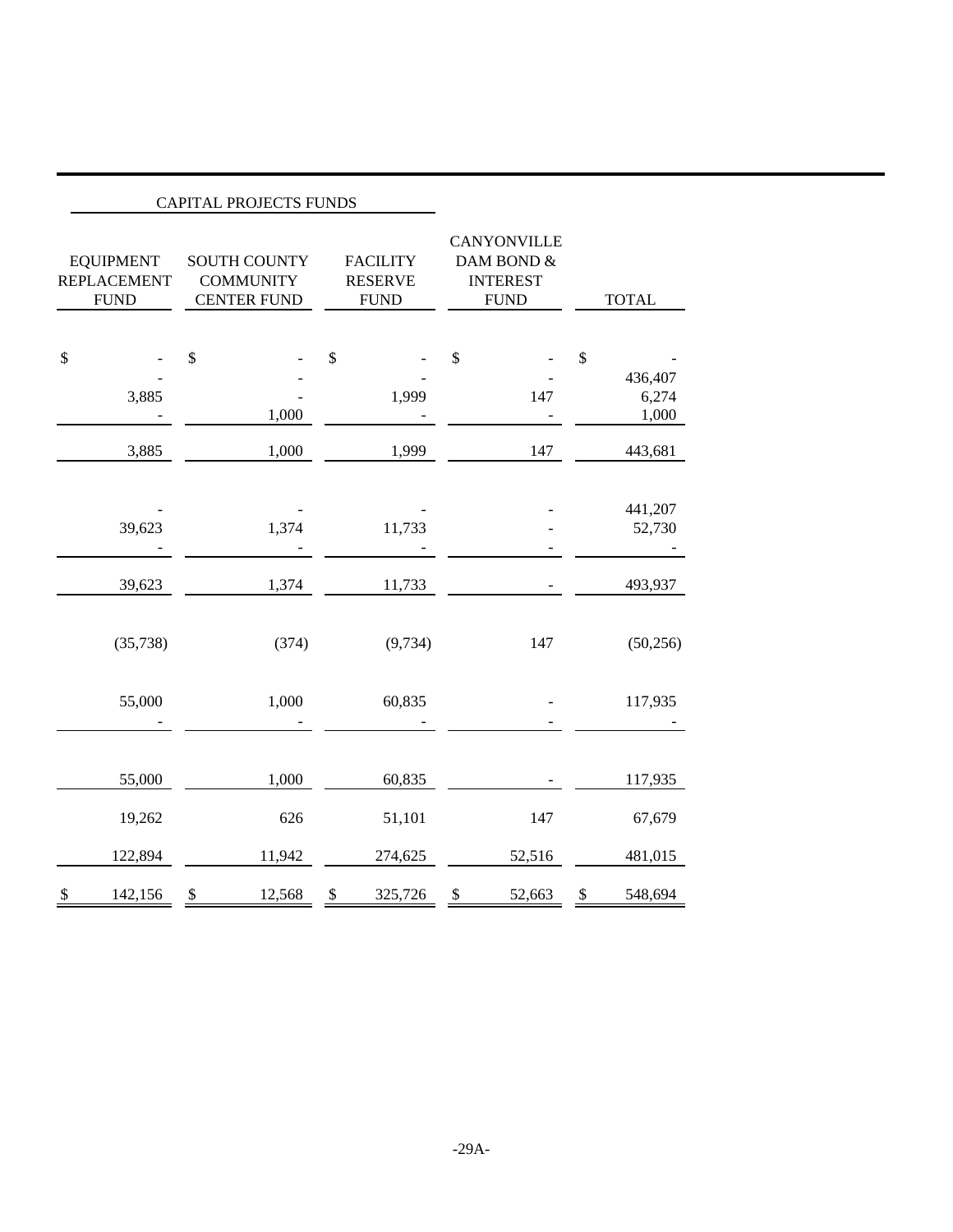|                           |                                                       | CAPITAL PROJECTS FUNDS                                        |        |                                                  |                                                             |      |                           |
|---------------------------|-------------------------------------------------------|---------------------------------------------------------------|--------|--------------------------------------------------|-------------------------------------------------------------|------|---------------------------|
|                           | <b>EQUIPMENT</b><br><b>REPLACEMENT</b><br><b>FUND</b> | <b>SOUTH COUNTY</b><br><b>COMMUNITY</b><br><b>CENTER FUND</b> |        | <b>FACILITY</b><br><b>RESERVE</b><br><b>FUND</b> | CANYONVILLE<br>DAM BOND &<br><b>INTEREST</b><br><b>FUND</b> |      | <b>TOTAL</b>              |
| \$                        |                                                       | \$                                                            |        | \$                                               | \$                                                          | $\$$ |                           |
|                           | 3,885                                                 |                                                               | 1,000  | 1,999                                            | 147                                                         |      | 436,407<br>6,274<br>1,000 |
|                           | 3,885                                                 |                                                               | 1,000  | 1,999                                            | 147                                                         |      | 443,681                   |
|                           | 39,623                                                |                                                               | 1,374  | 11,733                                           |                                                             |      | 441,207<br>52,730         |
|                           | 39,623                                                |                                                               | 1,374  | 11,733                                           |                                                             |      | 493,937                   |
|                           | (35, 738)                                             |                                                               | (374)  | (9, 734)                                         | 147                                                         |      | (50, 256)                 |
|                           | 55,000                                                |                                                               | 1,000  | 60,835                                           |                                                             |      | 117,935                   |
|                           | 55,000                                                |                                                               | 1,000  | 60,835                                           |                                                             |      | 117,935                   |
|                           | 19,262                                                |                                                               | 626    | 51,101                                           | 147                                                         |      | 67,679                    |
|                           | 122,894                                               |                                                               | 11,942 | 274,625                                          | 52,516                                                      |      | 481,015                   |
| $\boldsymbol{\mathsf{S}}$ | 142,156                                               | \$                                                            | 12,568 | \$<br>325,726                                    | \$<br>52,663                                                | \$   | 548,694                   |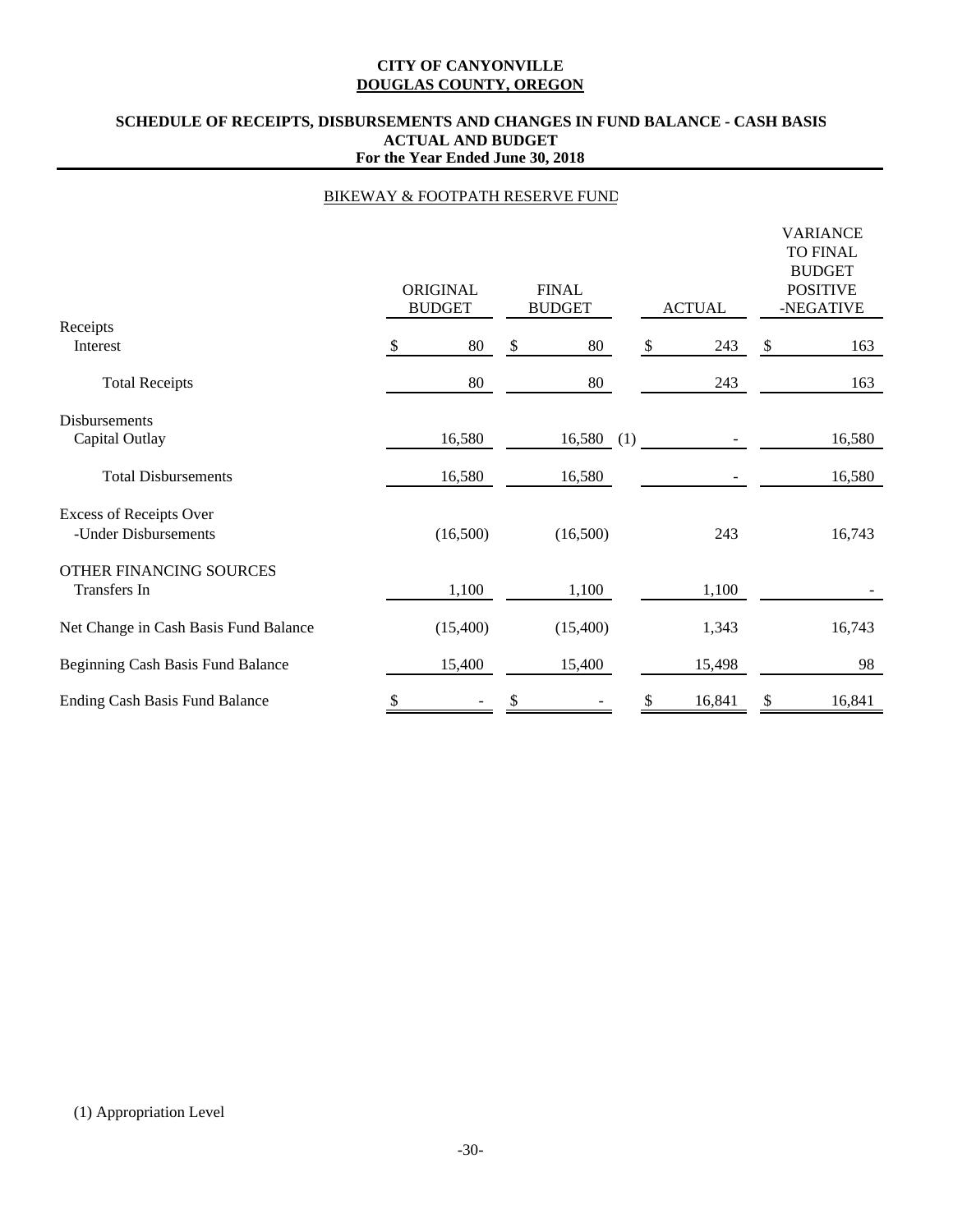#### **SCHEDULE OF RECEIPTS, DISBURSEMENTS AND CHANGES IN FUND BALANCE - CASH BASIS ACTUAL AND BUDGET For the Year Ended June 30, 2018**

### BIKEWAY & FOOTPATH RESERVE FUND

|                                                        | ORIGINAL<br><b>BUDGET</b> | <b>FINAL</b><br><b>BUDGET</b> | <b>ACTUAL</b> | <b>VARIANCE</b><br><b>TO FINAL</b><br><b>BUDGET</b><br><b>POSITIVE</b><br>-NEGATIVE |
|--------------------------------------------------------|---------------------------|-------------------------------|---------------|-------------------------------------------------------------------------------------|
| Receipts                                               |                           |                               |               |                                                                                     |
| Interest                                               | 80<br>\$                  | \$<br>80                      | 243<br>\$     | \$<br>163                                                                           |
| <b>Total Receipts</b>                                  | 80                        | 80                            | 243           | 163                                                                                 |
| <b>Disbursements</b>                                   |                           |                               |               |                                                                                     |
| Capital Outlay                                         | 16,580                    | $16,580$ (1)                  |               | 16,580                                                                              |
| <b>Total Disbursements</b>                             | 16,580                    | 16,580                        |               | 16,580                                                                              |
| <b>Excess of Receipts Over</b><br>-Under Disbursements | (16,500)                  | (16,500)                      | 243           | 16,743                                                                              |
| OTHER FINANCING SOURCES<br>Transfers In                | 1,100                     | 1,100                         | 1,100         |                                                                                     |
| Net Change in Cash Basis Fund Balance                  | (15,400)                  | (15,400)                      | 1,343         | 16,743                                                                              |
| Beginning Cash Basis Fund Balance                      | 15,400                    | 15,400                        | 15,498        | 98                                                                                  |
| <b>Ending Cash Basis Fund Balance</b>                  | \$                        |                               | 16,841        | 16,841<br>\$                                                                        |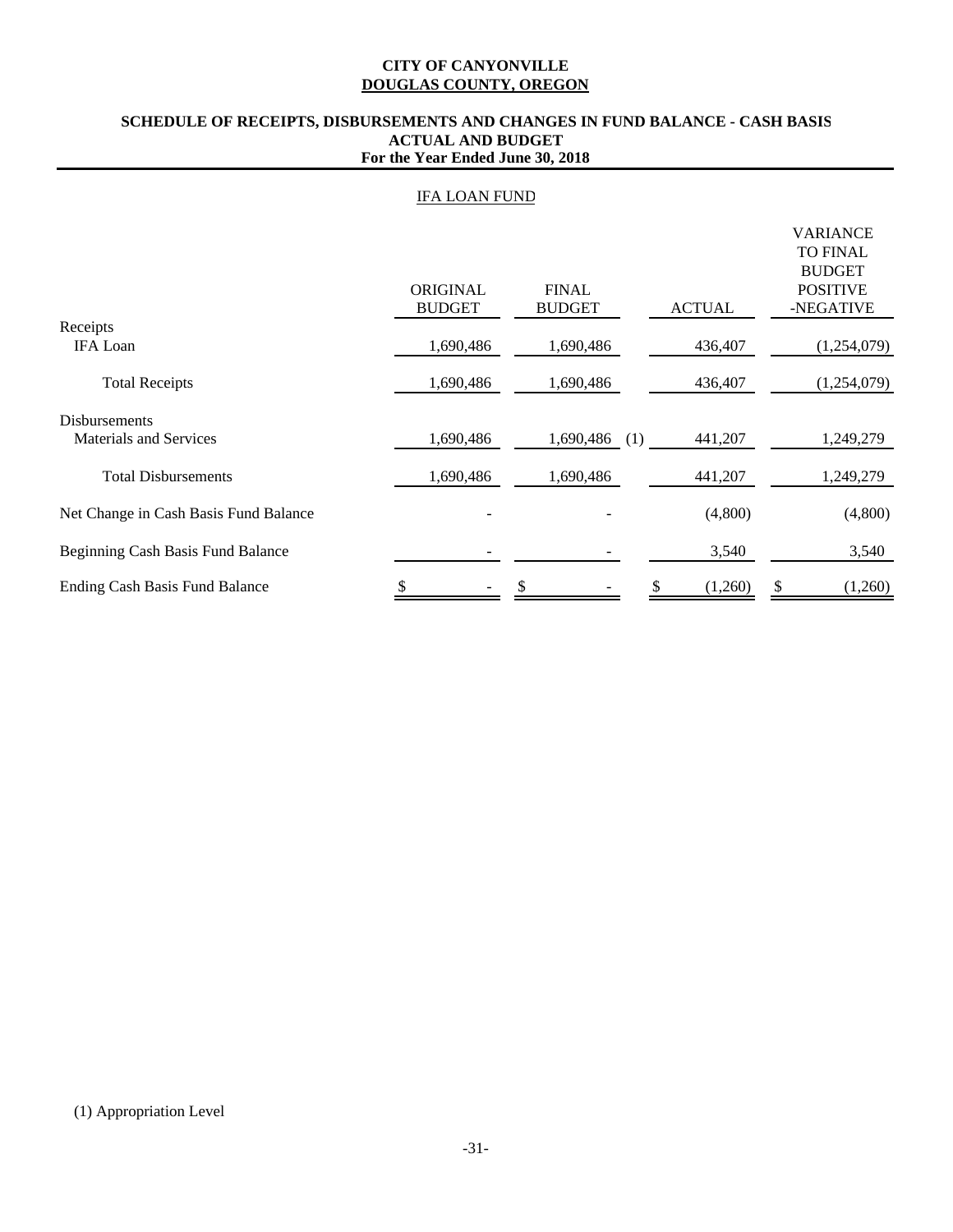#### **SCHEDULE OF RECEIPTS, DISBURSEMENTS AND CHANGES IN FUND BALANCE - CASH BASIS ACTUAL AND BUDGET For the Year Ended June 30, 2018**

#### IFA LOAN FUND

|                                                       |                           |                               |                | <b>VARIANCE</b><br><b>TO FINAL</b>            |
|-------------------------------------------------------|---------------------------|-------------------------------|----------------|-----------------------------------------------|
|                                                       | ORIGINAL<br><b>BUDGET</b> | <b>FINAL</b><br><b>BUDGET</b> | <b>ACTUAL</b>  | <b>BUDGET</b><br><b>POSITIVE</b><br>-NEGATIVE |
| Receipts<br>IFA Loan                                  | 1,690,486                 | 1,690,486                     | 436,407        | (1,254,079)                                   |
| <b>Total Receipts</b>                                 | 1,690,486                 | 1,690,486                     | 436,407        | (1,254,079)                                   |
| <b>Disbursements</b><br><b>Materials and Services</b> | 1,690,486                 | 1,690,486                     | (1)<br>441,207 | 1,249,279                                     |
| <b>Total Disbursements</b>                            | 1,690,486                 | 1,690,486                     | 441,207        | 1,249,279                                     |
| Net Change in Cash Basis Fund Balance                 |                           |                               | (4,800)        | (4,800)                                       |
| Beginning Cash Basis Fund Balance                     |                           |                               | 3,540          | 3,540                                         |
| <b>Ending Cash Basis Fund Balance</b>                 |                           | \$                            | (1,260)        | \$<br>(1,260)                                 |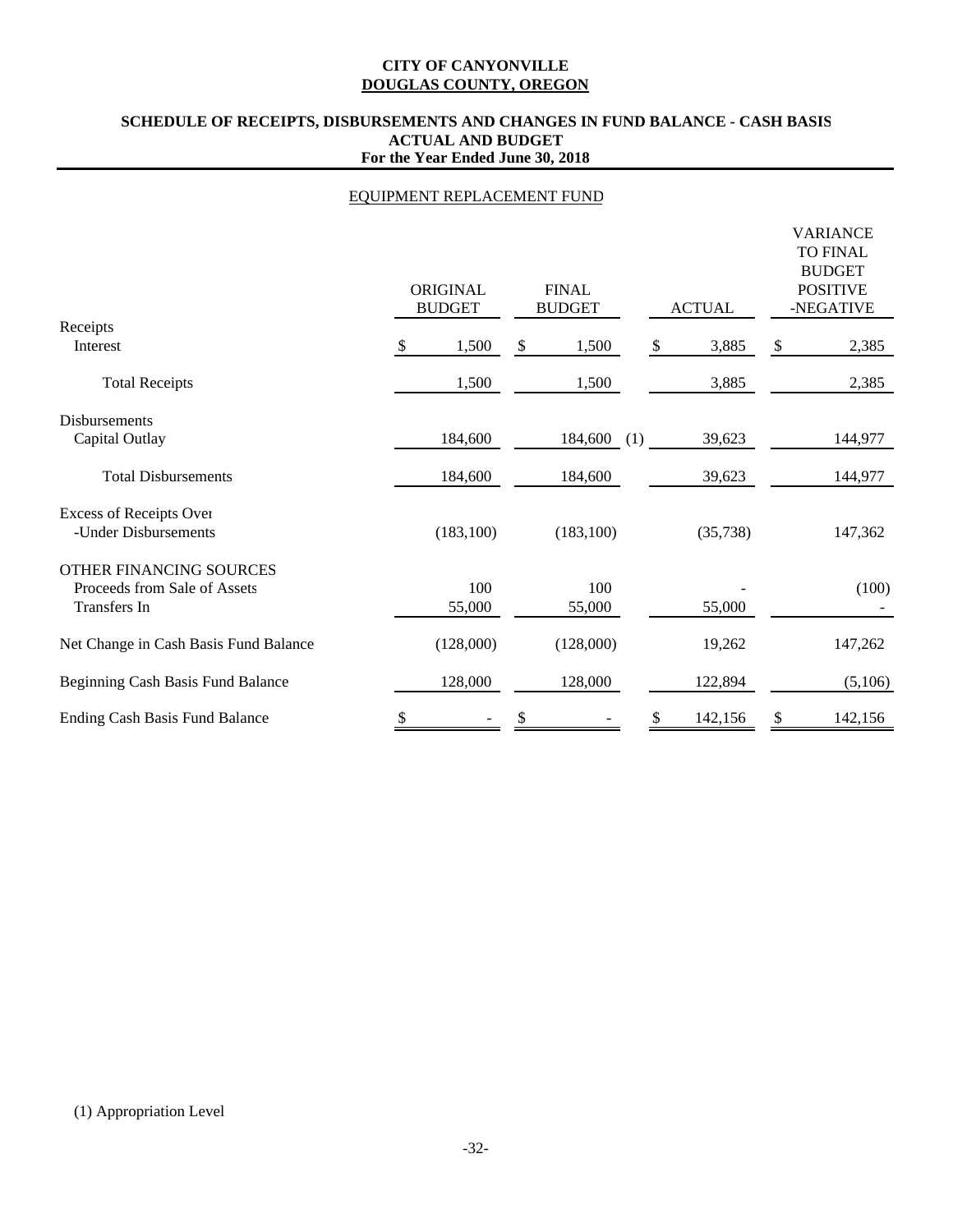#### **SCHEDULE OF RECEIPTS, DISBURSEMENTS AND CHANGES IN FUND BALANCE - CASH BASIS ACTUAL AND BUDGET For the Year Ended June 30, 2018**

### EQUIPMENT REPLACEMENT FUND

|                                                        | ORIGINAL<br><b>BUDGET</b> | <b>FINAL</b><br><b>BUDGET</b> | <b>ACTUAL</b> | <b>VARIANCE</b><br><b>TO FINAL</b><br><b>BUDGET</b><br><b>POSITIVE</b><br>-NEGATIVE |
|--------------------------------------------------------|---------------------------|-------------------------------|---------------|-------------------------------------------------------------------------------------|
| Receipts                                               |                           |                               |               |                                                                                     |
| Interest                                               | 1,500<br>S                | 1,500<br>\$                   | 3,885<br>\$   | 2,385<br>\$                                                                         |
| <b>Total Receipts</b>                                  | 1,500                     | 1,500                         | 3,885         | 2,385                                                                               |
| <b>Disbursements</b>                                   |                           |                               |               |                                                                                     |
| Capital Outlay                                         | 184,600                   | 184,600(1)                    | 39,623        | 144,977                                                                             |
| <b>Total Disbursements</b>                             | 184,600                   | 184,600                       | 39,623        | 144,977                                                                             |
| <b>Excess of Receipts Over</b><br>-Under Disbursements | (183, 100)                | (183, 100)                    | (35,738)      | 147,362                                                                             |
| <b>OTHER FINANCING SOURCES</b>                         |                           |                               |               |                                                                                     |
| Proceeds from Sale of Assets<br>Transfers In           | 100<br>55,000             | 100<br>55,000                 | 55,000        | (100)                                                                               |
| Net Change in Cash Basis Fund Balance                  | (128,000)                 | (128,000)                     | 19,262        | 147,262                                                                             |
| Beginning Cash Basis Fund Balance                      | 128,000                   | 128,000                       | 122,894       | (5,106)                                                                             |
| <b>Ending Cash Basis Fund Balance</b>                  | S                         |                               | 142,156       | 142,156<br>\$                                                                       |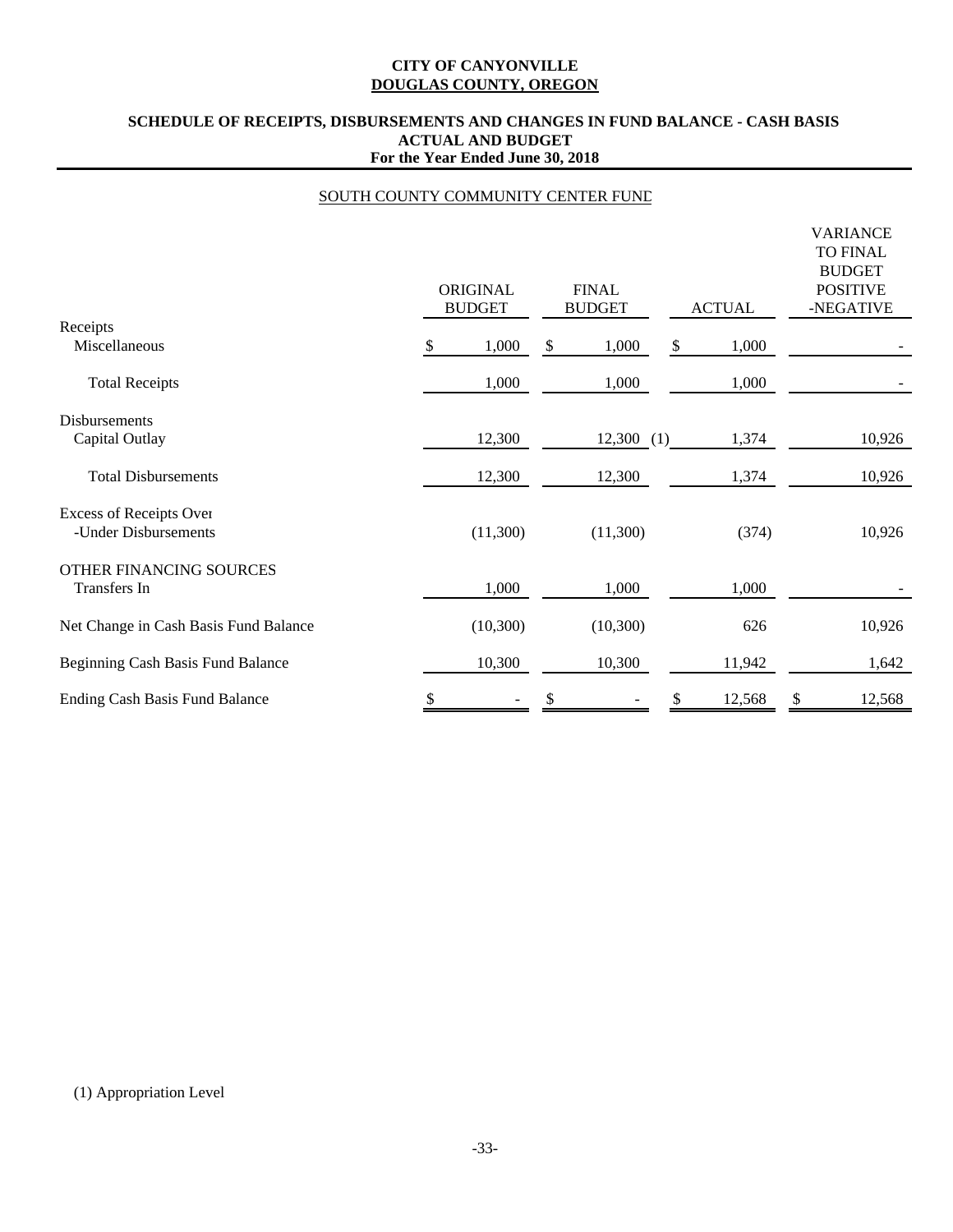#### **SCHEDULE OF RECEIPTS, DISBURSEMENTS AND CHANGES IN FUND BALANCE - CASH BASIS ACTUAL AND BUDGET For the Year Ended June 30, 2018**

### SOUTH COUNTY COMMUNITY CENTER FUND

|                                       | ORIGINAL<br><b>BUDGET</b> | <b>FINAL</b><br><b>BUDGET</b> | <b>ACTUAL</b> | <b>VARIANCE</b><br><b>TO FINAL</b><br><b>BUDGET</b><br><b>POSITIVE</b><br>-NEGATIVE |
|---------------------------------------|---------------------------|-------------------------------|---------------|-------------------------------------------------------------------------------------|
| Receipts                              |                           |                               |               |                                                                                     |
| Miscellaneous                         | 1,000<br>\$               | 1,000<br>\$                   | \$<br>1,000   |                                                                                     |
| <b>Total Receipts</b>                 | 1,000                     | 1,000                         | 1,000         |                                                                                     |
| <b>Disbursements</b>                  |                           |                               |               |                                                                                     |
| Capital Outlay                        | 12,300                    | $12,300$ (1)                  | 1,374         | 10,926                                                                              |
| <b>Total Disbursements</b>            | 12,300                    | 12,300                        | 1,374         | 10,926                                                                              |
| <b>Excess of Receipts Over</b>        |                           |                               |               |                                                                                     |
| -Under Disbursements                  | (11,300)                  | (11,300)                      | (374)         | 10,926                                                                              |
| OTHER FINANCING SOURCES               |                           |                               |               |                                                                                     |
| Transfers In                          | 1,000                     | 1,000                         | 1,000         |                                                                                     |
| Net Change in Cash Basis Fund Balance | (10, 300)                 | (10, 300)                     | 626           | 10,926                                                                              |
| Beginning Cash Basis Fund Balance     | 10,300                    | 10,300                        | 11,942        | 1,642                                                                               |
| <b>Ending Cash Basis Fund Balance</b> | \$                        | \$                            | 12,568        | 12,568<br>S                                                                         |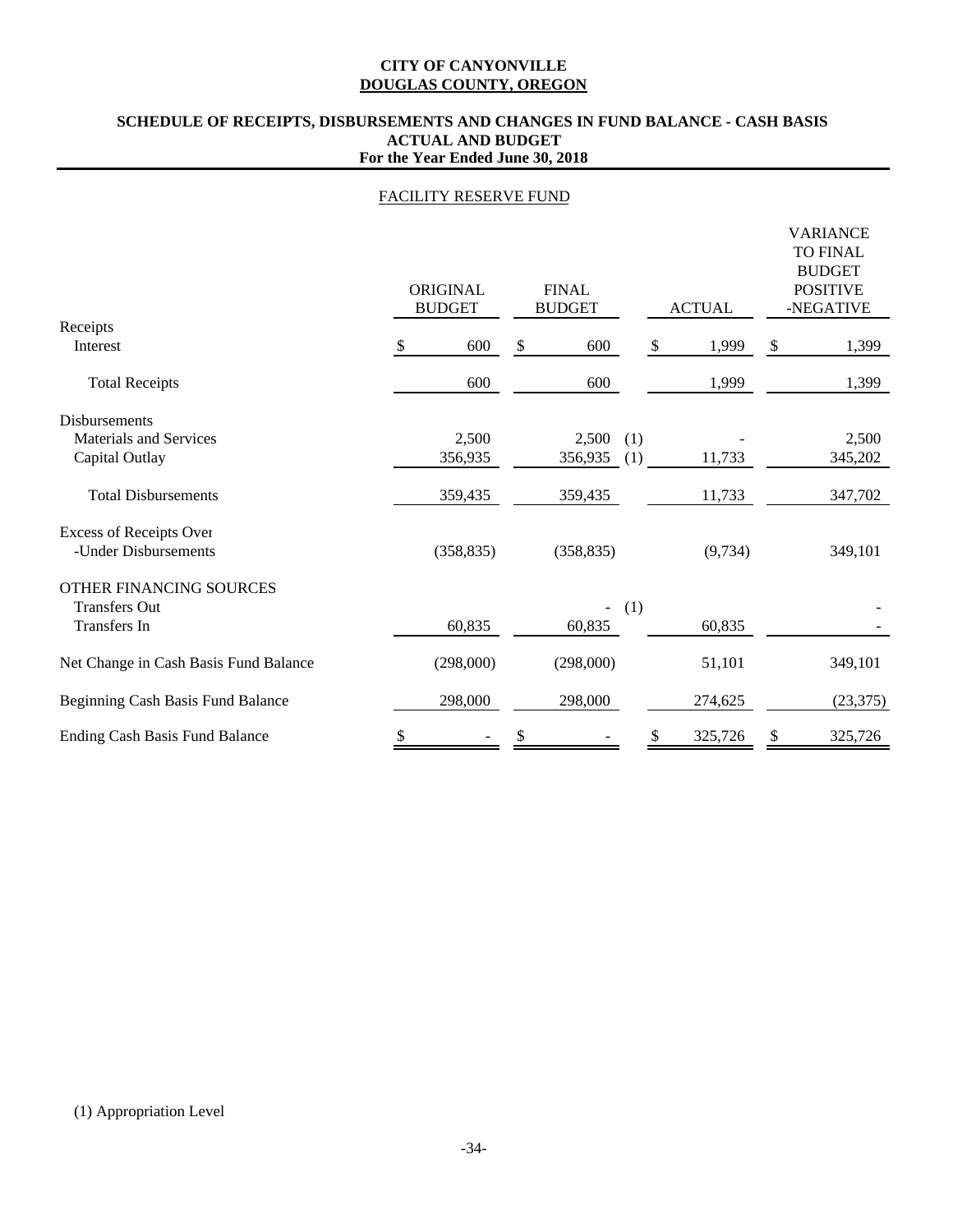#### **SCHEDULE OF RECEIPTS, DISBURSEMENTS AND CHANGES IN FUND BALANCE - CASH BASIS ACTUAL AND BUDGET For the Year Ended June 30, 2018**

### FACILITY RESERVE FUND

|                                       | ORIGINAL<br><b>BUDGET</b> | <b>FINAL</b><br><b>BUDGET</b> |     | <b>ACTUAL</b> | <b>VARIANCE</b><br><b>TO FINAL</b><br><b>BUDGET</b><br><b>POSITIVE</b><br>-NEGATIVE |
|---------------------------------------|---------------------------|-------------------------------|-----|---------------|-------------------------------------------------------------------------------------|
| Receipts                              |                           |                               |     |               |                                                                                     |
| Interest                              | \$<br>600                 | \$<br>600                     |     | 1,999<br>\$   | \$<br>1,399                                                                         |
| <b>Total Receipts</b>                 | 600                       | 600                           |     | 1,999         | 1,399                                                                               |
| <b>Disbursements</b>                  |                           |                               |     |               |                                                                                     |
| <b>Materials and Services</b>         | 2,500                     | 2,500                         | (1) |               | 2,500                                                                               |
| Capital Outlay                        | 356,935                   | 356,935                       | (1) | 11,733        | 345,202                                                                             |
| <b>Total Disbursements</b>            | 359,435                   | 359,435                       |     | 11,733        | 347,702                                                                             |
| <b>Excess of Receipts Over</b>        |                           |                               |     |               |                                                                                     |
| -Under Disbursements                  | (358, 835)                | (358, 835)                    |     | (9,734)       | 349,101                                                                             |
| OTHER FINANCING SOURCES               |                           |                               |     |               |                                                                                     |
| <b>Transfers Out</b>                  |                           | $\overline{\phantom{a}}$      | (1) |               |                                                                                     |
| <b>Transfers</b> In                   | 60,835                    | 60,835                        |     | 60,835        |                                                                                     |
| Net Change in Cash Basis Fund Balance | (298,000)                 | (298,000)                     |     | 51,101        | 349,101                                                                             |
| Beginning Cash Basis Fund Balance     | 298,000                   | 298,000                       |     | 274,625       | (23,375)                                                                            |
| <b>Ending Cash Basis Fund Balance</b> | \$                        |                               |     | 325,726       | \$<br>325,726                                                                       |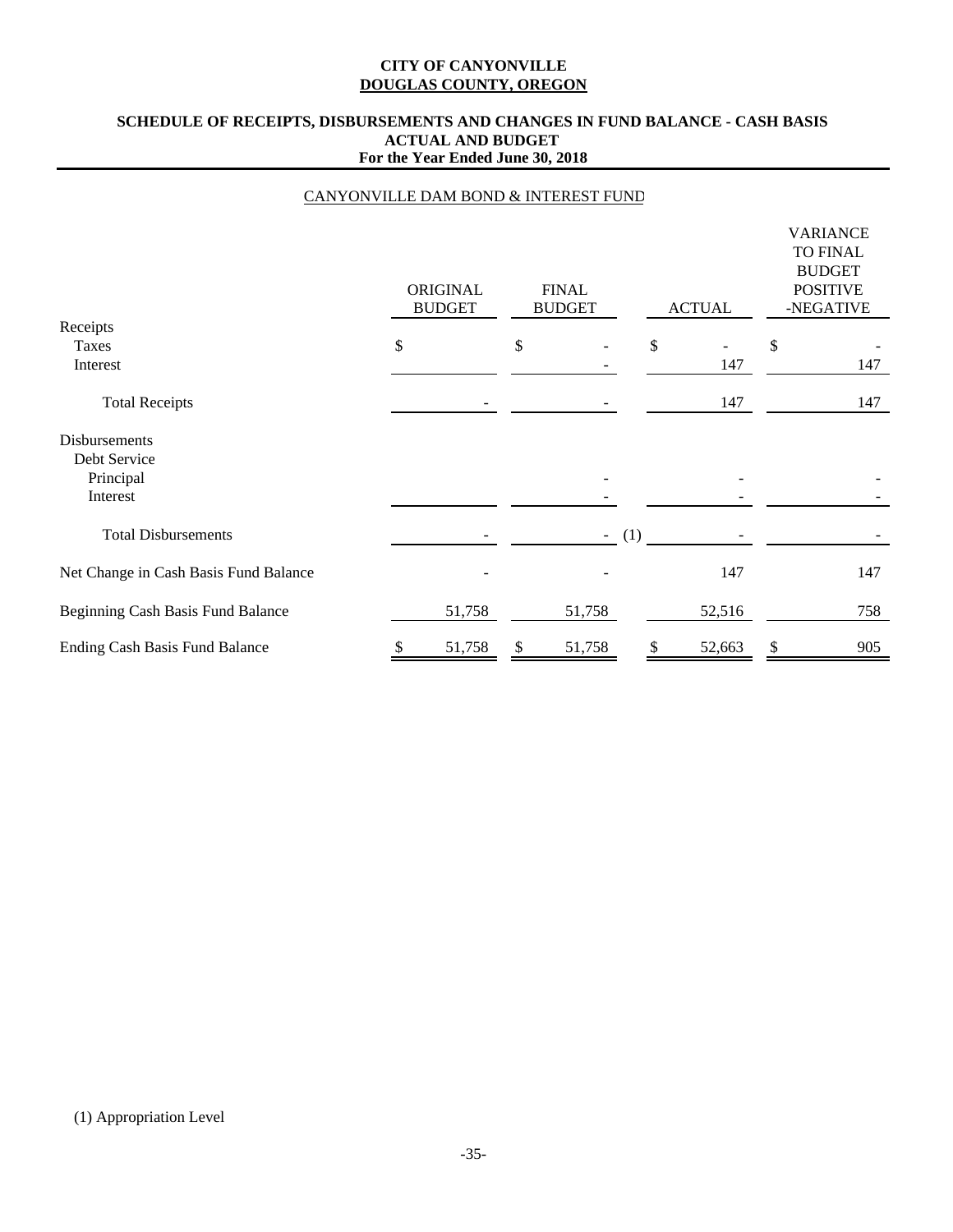#### **SCHEDULE OF RECEIPTS, DISBURSEMENTS AND CHANGES IN FUND BALANCE - CASH BASIS ACTUAL AND BUDGET For the Year Ended June 30, 2018**

### CANYONVILLE DAM BOND & INTEREST FUND

|                                       |    | ORIGINAL<br><b>BUDGET</b> | <b>FINAL</b><br><b>BUDGET</b> |         | <b>ACTUAL</b> | <b>VARIANCE</b><br><b>TO FINAL</b><br><b>BUDGET</b><br><b>POSITIVE</b><br>-NEGATIVE |     |  |
|---------------------------------------|----|---------------------------|-------------------------------|---------|---------------|-------------------------------------------------------------------------------------|-----|--|
| Receipts                              |    |                           |                               |         |               |                                                                                     |     |  |
| Taxes                                 | \$ |                           | \$                            | \$      |               | \$                                                                                  |     |  |
| Interest                              |    |                           |                               |         | 147           |                                                                                     | 147 |  |
| <b>Total Receipts</b>                 |    |                           |                               |         | 147           |                                                                                     | 147 |  |
| <b>Disbursements</b>                  |    |                           |                               |         |               |                                                                                     |     |  |
| Debt Service                          |    |                           |                               |         |               |                                                                                     |     |  |
| Principal                             |    |                           |                               |         |               |                                                                                     |     |  |
| Interest                              |    |                           |                               |         |               |                                                                                     |     |  |
| <b>Total Disbursements</b>            |    |                           |                               | $- (1)$ |               |                                                                                     |     |  |
| Net Change in Cash Basis Fund Balance |    |                           |                               |         | 147           |                                                                                     | 147 |  |
| Beginning Cash Basis Fund Balance     |    | 51,758                    | 51,758                        |         | 52,516        |                                                                                     | 758 |  |
| <b>Ending Cash Basis Fund Balance</b> | Ъ  | 51,758                    | \$<br>51,758                  | S       | 52,663        | \$                                                                                  | 905 |  |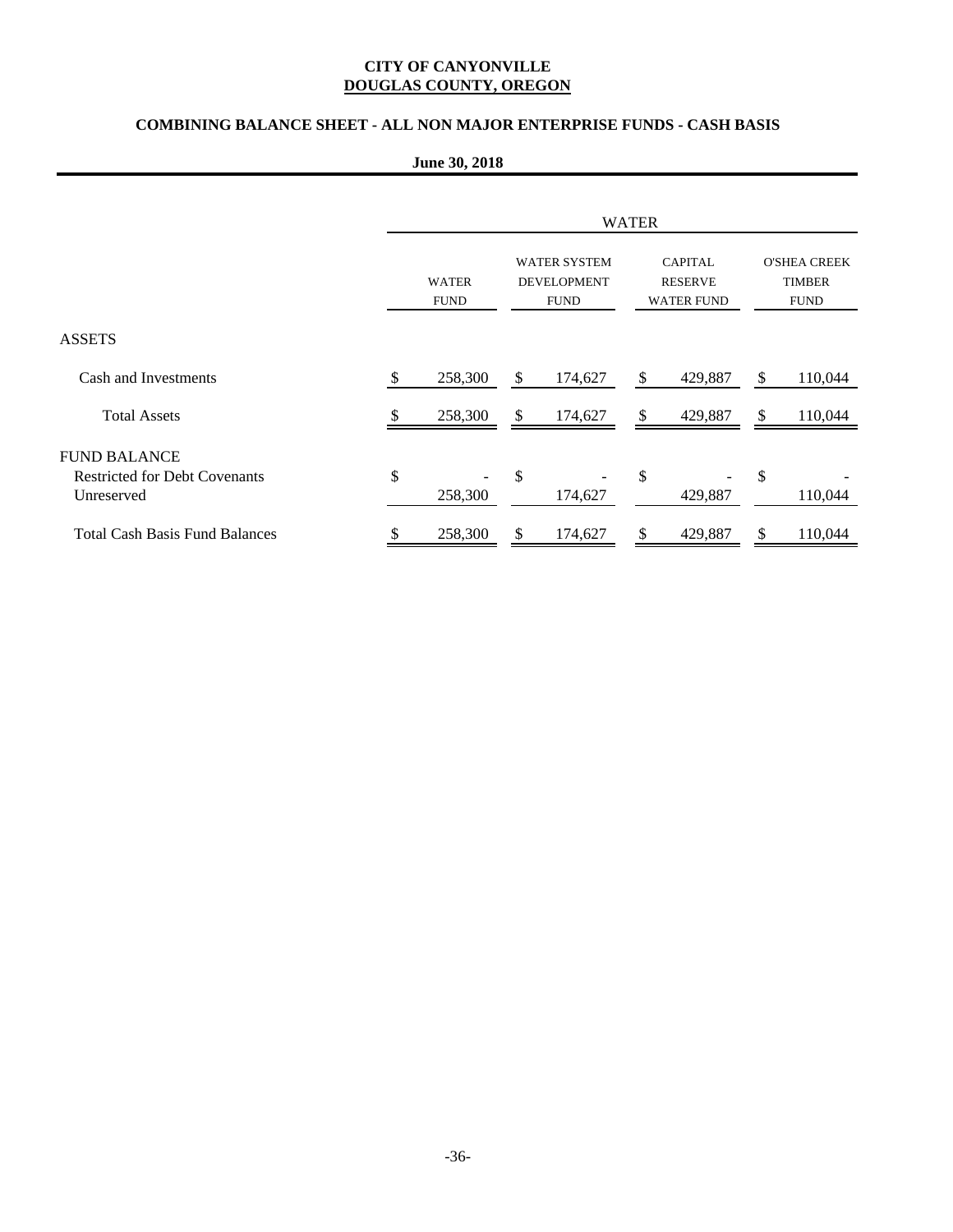### **COMBINING BALANCE SHEET - ALL NON MAJOR ENTERPRISE FUNDS - CASH BASIS**

#### **June 30, 2018**

|                                                                           |    | <b>WATER</b>                |    |                                                          |    |                                                       |    |                                                     |  |  |  |
|---------------------------------------------------------------------------|----|-----------------------------|----|----------------------------------------------------------|----|-------------------------------------------------------|----|-----------------------------------------------------|--|--|--|
|                                                                           |    | <b>WATER</b><br><b>FUND</b> |    | <b>WATER SYSTEM</b><br><b>DEVELOPMENT</b><br><b>FUND</b> |    | <b>CAPITAL</b><br><b>RESERVE</b><br><b>WATER FUND</b> |    | <b>O'SHEA CREEK</b><br><b>TIMBER</b><br><b>FUND</b> |  |  |  |
| <b>ASSETS</b>                                                             |    |                             |    |                                                          |    |                                                       |    |                                                     |  |  |  |
| Cash and Investments                                                      | S  | 258,300                     | \$ | 174,627                                                  | \$ | 429,887                                               | \$ | 110,044                                             |  |  |  |
| <b>Total Assets</b>                                                       |    | 258,300                     | \$ | 174,627                                                  | \$ | 429,887                                               | \$ | 110,044                                             |  |  |  |
| <b>FUND BALANCE</b><br><b>Restricted for Debt Covenants</b><br>Unreserved | \$ | 258,300                     | \$ | 174,627                                                  | \$ | 429,887                                               | \$ | 110,044                                             |  |  |  |
| <b>Total Cash Basis Fund Balances</b>                                     |    | 258,300                     | S  | 174,627                                                  | \$ | 429,887                                               | \$ | 110,044                                             |  |  |  |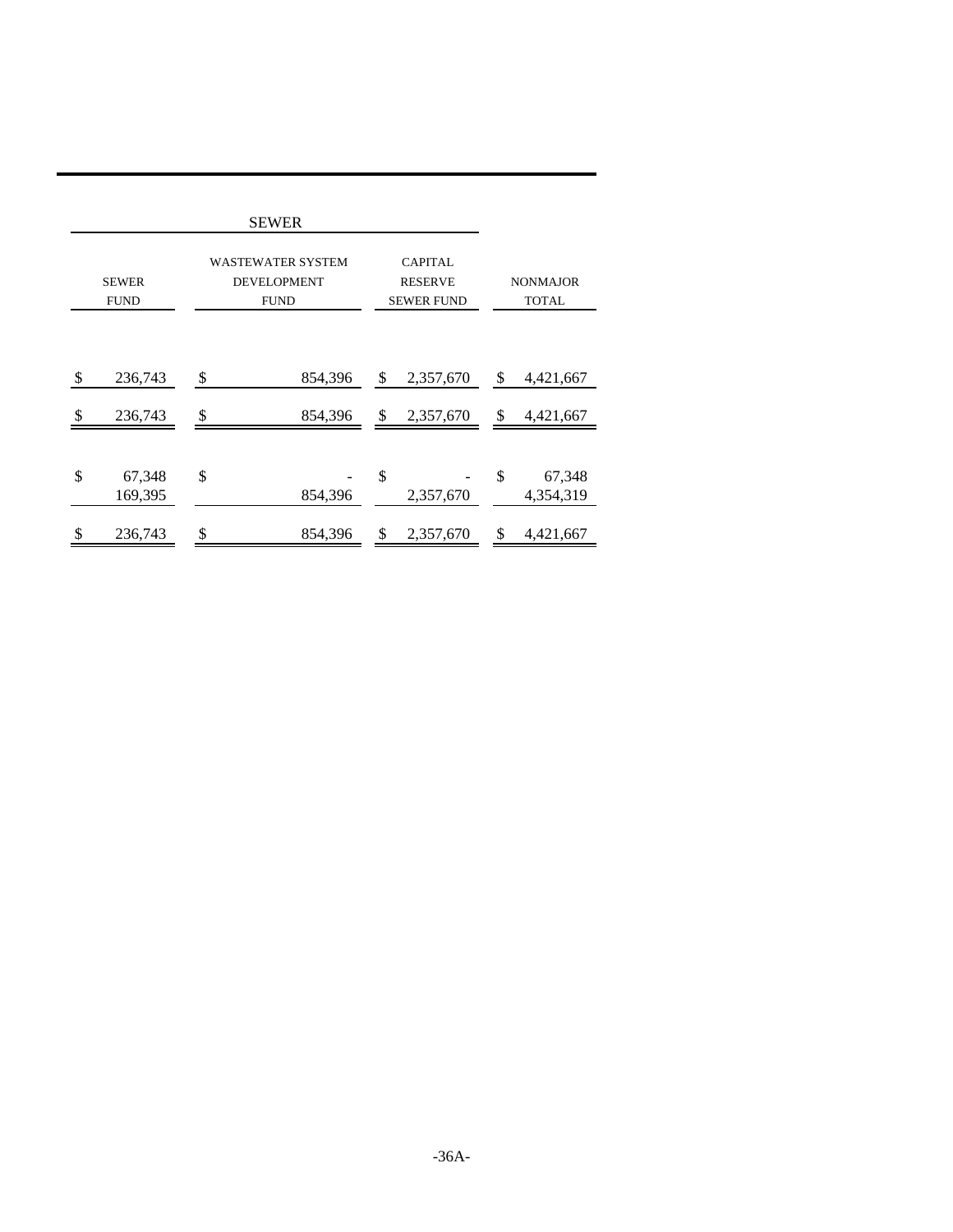|                             | <b>SEWER</b>                                          |                                 |    |           |  |
|-----------------------------|-------------------------------------------------------|---------------------------------|----|-----------|--|
| <b>SEWER</b><br><b>FUND</b> | <b>CAPITAL</b><br><b>RESERVE</b><br><b>SEWER FUND</b> | <b>NONMAJOR</b><br><b>TOTAL</b> |    |           |  |
|                             |                                                       |                                 |    |           |  |
| \$<br>236,743               | \$<br>854,396                                         | \$<br>2,357,670                 | \$ | 4,421,667 |  |
| \$<br>236,743               | \$<br>854,396                                         | \$<br>2,357,670                 | \$ | 4,421,667 |  |
| \$<br>67,348                | \$                                                    | \$                              | \$ | 67,348    |  |
| 169,395                     | 854,396                                               | 2,357,670                       |    | 4,354,319 |  |
| \$<br>236,743               | \$<br>854,396                                         | \$<br>2,357,670                 | \$ | 4,421,667 |  |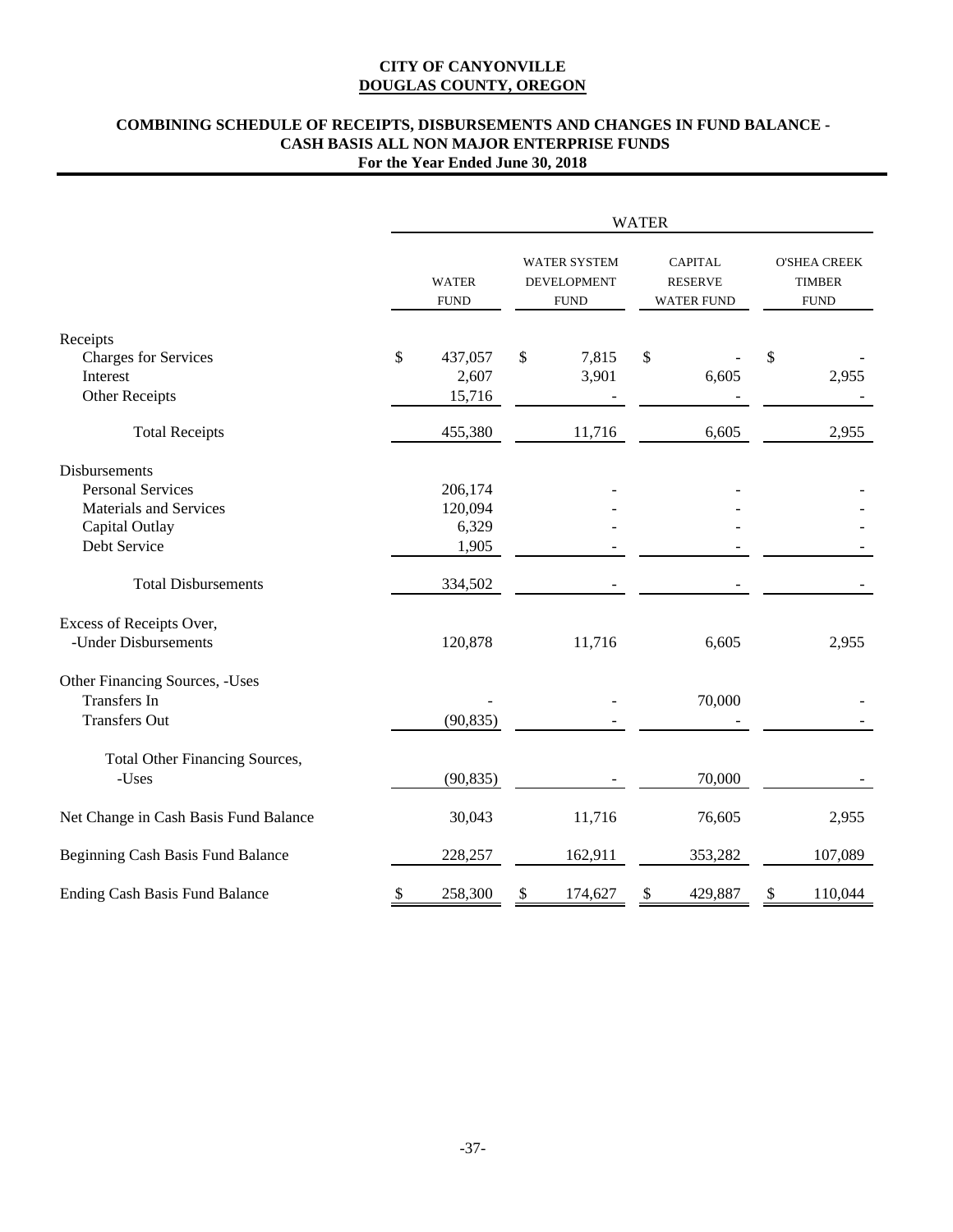### **COMBINING SCHEDULE OF RECEIPTS, DISBURSEMENTS AND CHANGES IN FUND BALANCE - For the Year Ended June 30, 2018 CASH BASIS ALL NON MAJOR ENTERPRISE FUNDS**

|                                         | <b>WATER</b> |                             |    |                                                          |    |                                                       |    |                                              |  |  |
|-----------------------------------------|--------------|-----------------------------|----|----------------------------------------------------------|----|-------------------------------------------------------|----|----------------------------------------------|--|--|
|                                         |              | <b>WATER</b><br><b>FUND</b> |    | <b>WATER SYSTEM</b><br><b>DEVELOPMENT</b><br><b>FUND</b> |    | <b>CAPITAL</b><br><b>RESERVE</b><br><b>WATER FUND</b> |    | O'SHEA CREEK<br><b>TIMBER</b><br><b>FUND</b> |  |  |
| Receipts                                | \$           | 437,057                     | \$ |                                                          |    |                                                       |    |                                              |  |  |
| <b>Charges for Services</b><br>Interest |              | 2,607                       |    | 7,815<br>3,901                                           | \$ | 6,605                                                 | \$ | 2,955                                        |  |  |
| <b>Other Receipts</b>                   |              | 15,716                      |    |                                                          |    |                                                       |    |                                              |  |  |
|                                         |              |                             |    |                                                          |    |                                                       |    |                                              |  |  |
| <b>Total Receipts</b>                   |              | 455,380                     |    | 11,716                                                   |    | 6,605                                                 |    | 2,955                                        |  |  |
| Disbursements                           |              |                             |    |                                                          |    |                                                       |    |                                              |  |  |
| <b>Personal Services</b>                |              | 206,174                     |    |                                                          |    |                                                       |    |                                              |  |  |
| <b>Materials and Services</b>           |              | 120,094                     |    |                                                          |    |                                                       |    |                                              |  |  |
| Capital Outlay                          |              | 6,329                       |    |                                                          |    |                                                       |    |                                              |  |  |
| Debt Service                            |              | 1,905                       |    |                                                          |    |                                                       |    |                                              |  |  |
| <b>Total Disbursements</b>              |              | 334,502                     |    |                                                          |    |                                                       |    |                                              |  |  |
| Excess of Receipts Over,                |              |                             |    |                                                          |    |                                                       |    |                                              |  |  |
| -Under Disbursements                    |              | 120,878                     |    | 11,716                                                   |    | 6,605                                                 |    | 2,955                                        |  |  |
| Other Financing Sources, -Uses          |              |                             |    |                                                          |    |                                                       |    |                                              |  |  |
| Transfers In                            |              |                             |    |                                                          |    | 70,000                                                |    |                                              |  |  |
| <b>Transfers Out</b>                    |              | (90, 835)                   |    |                                                          |    |                                                       |    |                                              |  |  |
| Total Other Financing Sources,          |              |                             |    |                                                          |    |                                                       |    |                                              |  |  |
| -Uses                                   |              | (90, 835)                   |    |                                                          |    | 70,000                                                |    |                                              |  |  |
| Net Change in Cash Basis Fund Balance   |              | 30,043                      |    | 11,716                                                   |    | 76,605                                                |    | 2,955                                        |  |  |
| Beginning Cash Basis Fund Balance       |              | 228,257                     |    | 162,911                                                  |    | 353,282                                               |    | 107,089                                      |  |  |
| <b>Ending Cash Basis Fund Balance</b>   | \$           | 258,300                     | \$ | 174,627                                                  | \$ | 429,887                                               | \$ | 110,044                                      |  |  |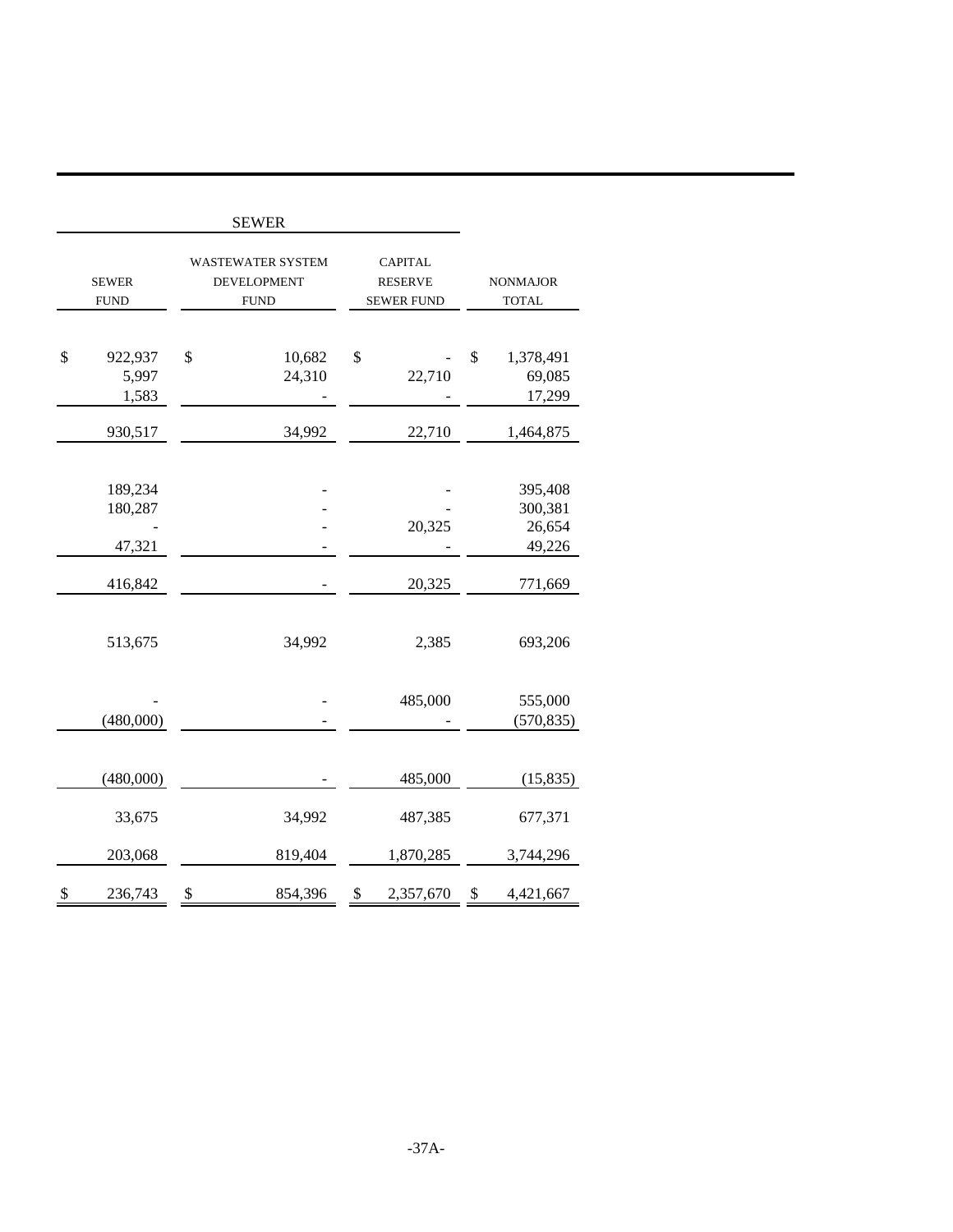|                                                                                       |    | <b>SEWER</b>     |    |                                                |                                 |                                        |  |  |
|---------------------------------------------------------------------------------------|----|------------------|----|------------------------------------------------|---------------------------------|----------------------------------------|--|--|
| WASTEWATER SYSTEM<br><b>SEWER</b><br><b>DEVELOPMENT</b><br><b>FUND</b><br><b>FUND</b> |    |                  |    | CAPITAL<br><b>RESERVE</b><br><b>SEWER FUND</b> | <b>NONMAJOR</b><br><b>TOTAL</b> |                                        |  |  |
| \$<br>922,937<br>5,997<br>1,583                                                       | \$ | 10,682<br>24,310 | \$ | 22,710                                         | \$                              | 1,378,491<br>69,085<br>17,299          |  |  |
| 930,517                                                                               |    | 34,992           |    | 22,710                                         |                                 | 1,464,875                              |  |  |
| 189,234<br>180,287<br>47,321                                                          |    |                  |    | 20,325                                         |                                 | 395,408<br>300,381<br>26,654<br>49,226 |  |  |
| 416,842                                                                               |    |                  |    | 20,325                                         |                                 | 771,669                                |  |  |
| 513,675                                                                               |    | 34,992           |    | 2,385                                          |                                 | 693,206                                |  |  |
| (480,000)                                                                             |    |                  |    | 485,000                                        |                                 | 555,000<br>(570, 835)                  |  |  |
| (480,000)                                                                             |    |                  |    | 485,000                                        |                                 | (15, 835)                              |  |  |
| 33,675                                                                                |    | 34,992           |    | 487,385                                        |                                 | 677,371                                |  |  |
| 203,068                                                                               |    | 819,404          |    | 1,870,285                                      |                                 | 3,744,296                              |  |  |
| \$<br>236,743                                                                         | \$ | 854,396          | \$ | 2,357,670                                      | \$                              | 4,421,667                              |  |  |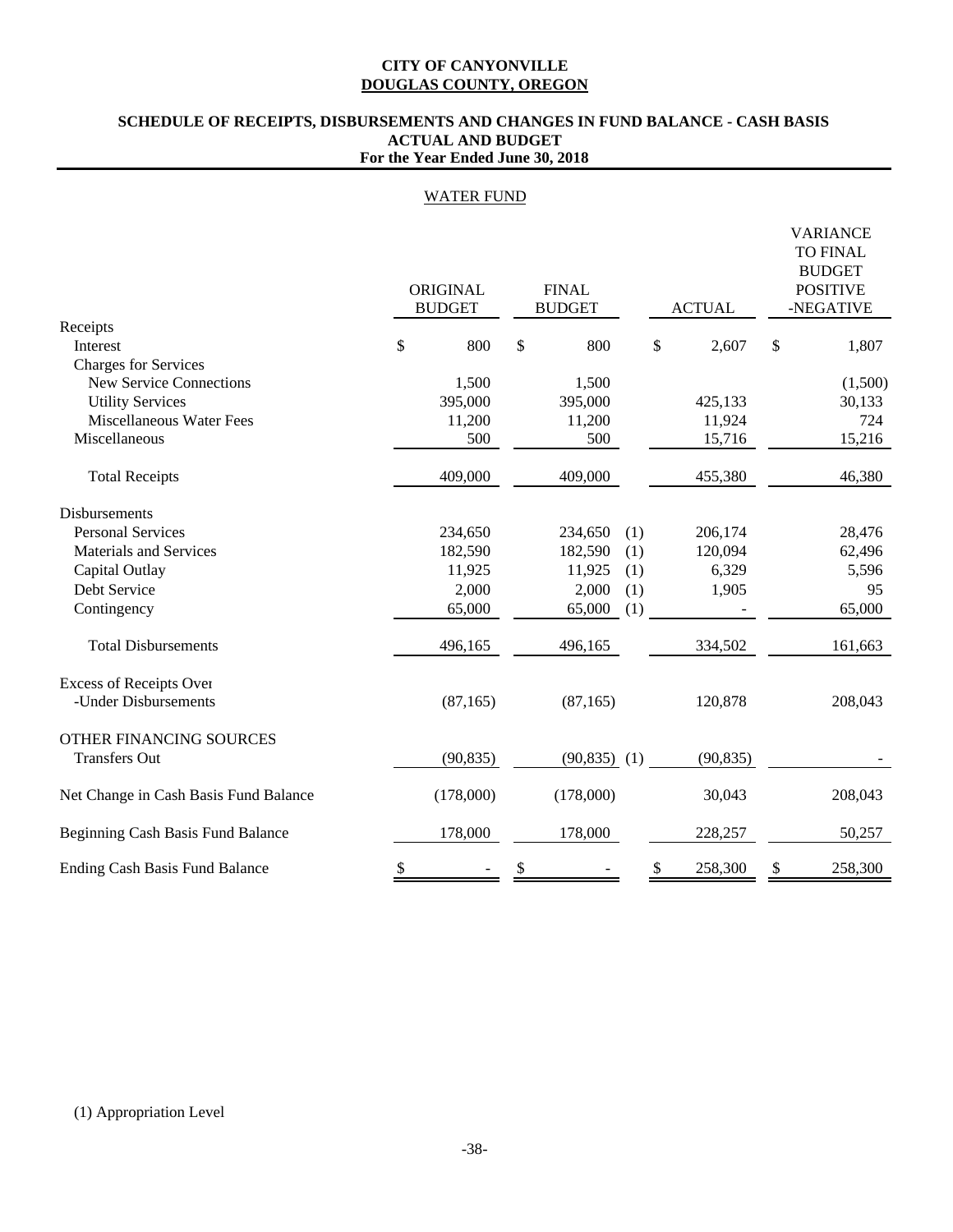#### **SCHEDULE OF RECEIPTS, DISBURSEMENTS AND CHANGES IN FUND BALANCE - CASH BASIS ACTUAL AND BUDGET For the Year Ended June 30, 2018**

#### WATER FUND

|                                                        | ORIGINAL<br><b>BUDGET</b> | <b>FINAL</b><br><b>BUDGET</b> |     | <b>ACTUAL</b> | <b>VARIANCE</b><br><b>TO FINAL</b><br><b>BUDGET</b><br><b>POSITIVE</b><br>-NEGATIVE |
|--------------------------------------------------------|---------------------------|-------------------------------|-----|---------------|-------------------------------------------------------------------------------------|
| Receipts                                               |                           |                               |     |               |                                                                                     |
| Interest<br><b>Charges for Services</b>                | \$<br>800                 | \$<br>800                     |     | 2,607<br>\$   | \$<br>1,807                                                                         |
| <b>New Service Connections</b>                         | 1,500                     | 1,500                         |     |               | (1,500)                                                                             |
| <b>Utility Services</b>                                | 395,000                   | 395,000                       |     | 425,133       | 30,133                                                                              |
| Miscellaneous Water Fees                               | 11,200                    | 11,200                        |     | 11,924        | 724                                                                                 |
| Miscellaneous                                          | 500                       | 500                           |     | 15,716        | 15,216                                                                              |
| <b>Total Receipts</b>                                  | 409,000                   | 409,000                       |     | 455,380       | 46,380                                                                              |
| <b>Disbursements</b>                                   |                           |                               |     |               |                                                                                     |
| <b>Personal Services</b>                               | 234,650                   | 234,650                       | (1) | 206,174       | 28,476                                                                              |
| <b>Materials and Services</b>                          | 182,590                   | 182,590                       | (1) | 120,094       | 62,496                                                                              |
| Capital Outlay                                         | 11,925                    | 11,925                        | (1) | 6,329         | 5,596                                                                               |
| Debt Service                                           | 2,000                     | 2,000                         | (1) | 1,905         | 95                                                                                  |
| Contingency                                            | 65,000                    | 65,000                        | (1) |               | 65,000                                                                              |
| <b>Total Disbursements</b>                             | 496,165                   | 496,165                       |     | 334,502       | 161,663                                                                             |
| <b>Excess of Receipts Over</b><br>-Under Disbursements | (87, 165)                 | (87, 165)                     |     | 120,878       | 208,043                                                                             |
| OTHER FINANCING SOURCES<br><b>Transfers Out</b>        | (90, 835)                 | $(90,835)$ (1)                |     | (90, 835)     |                                                                                     |
| Net Change in Cash Basis Fund Balance                  | (178,000)                 | (178,000)                     |     | 30,043        | 208,043                                                                             |
| Beginning Cash Basis Fund Balance                      | 178,000                   | 178,000                       |     | 228,257       | 50,257                                                                              |
| <b>Ending Cash Basis Fund Balance</b>                  | \$                        | S                             |     | 258,300<br>S  | \$<br>258,300                                                                       |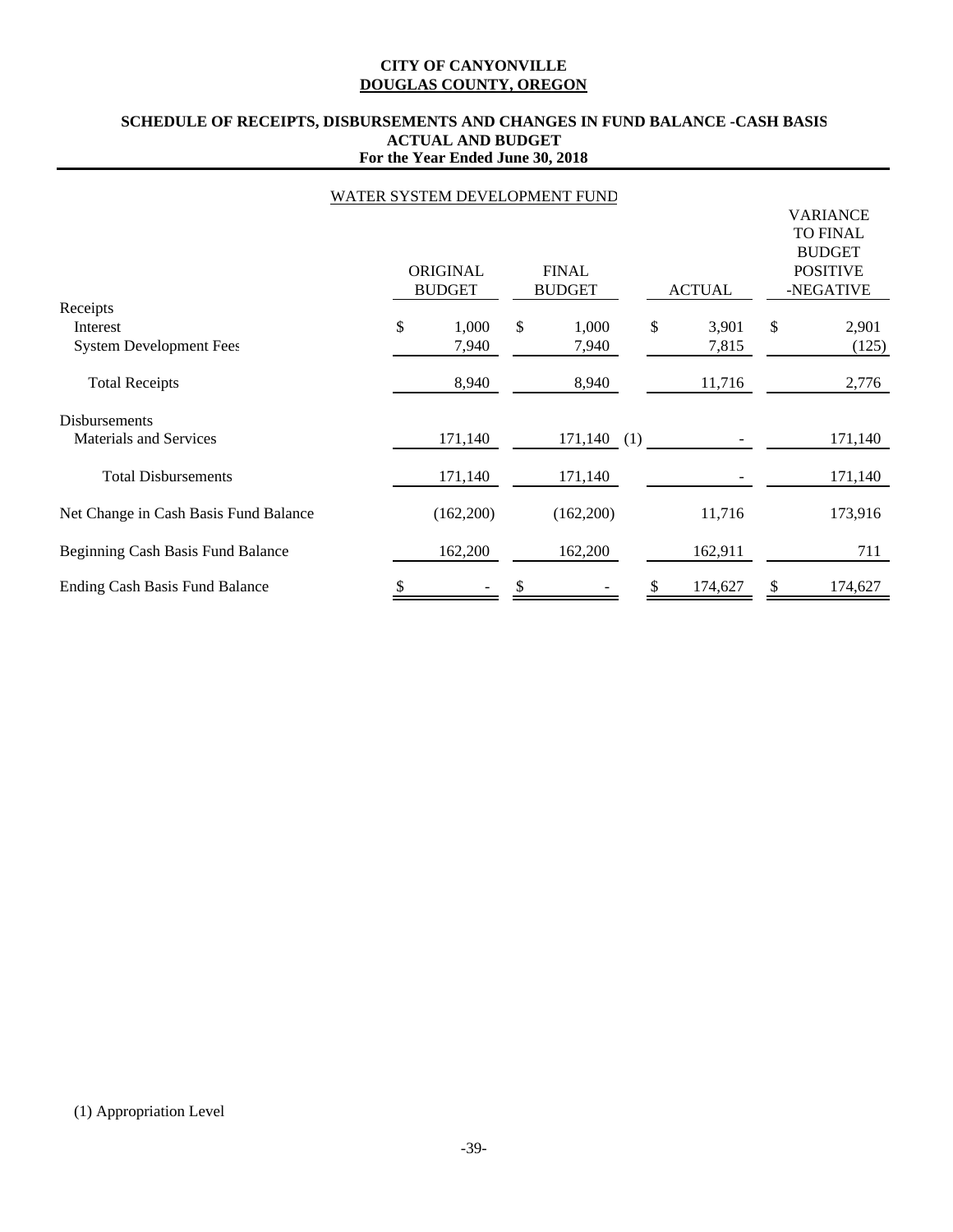#### **SCHEDULE OF RECEIPTS, DISBURSEMENTS AND CHANGES IN FUND BALANCE -CASH BASIS ACTUAL AND BUDGET For the Year Ended June 30, 2018**

#### WATER SYSTEM DEVELOPMENT FUND

|                                       | ORIGINAL<br><b>BUDGET</b> | <b>FINAL</b><br><b>BUDGET</b> | <b>ACTUAL</b> | <b>VARIANCE</b><br><b>TO FINAL</b><br><b>BUDGET</b><br><b>POSITIVE</b><br>-NEGATIVE |
|---------------------------------------|---------------------------|-------------------------------|---------------|-------------------------------------------------------------------------------------|
| Receipts                              |                           |                               |               |                                                                                     |
| Interest                              | \$<br>1,000               | \$<br>1,000                   | \$<br>3,901   | \$<br>2,901                                                                         |
| <b>System Development Fees</b>        | 7,940                     | 7,940                         | 7,815         | (125)                                                                               |
| <b>Total Receipts</b>                 | 8,940                     | 8,940                         | 11,716        | 2,776                                                                               |
| <b>Disbursements</b>                  |                           |                               |               |                                                                                     |
| <b>Materials and Services</b>         | 171,140                   | $171,140$ (1)                 |               | 171,140                                                                             |
| <b>Total Disbursements</b>            | 171,140                   | 171,140                       |               | 171,140                                                                             |
| Net Change in Cash Basis Fund Balance | (162,200)                 | (162,200)                     | 11,716        | 173,916                                                                             |
| Beginning Cash Basis Fund Balance     | 162,200                   | 162,200                       | 162,911       | 711                                                                                 |
| <b>Ending Cash Basis Fund Balance</b> |                           | \$                            | 174,627       | \$<br>174,627                                                                       |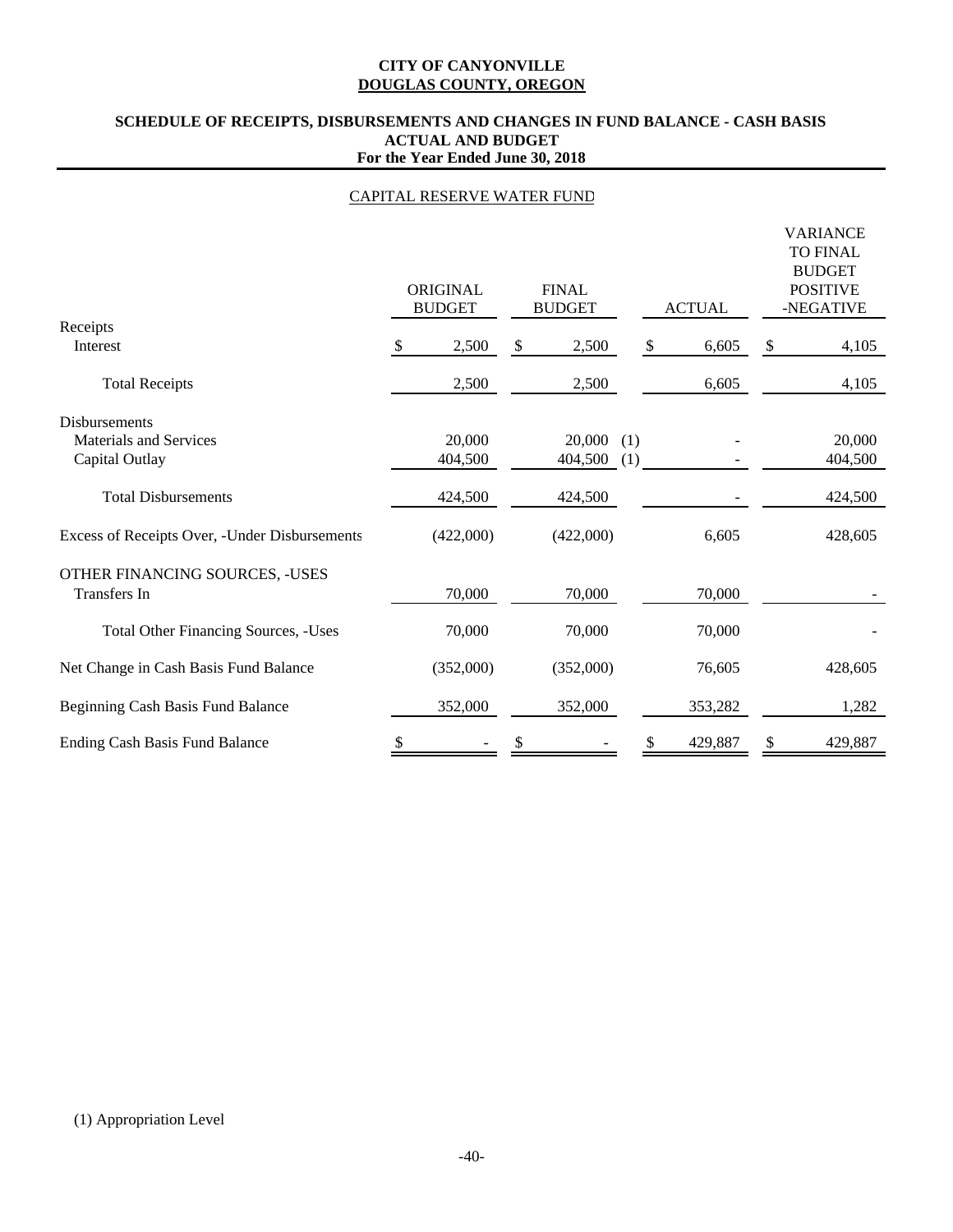#### **SCHEDULE OF RECEIPTS, DISBURSEMENTS AND CHANGES IN FUND BALANCE - CASH BASIS ACTUAL AND BUDGET For the Year Ended June 30, 2018**

### CAPITAL RESERVE WATER FUND

|                                               |               |               |     |               | <b>VARIANCE</b><br><b>TO FINAL</b> |
|-----------------------------------------------|---------------|---------------|-----|---------------|------------------------------------|
|                                               |               |               |     |               | <b>BUDGET</b>                      |
|                                               | ORIGINAL      | <b>FINAL</b>  |     |               | <b>POSITIVE</b>                    |
| Receipts                                      | <b>BUDGET</b> | <b>BUDGET</b> |     | <b>ACTUAL</b> | -NEGATIVE                          |
| Interest                                      | 2,500<br>\$   | 2,500<br>\$   | \$  | 6,605         | \$<br>4,105                        |
| <b>Total Receipts</b>                         | 2,500         | 2,500         |     | 6,605         | 4,105                              |
| <b>Disbursements</b>                          |               |               |     |               |                                    |
| <b>Materials and Services</b>                 | 20,000        | 20,000        | (1) |               | 20,000                             |
| Capital Outlay                                | 404,500       | 404,500       | (1) |               | 404,500                            |
| <b>Total Disbursements</b>                    | 424,500       | 424,500       |     |               | 424,500                            |
| Excess of Receipts Over, -Under Disbursements | (422,000)     | (422,000)     |     | 6,605         | 428,605                            |
| OTHER FINANCING SOURCES, -USES                |               |               |     |               |                                    |
| Transfers In                                  | 70,000        | 70,000        |     | 70,000        |                                    |
| <b>Total Other Financing Sources, -Uses</b>   | 70,000        | 70,000        |     | 70,000        |                                    |
| Net Change in Cash Basis Fund Balance         | (352,000)     | (352,000)     |     | 76,605        | 428,605                            |
| Beginning Cash Basis Fund Balance             | 352,000       | 352,000       |     | 353,282       | 1,282                              |
| <b>Ending Cash Basis Fund Balance</b>         |               | \$            | \$  | 429,887       | \$<br>429,887                      |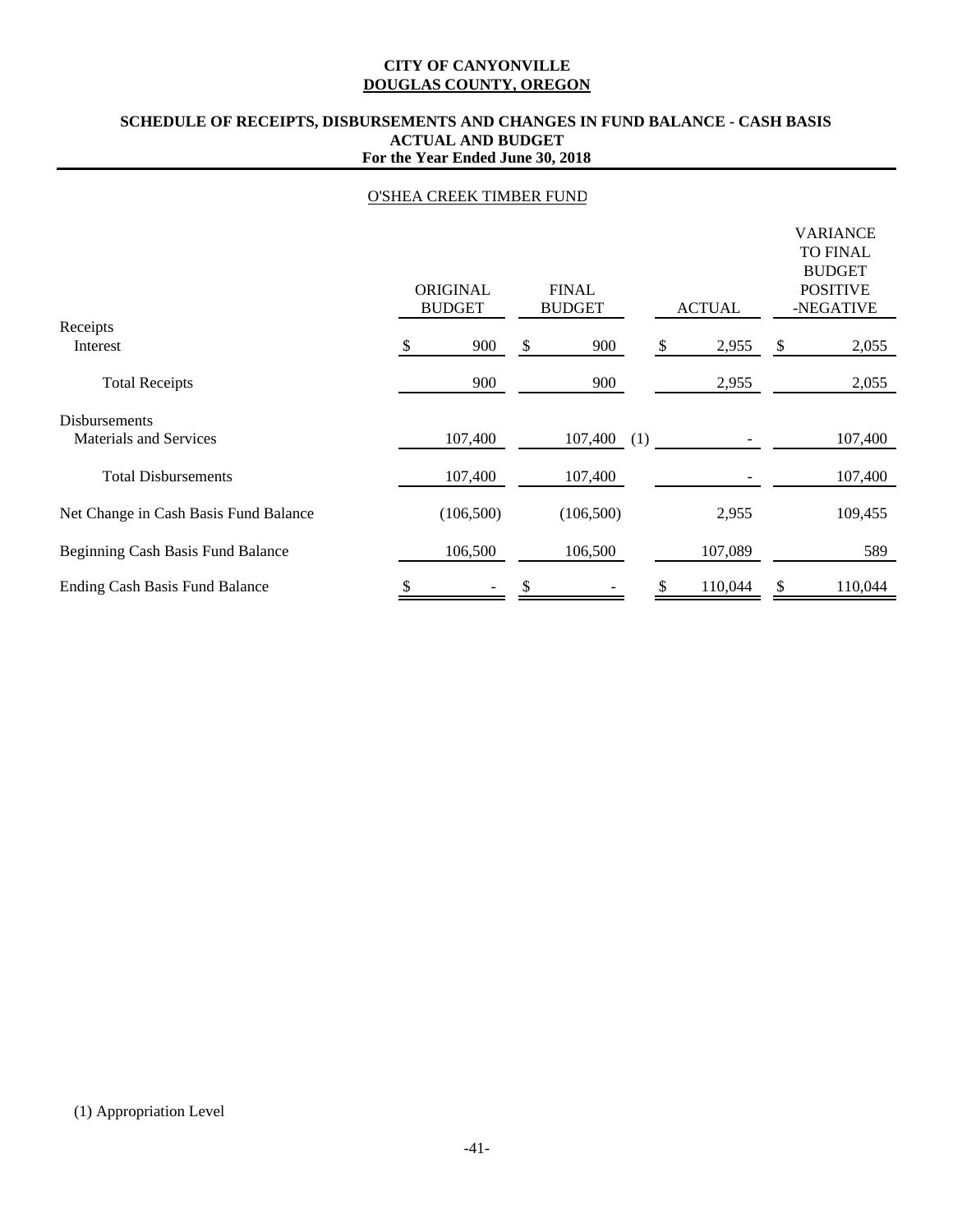#### **SCHEDULE OF RECEIPTS, DISBURSEMENTS AND CHANGES IN FUND BALANCE - CASH BASIS ACTUAL AND BUDGET For the Year Ended June 30, 2018**

### O'SHEA CREEK TIMBER FUND

|                                          |   | ORIGINAL<br><b>BUDGET</b> | <b>FINAL</b><br><b>BUDGET</b> |     | <b>ACTUAL</b> | <b>VARIANCE</b><br><b>TO FINAL</b><br><b>BUDGET</b><br><b>POSITIVE</b><br>-NEGATIVE |
|------------------------------------------|---|---------------------------|-------------------------------|-----|---------------|-------------------------------------------------------------------------------------|
| Receipts                                 |   |                           |                               |     |               |                                                                                     |
| Interest                                 | S | 900                       | \$<br>900                     |     | \$<br>2,955   | \$<br>2,055                                                                         |
| <b>Total Receipts</b>                    |   | 900                       | 900                           |     | 2,955         | 2,055                                                                               |
| <b>Disbursements</b>                     |   |                           |                               |     |               |                                                                                     |
| <b>Materials and Services</b>            |   | 107,400                   | 107,400                       | (1) |               | 107,400                                                                             |
| <b>Total Disbursements</b>               |   | 107,400                   | 107,400                       |     |               | 107,400                                                                             |
| Net Change in Cash Basis Fund Balance    |   | (106, 500)                | (106,500)                     |     | 2,955         | 109,455                                                                             |
| <b>Beginning Cash Basis Fund Balance</b> |   | 106,500                   | 106,500                       |     | 107,089       | 589                                                                                 |
| <b>Ending Cash Basis Fund Balance</b>    |   |                           |                               |     | \$<br>110,044 | \$<br>110,044                                                                       |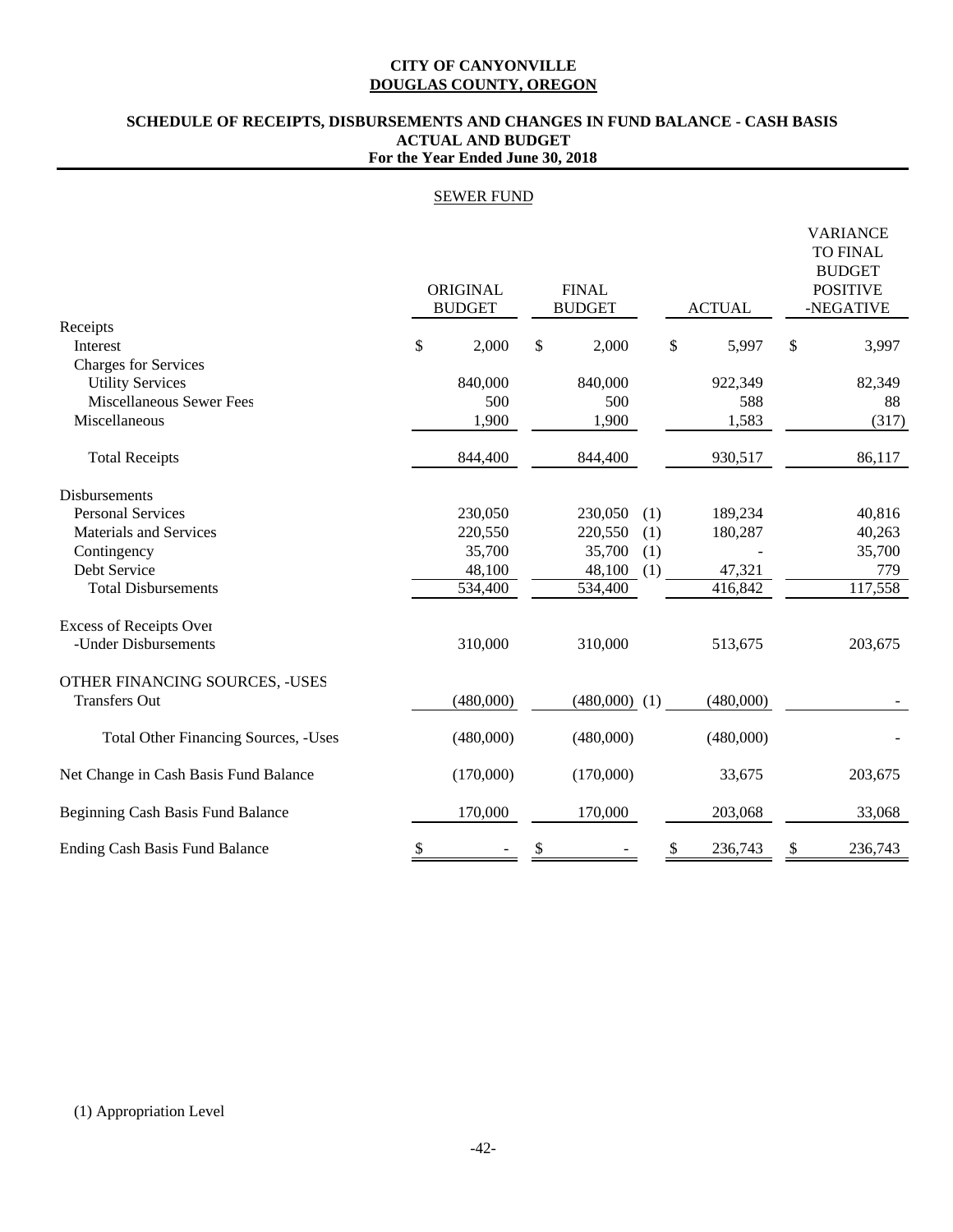#### **SCHEDULE OF RECEIPTS, DISBURSEMENTS AND CHANGES IN FUND BALANCE - CASH BASIS ACTUAL AND BUDGET For the Year Ended June 30, 2018**

#### SEWER FUND

|                                             |               |                 |     |               | <b>VARIANCE</b><br><b>TO FINAL</b> |
|---------------------------------------------|---------------|-----------------|-----|---------------|------------------------------------|
|                                             | ORIGINAL      | <b>FINAL</b>    |     |               | <b>BUDGET</b><br><b>POSITIVE</b>   |
|                                             | <b>BUDGET</b> | <b>BUDGET</b>   |     | <b>ACTUAL</b> | -NEGATIVE                          |
| Receipts                                    |               |                 |     |               |                                    |
| Interest                                    | \$<br>2,000   | \$<br>2,000     |     | \$<br>5,997   | \$<br>3,997                        |
| <b>Charges for Services</b>                 |               |                 |     |               |                                    |
| <b>Utility Services</b>                     | 840,000       | 840,000         |     | 922,349       | 82,349                             |
| <b>Miscellaneous Sewer Fees</b>             | 500           | 500             |     | 588           | 88                                 |
| Miscellaneous                               | 1,900         | 1,900           |     | 1,583         | (317)                              |
| <b>Total Receipts</b>                       | 844,400       | 844,400         |     | 930,517       | 86,117                             |
| Disbursements                               |               |                 |     |               |                                    |
| <b>Personal Services</b>                    | 230,050       | 230,050         | (1) | 189,234       | 40,816                             |
| Materials and Services                      | 220,550       | 220,550         | (1) | 180,287       | 40,263                             |
| Contingency                                 | 35,700        | 35,700          | (1) |               | 35,700                             |
| Debt Service                                | 48,100        | 48,100          | (1) | 47,321        | 779                                |
| <b>Total Disbursements</b>                  | 534,400       | 534,400         |     | 416,842       | 117,558                            |
| <b>Excess of Receipts Over</b>              |               |                 |     |               |                                    |
| -Under Disbursements                        | 310,000       | 310,000         |     | 513,675       | 203,675                            |
| OTHER FINANCING SOURCES, -USES              |               |                 |     |               |                                    |
| <b>Transfers Out</b>                        | (480,000)     | $(480,000)$ (1) |     | (480,000)     |                                    |
| <b>Total Other Financing Sources, -Uses</b> | (480,000)     | (480,000)       |     | (480,000)     |                                    |
| Net Change in Cash Basis Fund Balance       | (170,000)     | (170,000)       |     | 33,675        | 203,675                            |
| Beginning Cash Basis Fund Balance           | 170,000       | 170,000         |     | 203,068       | 33,068                             |
| <b>Ending Cash Basis Fund Balance</b>       | \$            | \$              |     | \$<br>236,743 | \$<br>236,743                      |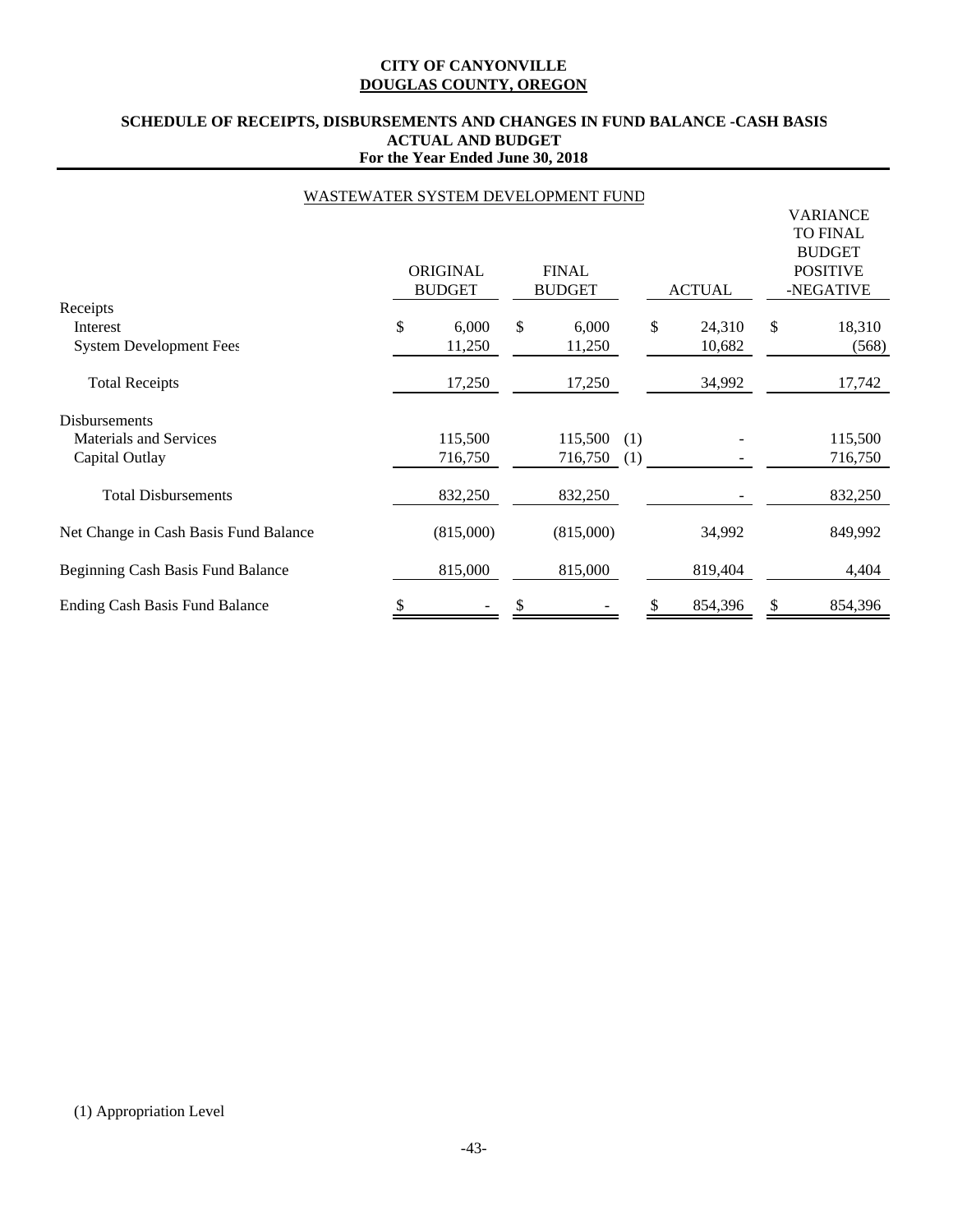#### **SCHEDULE OF RECEIPTS, DISBURSEMENTS AND CHANGES IN FUND BALANCE -CASH BASIS ACTUAL AND BUDGET For the Year Ended June 30, 2018**

#### WASTEWATER SYSTEM DEVELOPMENT FUND

|                                       | ORIGINAL<br><b>BUDGET</b> | <b>FINAL</b><br><b>BUDGET</b> |     | <b>ACTUAL</b> | <b>VARIANCE</b><br><b>TO FINAL</b><br><b>BUDGET</b><br><b>POSITIVE</b><br>-NEGATIVE |
|---------------------------------------|---------------------------|-------------------------------|-----|---------------|-------------------------------------------------------------------------------------|
| Receipts                              |                           |                               |     |               |                                                                                     |
| Interest                              | \$<br>6,000               | \$<br>6,000                   |     | \$<br>24,310  | \$<br>18,310                                                                        |
| <b>System Development Fees</b>        | 11,250                    | 11,250                        |     | 10,682        | (568)                                                                               |
| <b>Total Receipts</b>                 | 17,250                    | 17,250                        |     | 34,992        | 17,742                                                                              |
| <b>Disbursements</b>                  |                           |                               |     |               |                                                                                     |
| <b>Materials and Services</b>         | 115,500                   | 115,500                       | (1) |               | 115,500                                                                             |
| Capital Outlay                        | 716,750                   | 716,750                       | (1) |               | 716,750                                                                             |
| <b>Total Disbursements</b>            | 832,250                   | 832,250                       |     |               | 832,250                                                                             |
| Net Change in Cash Basis Fund Balance | (815,000)                 | (815,000)                     |     | 34,992        | 849,992                                                                             |
| Beginning Cash Basis Fund Balance     | 815,000                   | 815,000                       |     | 819,404       | 4,404                                                                               |
| <b>Ending Cash Basis Fund Balance</b> |                           |                               |     | 854,396       | \$<br>854,396                                                                       |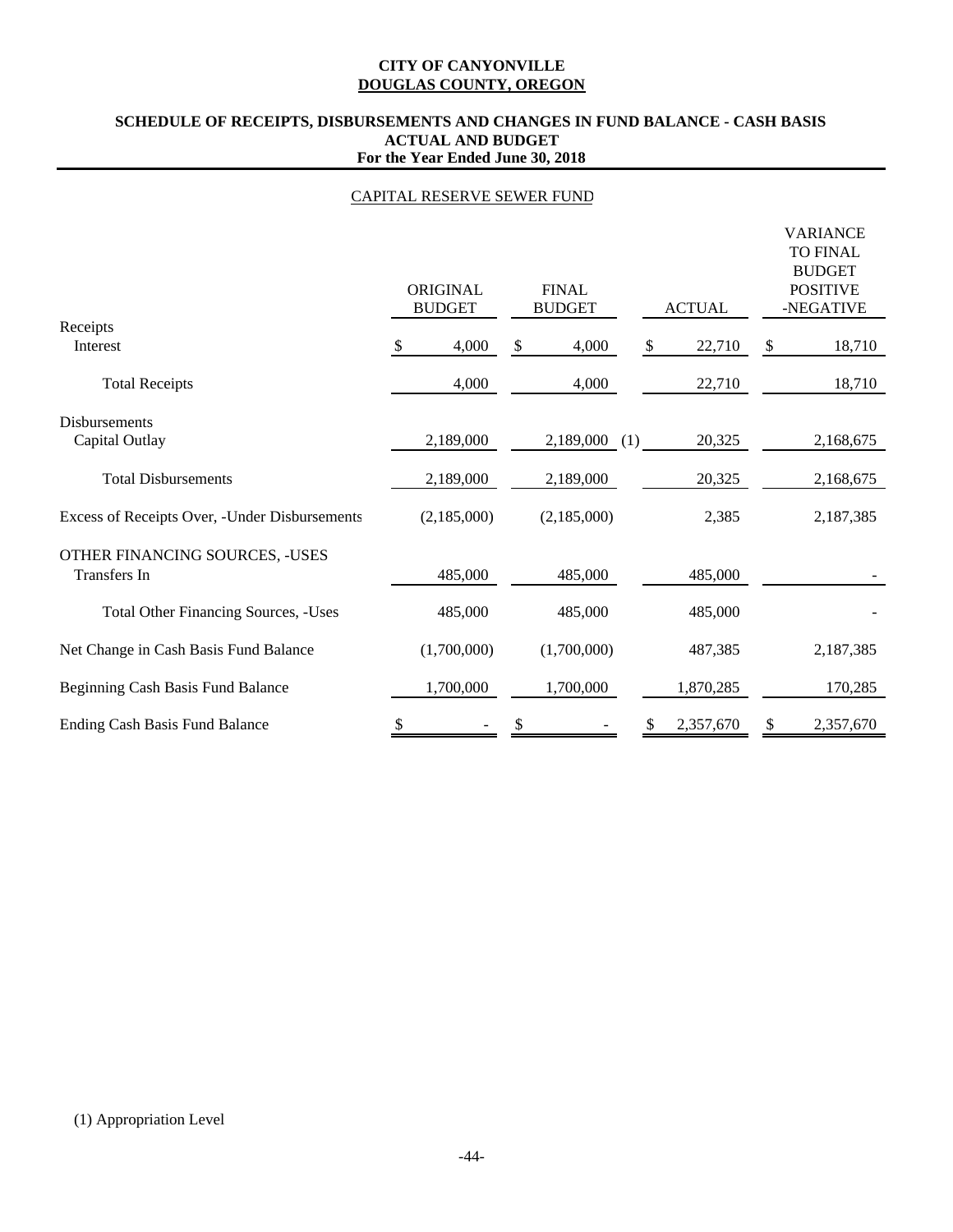#### **SCHEDULE OF RECEIPTS, DISBURSEMENTS AND CHANGES IN FUND BALANCE - CASH BASIS ACTUAL AND BUDGET For the Year Ended June 30, 2018**

#### CAPITAL RESERVE SEWER FUND

|                                               |               |                        |               | <b>VARIANCE</b>                  |
|-----------------------------------------------|---------------|------------------------|---------------|----------------------------------|
|                                               |               |                        |               | <b>TO FINAL</b>                  |
|                                               | ORIGINAL      | <b>FINAL</b>           |               | <b>BUDGET</b><br><b>POSITIVE</b> |
|                                               | <b>BUDGET</b> | <b>BUDGET</b>          | <b>ACTUAL</b> | -NEGATIVE                        |
| Receipts                                      |               |                        |               |                                  |
| Interest                                      | 4,000<br>\$   | 4,000<br><sup>\$</sup> | 22,710<br>\$  | 18,710<br>\$                     |
| <b>Total Receipts</b>                         | 4,000         | 4,000                  | 22,710        | 18,710                           |
| <b>Disbursements</b>                          |               |                        |               |                                  |
| Capital Outlay                                | 2,189,000     | $2,189,000$ (1)        | 20,325        | 2,168,675                        |
| <b>Total Disbursements</b>                    | 2,189,000     | 2,189,000              | 20,325        | 2,168,675                        |
| Excess of Receipts Over, -Under Disbursements | (2,185,000)   | (2,185,000)            | 2,385         | 2,187,385                        |
| OTHER FINANCING SOURCES, -USES                |               |                        |               |                                  |
| Transfers In                                  | 485,000       | 485,000                | 485,000       |                                  |
| <b>Total Other Financing Sources, -Uses</b>   | 485,000       | 485,000                | 485,000       |                                  |
| Net Change in Cash Basis Fund Balance         | (1,700,000)   | (1,700,000)            | 487,385       | 2,187,385                        |
| Beginning Cash Basis Fund Balance             | 1,700,000     | 1,700,000              | 1,870,285     | 170,285                          |
| <b>Ending Cash Basis Fund Balance</b>         | \$            |                        | 2,357,670     | 2,357,670<br>\$                  |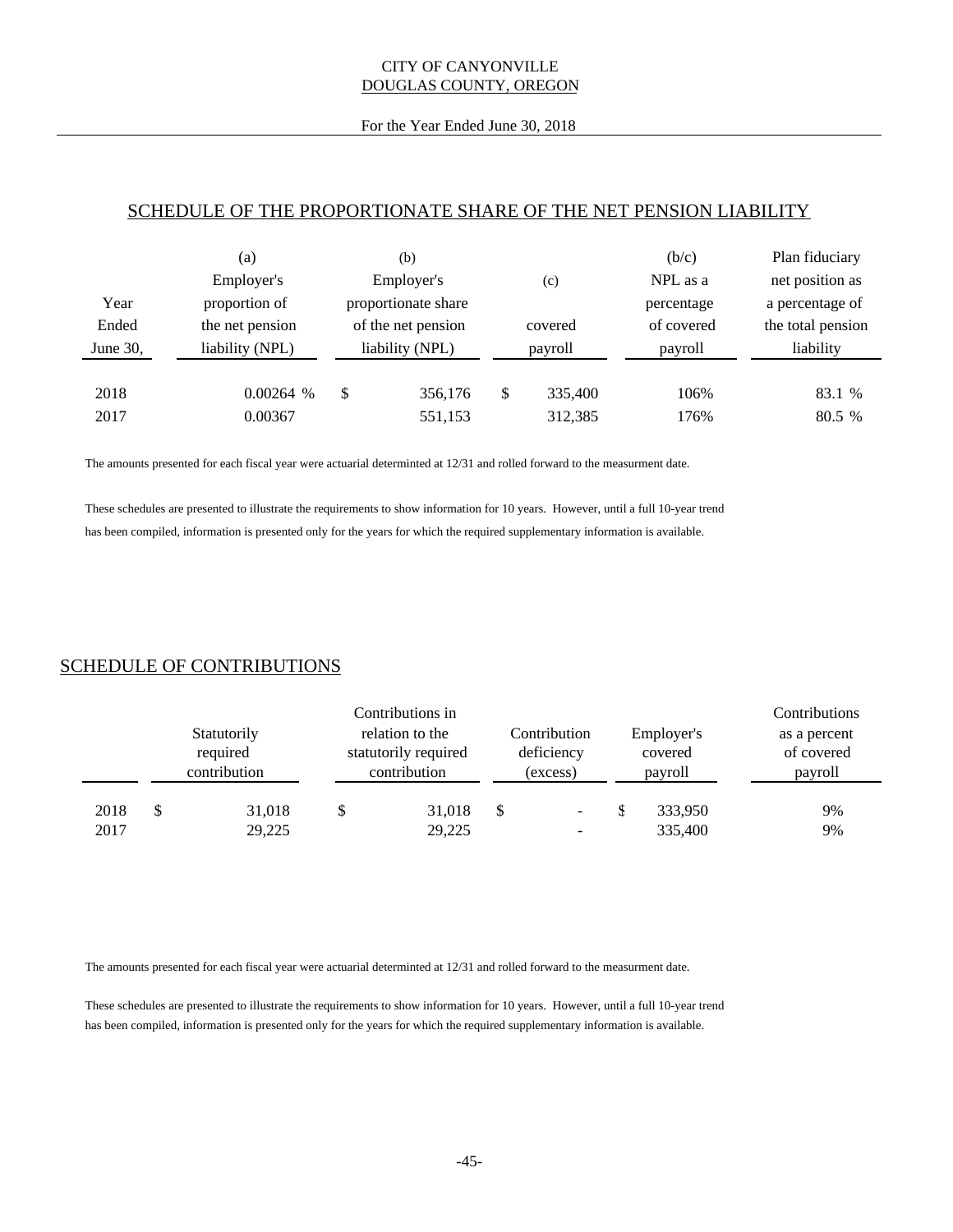#### For the Year Ended June 30, 2018

### SCHEDULE OF THE PROPORTIONATE SHARE OF THE NET PENSION LIABILITY

| Year     | (a)<br>Employer's<br>proportion of | (b)<br>Employer's<br>proportionate share |         | (c)     | (b/c)<br>NPL as a<br>percentage | Plan fiduciary<br>net position as<br>a percentage of |
|----------|------------------------------------|------------------------------------------|---------|---------|---------------------------------|------------------------------------------------------|
| Ended    | the net pension                    | of the net pension                       | covered |         | of covered                      | the total pension                                    |
| June 30, | liability (NPL)                    | liability (NPL)                          |         | payroll | payroll                         | liability                                            |
| 2018     | 0.00264%                           | \$<br>356,176                            | \$      | 335,400 | 106%                            | 83.1 %                                               |
| 2017     | 0.00367                            | 551,153                                  |         | 312,385 | 176%                            | 80.5 %                                               |

The amounts presented for each fiscal year were actuarial determinted at 12/31 and rolled forward to the measurment date.

These schedules are presented to illustrate the requirements to show information for 10 years. However, until a full 10-year trend has been compiled, information is presented only for the years for which the required supplementary information is available.

### SCHEDULE OF CONTRIBUTIONS

| Contributions in |                                         |                  |                                                         |                  |                                        |                          |                                  |                    | Contributions                         |
|------------------|-----------------------------------------|------------------|---------------------------------------------------------|------------------|----------------------------------------|--------------------------|----------------------------------|--------------------|---------------------------------------|
|                  | Statutorily<br>required<br>contribution |                  | relation to the<br>statutorily required<br>contribution |                  | Contribution<br>deficiency<br>(excess) |                          | Employer's<br>covered<br>payroll |                    | as a percent<br>of covered<br>payroll |
| 2018<br>2017     |                                         | 31,018<br>29,225 |                                                         | 31,018<br>29,225 |                                        | $\overline{\phantom{a}}$ |                                  | 333,950<br>335,400 | 9%<br>9%                              |

The amounts presented for each fiscal year were actuarial determinted at 12/31 and rolled forward to the measurment date.

These schedules are presented to illustrate the requirements to show information for 10 years. However, until a full 10-year trend has been compiled, information is presented only for the years for which the required supplementary information is available.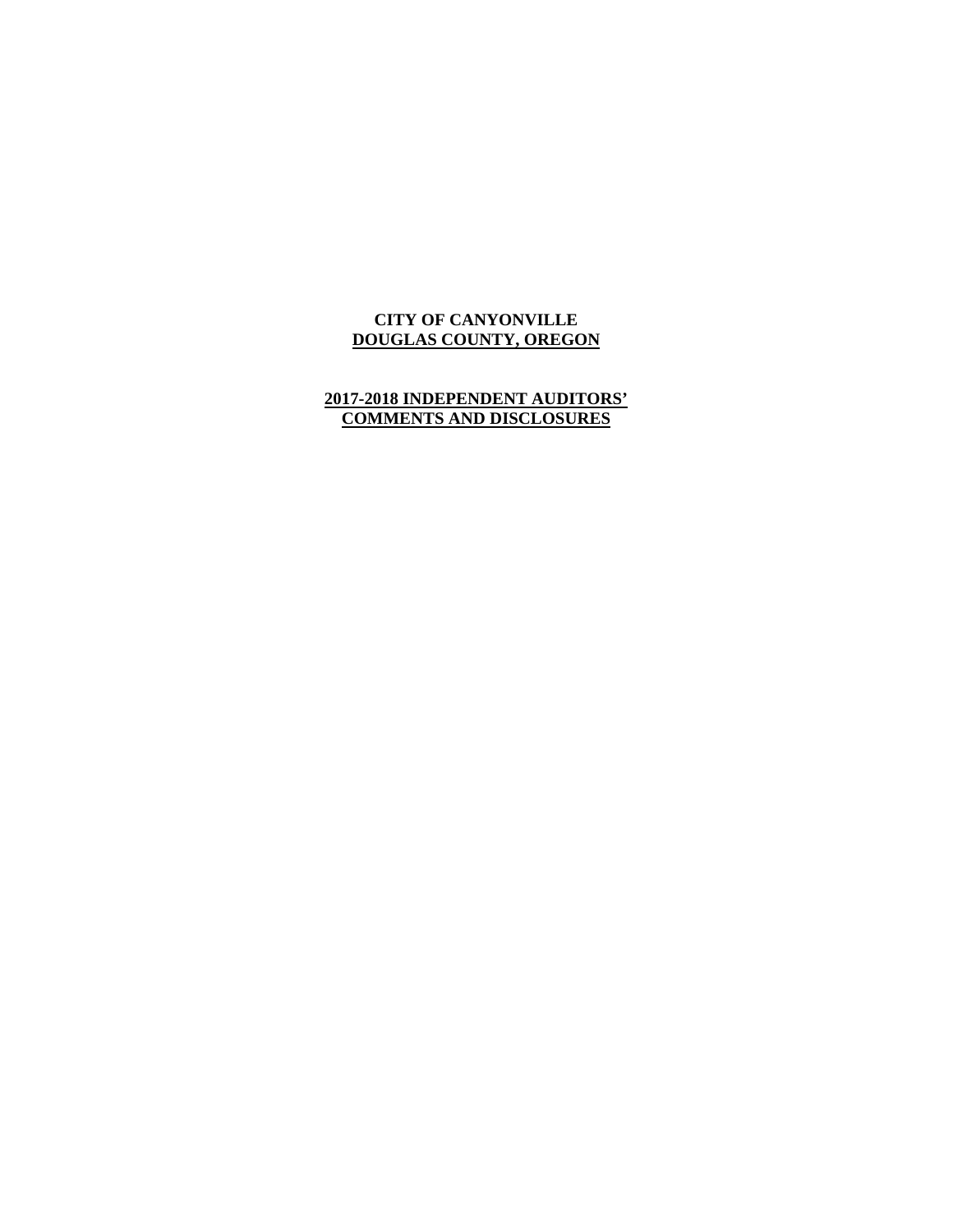### **2017-2018 INDEPENDENT AUDITORS' COMMENTS AND DISCLOSURES**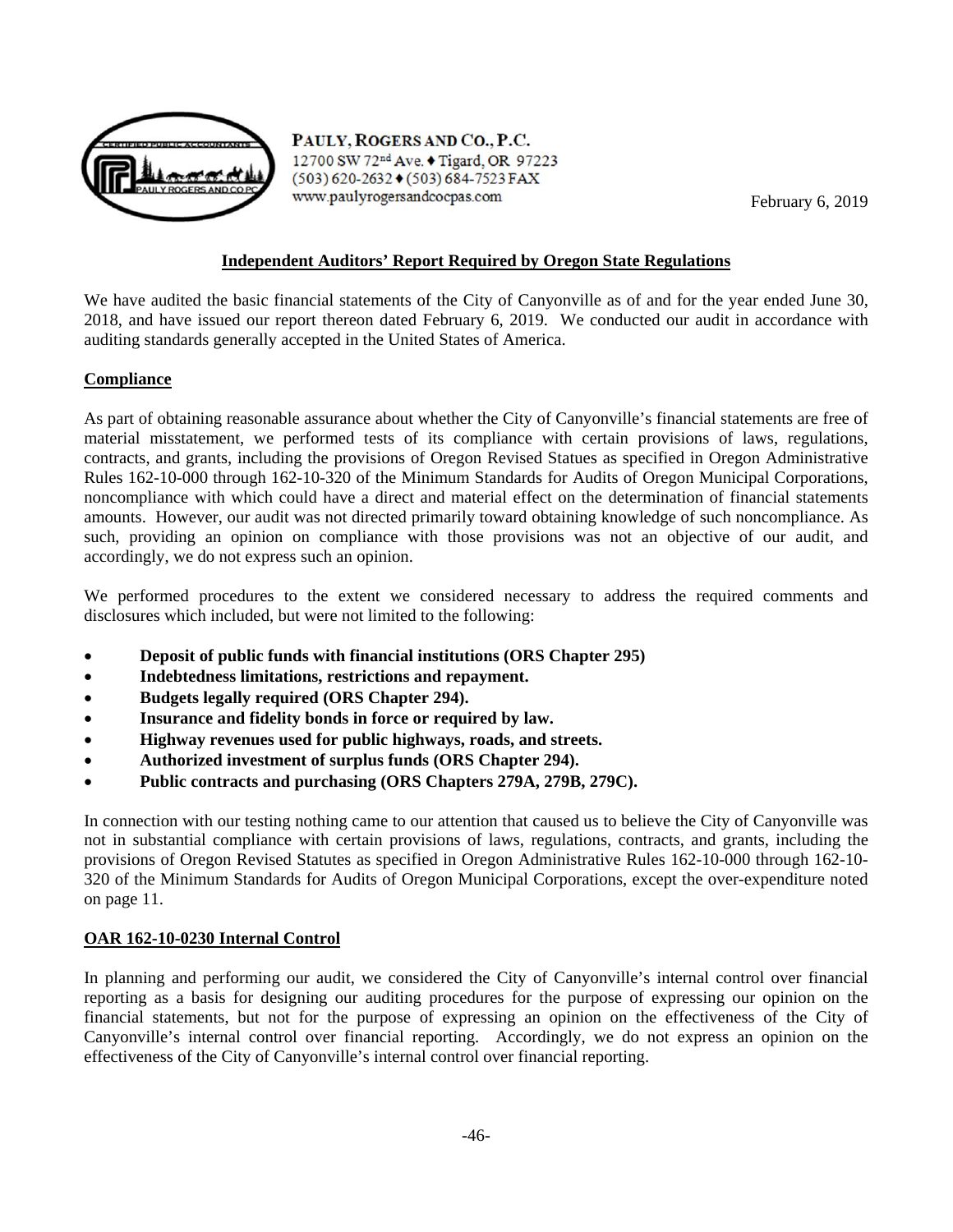

PAULY, ROGERS AND CO., P.C. 12700 SW 72<sup>nd</sup> Ave. + Tigard, OR 97223 (503) 620-2632 ♦ (503) 684-7523 FAX www.paulyrogersandcocpas.com

February 6, 2019

### **Independent Auditors' Report Required by Oregon State Regulations**

We have audited the basic financial statements of the City of Canyonville as of and for the year ended June 30, 2018, and have issued our report thereon dated February 6, 2019. We conducted our audit in accordance with auditing standards generally accepted in the United States of America.

### **Compliance**

As part of obtaining reasonable assurance about whether the City of Canyonville's financial statements are free of material misstatement, we performed tests of its compliance with certain provisions of laws, regulations, contracts, and grants, including the provisions of Oregon Revised Statues as specified in Oregon Administrative Rules 162-10-000 through 162-10-320 of the Minimum Standards for Audits of Oregon Municipal Corporations, noncompliance with which could have a direct and material effect on the determination of financial statements amounts. However, our audit was not directed primarily toward obtaining knowledge of such noncompliance. As such, providing an opinion on compliance with those provisions was not an objective of our audit, and accordingly, we do not express such an opinion.

We performed procedures to the extent we considered necessary to address the required comments and disclosures which included, but were not limited to the following:

- **Deposit of public funds with financial institutions (ORS Chapter 295)**
- **Indebtedness limitations, restrictions and repayment.**
- **Budgets legally required (ORS Chapter 294).**
- **Insurance and fidelity bonds in force or required by law.**
- **Highway revenues used for public highways, roads, and streets.**
- **Authorized investment of surplus funds (ORS Chapter 294).**
- **Public contracts and purchasing (ORS Chapters 279A, 279B, 279C).**

In connection with our testing nothing came to our attention that caused us to believe the City of Canyonville was not in substantial compliance with certain provisions of laws, regulations, contracts, and grants, including the provisions of Oregon Revised Statutes as specified in Oregon Administrative Rules 162-10-000 through 162-10- 320 of the Minimum Standards for Audits of Oregon Municipal Corporations, except the over-expenditure noted on page 11.

### **OAR 162-10-0230 Internal Control**

In planning and performing our audit, we considered the City of Canyonville's internal control over financial reporting as a basis for designing our auditing procedures for the purpose of expressing our opinion on the financial statements, but not for the purpose of expressing an opinion on the effectiveness of the City of Canyonville's internal control over financial reporting. Accordingly, we do not express an opinion on the effectiveness of the City of Canyonville's internal control over financial reporting.